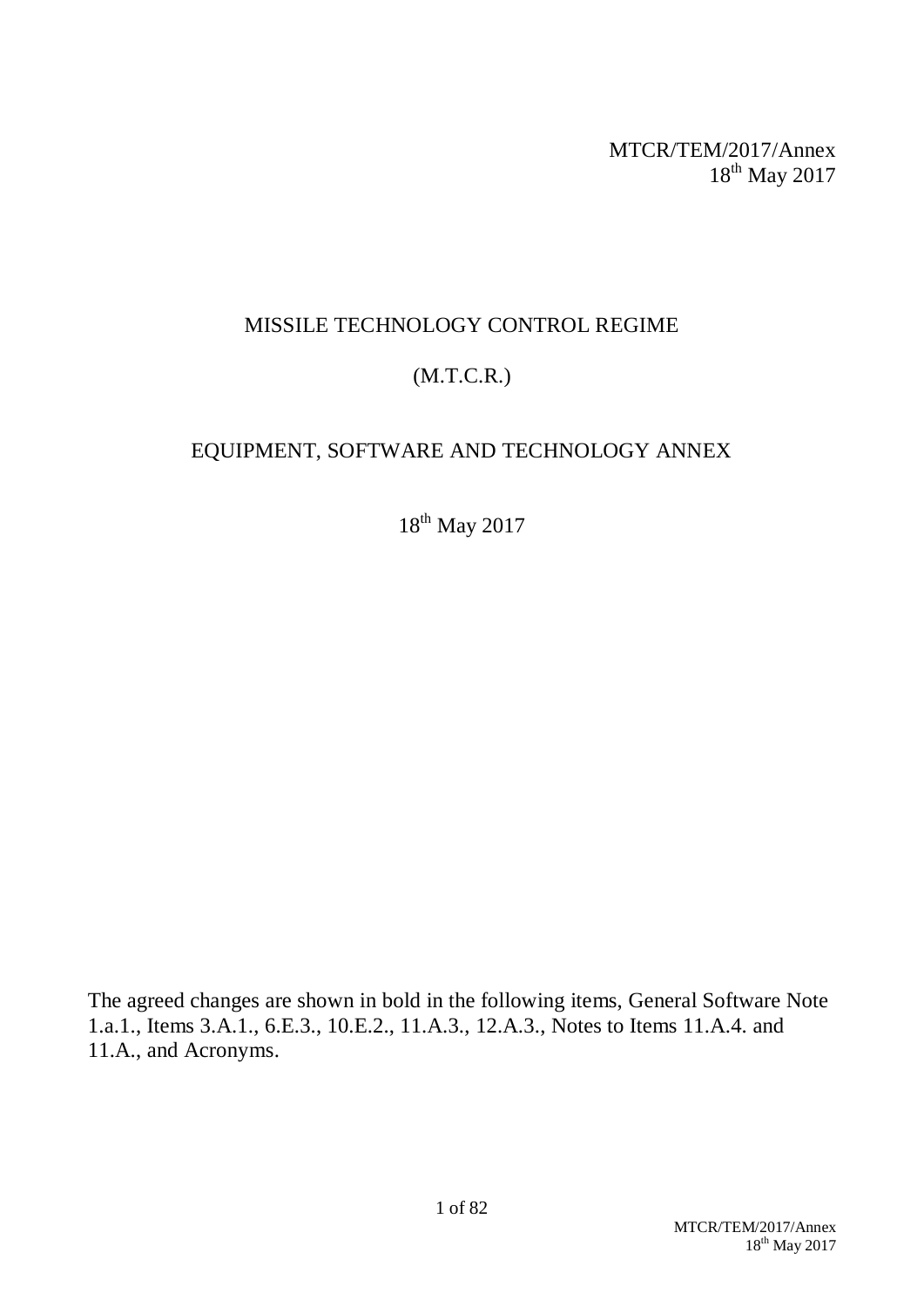MTCR/TEM/2017/Annex 18<sup>th</sup> May 2017

## MISSILE TECHNOLOGY CONTROL REGIME

# (M.T.C.R.)

# EQUIPMENT, SOFTWARE AND TECHNOLOGY ANNEX

18<sup>th</sup> May 2017

The agreed changes are shown in bold in the following items, General Software Note 1.a.1., Items 3.A.1., 6.E.3., 10.E.2., 11.A.3., 12.A.3., Notes to Items 11.A.4. and 11.A., and Acronyms.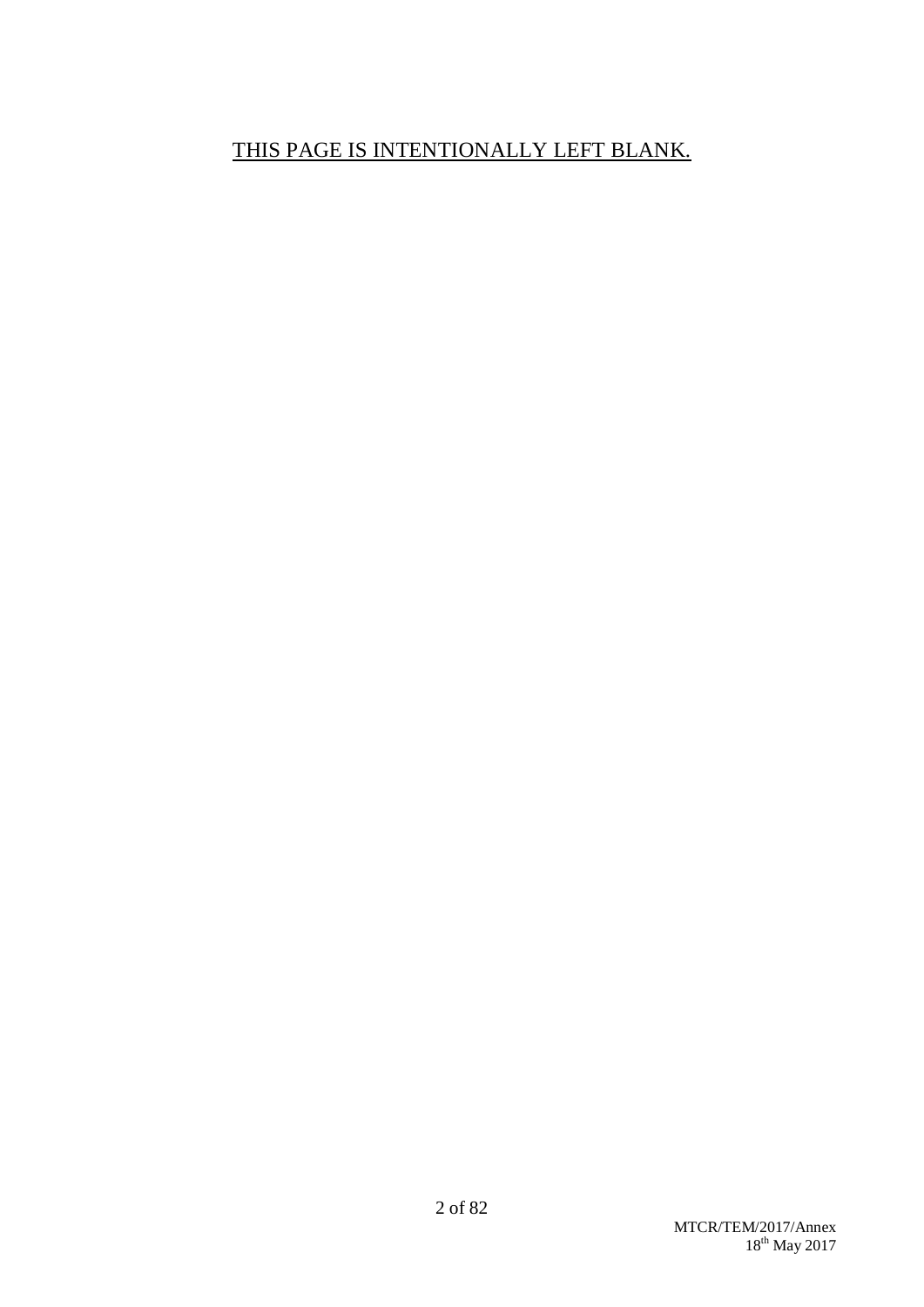# THIS PAGE IS INTENTIONALLY LEFT BLANK.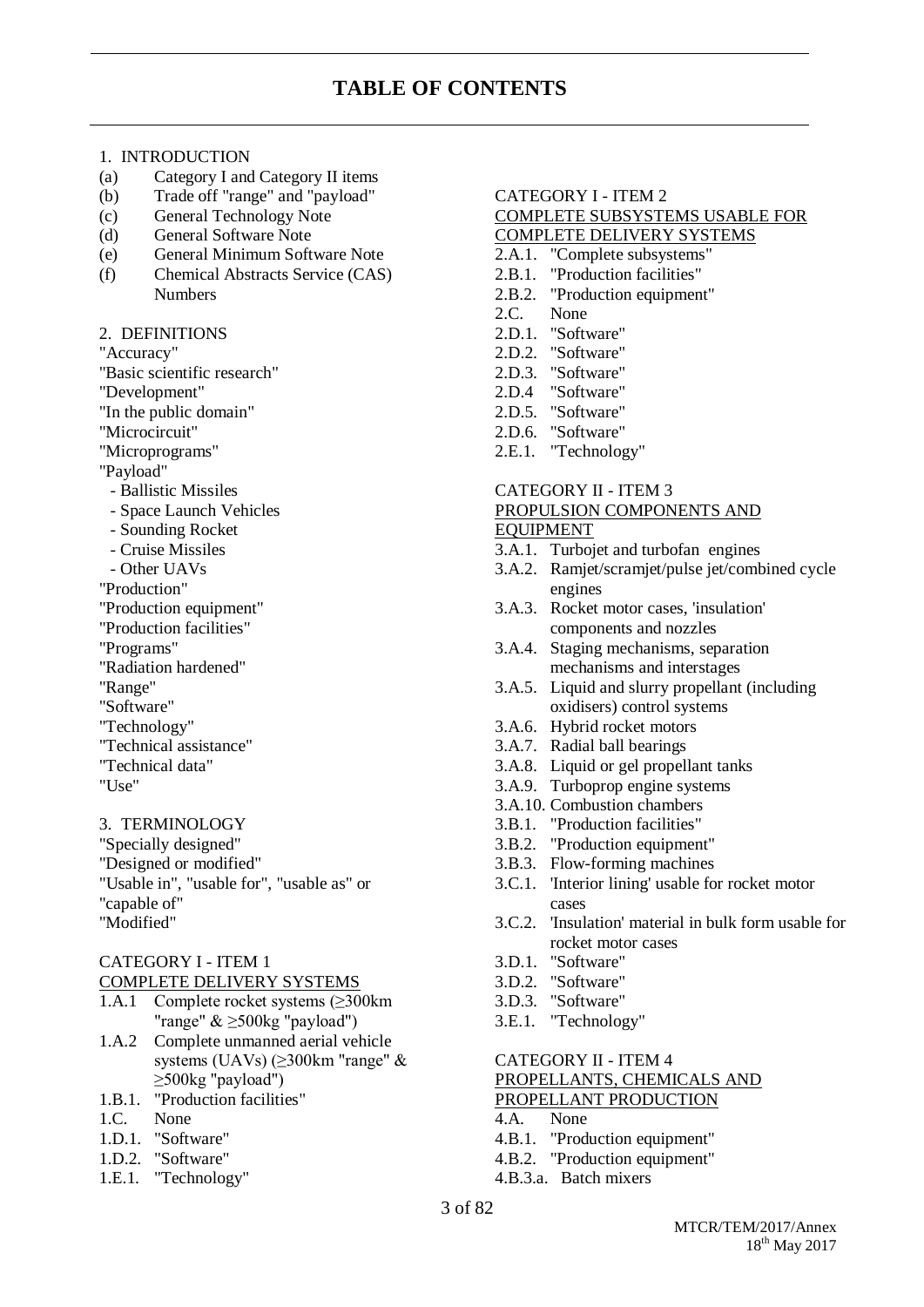#### 1. INTRODUCTION

- (a) Category I and Category II items
- (b) Trade off "range" and "payload"
- (c) General Technology Note
- (d) General Software Note
- (e) General Minimum Software Note
- (f) Chemical Abstracts Service (CAS) Numbers

#### 2. DEFINITIONS

"Accuracy"

"Basic scientific research"

- "Development"
- "In the public domain"
- "Microcircuit"
- "Microprograms"
- "Payload"
	- Ballistic Missiles
	- Space Launch Vehicles
- Sounding Rocket
- Cruise Missiles
- Other UAVs
- "Production"
- "Production equipment"
- "Production facilities"
- "Programs"
- "Radiation hardened"
- "Range"
- "Software"
- "Technology"
- "Technical assistance"
- "Technical data"
- "Use"

3. TERMINOLOGY

"Specially designed" "Designed or modified" "Usable in", "usable for", "usable as" or "capable of" "Modified"

### CATEGORY I - ITEM 1

COMPLETE DELIVERY SYSTEMS

- 1.A.1 Complete rocket systems (≥300km "range" & ≥500kg "payload")
- 1.A.2 Complete unmanned aerial vehicle systems (UAVs) (≥300km "range" & ≥500kg "payload")
- 1.B.1. "Production facilities"
- 1.C. None
- 1.D.1. "Software"
- 1.D.2. "Software"
- 1.E.1. "Technology"

#### CATEGORY I - ITEM 2

#### COMPLETE SUBSYSTEMS USABLE FOR COMPLETE DELIVERY SYSTEMS

- 2.A.1. "Complete subsystems"
- 2.B.1. "Production facilities"
- 2.B.2. "Production equipment"
- 2.C. None
- 2.D.1. "Software"
- 2.D.2. "Software"
- 2.D.3. "Software"
- 2.D.4 "Software"
- 2.D.5. "Software"
- 2.D.6. "Software"
- 2.E.1. "Technology"

#### CATEGORY II - ITEM 3 PROPULSION COMPONENTS AND EQUIPMENT

- 3.A.1. Turbojet and turbofan engines
- 3.A.2. Ramjet/scramjet/pulse jet/combined cycle engines
- 3.A.3. Rocket motor cases, 'insulation' components and nozzles
- 3.A.4. Staging mechanisms, separation mechanisms and interstages
- 3.A.5. Liquid and slurry propellant (including oxidisers) control systems
- 3.A.6. Hybrid rocket motors
- 3.A.7. Radial ball bearings
- 3.A.8. Liquid or gel propellant tanks
- 3.A.9. Turboprop engine systems
- 3.A.10. Combustion chambers
- 3.B.1. "Production facilities"
- 3.B.2. "Production equipment"
- 3.B.3. Flow-forming machines
- 3.C.1. 'Interior lining' usable for rocket motor cases
- 3.C.2. 'Insulation' material in bulk form usable for rocket motor cases
- 3.D.1. "Software"
- 3.D.2. "Software"
- 3.D.3. "Software"
- 3.E.1. "Technology"

#### CATEGORY II - ITEM 4 PROPELLANTS, CHEMICALS AND PROPELLANT PRODUCTION

- 4.A. None
- 4.B.1. "Production equipment"
- 4.B.2. "Production equipment"
- 4.B.3.a. Batch mixers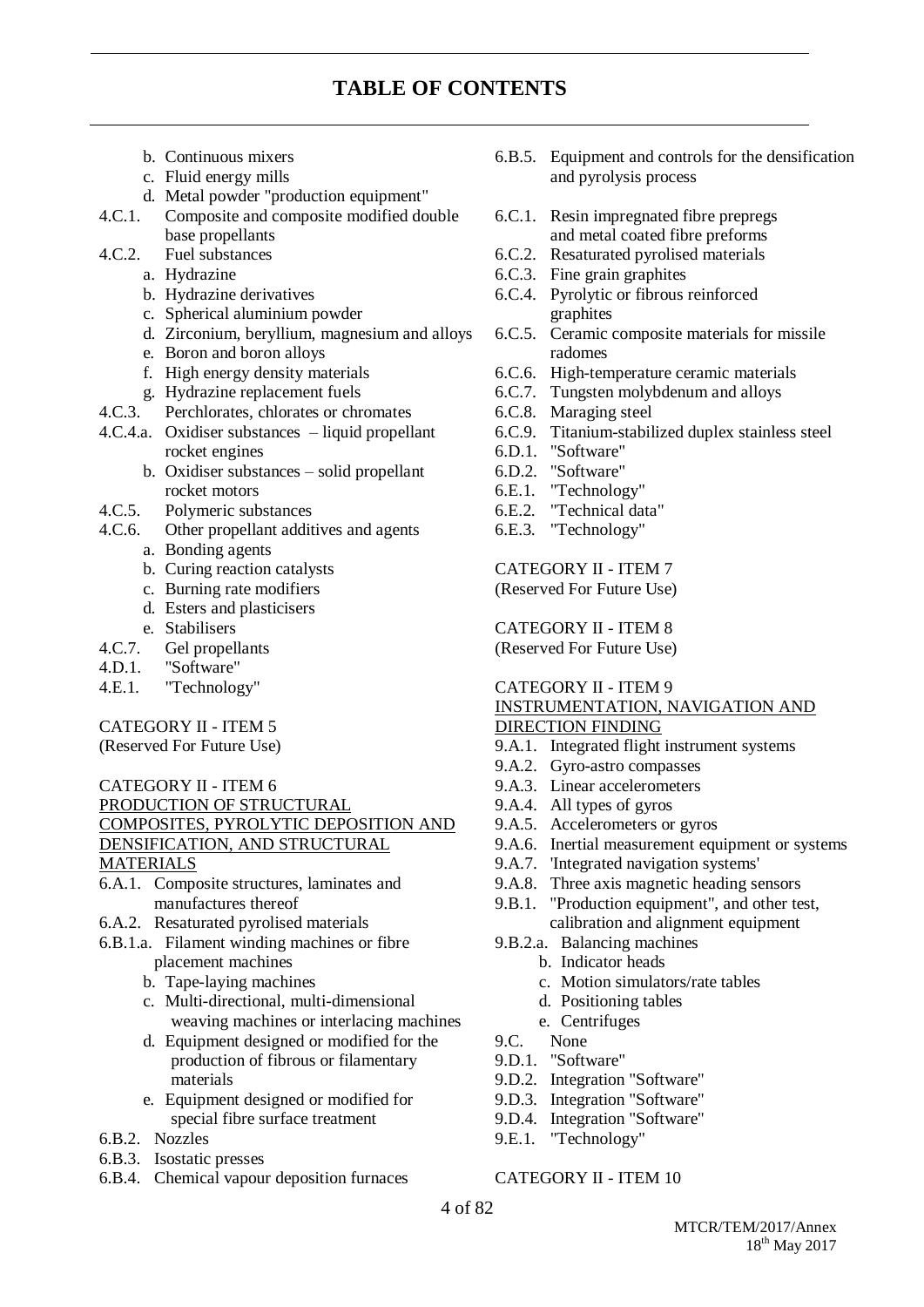## **TABLE OF CONTENTS**

- b. Continuous mixers
- c. Fluid energy mills
- d. Metal powder "production equipment"
- 4.C.1. Composite and composite modified double base propellants
- 4.C.2. Fuel substances
	- a. Hydrazine
	- b. Hydrazine derivatives
	- c. Spherical aluminium powder
	- d. Zirconium, beryllium, magnesium and alloys
	- e. Boron and boron alloys
	- f. High energy density materials
	- g. Hydrazine replacement fuels
- 4.C.3. Perchlorates, chlorates or chromates
- 4.C.4.a. Oxidiser substances liquid propellant rocket engines
	- b. Oxidiser substances solid propellant rocket motors
- 4.C.5. Polymeric substances
- 4.C.6. Other propellant additives and agents
	- a. Bonding agents
	- b. Curing reaction catalysts
	- c. Burning rate modifiers
	- d. Esters and plasticisers
	- e. Stabilisers
- 4.C.7. Gel propellants
- 4.D.1. "Software"
- 4.E.1. "Technology"

#### CATEGORY II - ITEM 5

(Reserved For Future Use)

#### CATEGORY II - ITEM 6

PRODUCTION OF STRUCTURAL COMPOSITES, PYROLYTIC DEPOSITION AND DENSIFICATION, AND STRUCTURAL MATERIALS

6.A.1. Composite structures, laminates and manufactures thereof

- 6.A.2. Resaturated pyrolised materials
- 6.B.1.a. Filament winding machines or fibre placement machines
	- b. Tape-laying machines
	- c. Multi-directional, multi-dimensional weaving machines or interlacing machines
	- d. Equipment designed or modified for the production of fibrous or filamentary materials
	- e. Equipment designed or modified for special fibre surface treatment
- 6.B.2. Nozzles
- 6.B.3. Isostatic presses
- 6.B.4. Chemical vapour deposition furnaces
- 6.B.5. Equipment and controls for the densification and pyrolysis process
- 6.C.1. Resin impregnated fibre prepregs and metal coated fibre preforms
- 6.C.2. Resaturated pyrolised materials
- 6.C.3. Fine grain graphites
- 6.C.4. Pyrolytic or fibrous reinforced graphites
- 6.C.5. Ceramic composite materials for missile radomes
- 6.C.6. High-temperature ceramic materials
- 6.C.7. Tungsten molybdenum and alloys
- 6.C.8. Maraging steel
- 6.C.9. Titanium-stabilized duplex stainless steel
- 6.D.1. "Software"
- 6.D.2. "Software"
- 6.E.1. "Technology"
- 6.E.2. "Technical data"
- 6.E.3. "Technology"

CATEGORY II - ITEM 7

(Reserved For Future Use)

CATEGORY II - ITEM 8 (Reserved For Future Use)

#### CATEGORY II - ITEM 9

#### INSTRUMENTATION, NAVIGATION AND DIRECTION FINDING

- 9.A.1. Integrated flight instrument systems
- 9.A.2. Gyro-astro compasses
- 9.A.3. Linear accelerometers
- 9.A.4. All types of gyros
- 9.A.5. Accelerometers or gyros
- 9.A.6. Inertial measurement equipment or systems
- 9.A.7. 'Integrated navigation systems'
- 9.A.8. Three axis magnetic heading sensors
- 9.B.1. "Production equipment", and other test, calibration and alignment equipment
- 9.B.2.a. Balancing machines
	- b. Indicator heads
	- c. Motion simulators/rate tables
	- d. Positioning tables
	- e. Centrifuges
- 9.C. None
- 9.D.1. "Software"
- 9.D.2. Integration "Software"
- 9.D.3. Integration "Software"
- 9.D.4. Integration "Software"
- 9.E.1. "Technology"

#### CATEGORY II - ITEM 10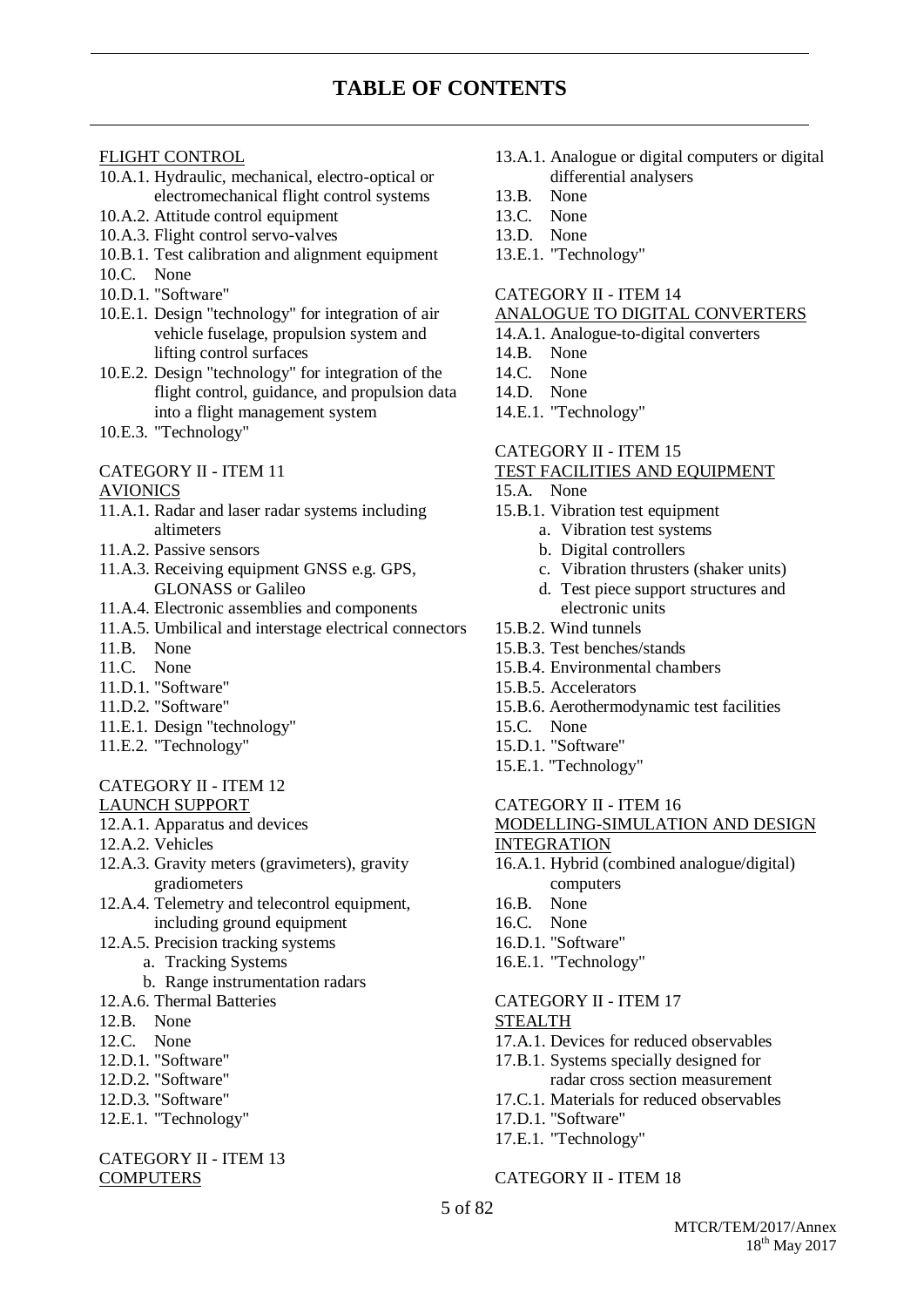#### FLIGHT CONTROL

- 10.A.1. Hydraulic, mechanical, electro-optical or electromechanical flight control systems
- 10.A.2. Attitude control equipment
- 10.A.3. Flight control servo-valves
- 10.B.1. Test calibration and alignment equipment
- 10.C. None
- 10.D.1. "Software"
- 10.E.1. Design "technology" for integration of air vehicle fuselage, propulsion system and lifting control surfaces
- 10.E.2. Design "technology" for integration of the flight control, guidance, and propulsion data into a flight management system
- 10.E.3. "Technology"

#### CATEGORY II - ITEM 11

#### AVIONICS

- 11.A.1. Radar and laser radar systems including altimeters
- 11.A.2. Passive sensors
- 11.A.3. Receiving equipment GNSS e.g. GPS, GLONASS or Galileo
- 11.A.4. Electronic assemblies and components
- 11.A.5. Umbilical and interstage electrical connectors
- 11.B. None
- 11.C. None
- 11.D.1. "Software"
- 11.D.2. "Software"
- 11.E.1. Design "technology"
- 11.E.2. "Technology"

#### CATEGORY II - ITEM 12 LAUNCH SUPPORT

- 12.A.1. Apparatus and devices
- 12.A.2. Vehicles
- 12.A.3. Gravity meters (gravimeters), gravity gradiometers
- 12.A.4. Telemetry and telecontrol equipment, including ground equipment
- 12.A.5. Precision tracking systems
	- a. Tracking Systems
	- b. Range instrumentation radars
- 12.A.6. Thermal Batteries
- 12.B. None
- 12.C. None
- 12.D.1. "Software"
- 12.D.2. "Software"
- 12.D.3. "Software"
- 12.E.1. "Technology"

#### CATEGORY II - ITEM 13 **COMPUTERS**

- 13.A.1. Analogue or digital computers or digital differential analysers
- 13.B. None
- 13.C. None
- 13.D. None
- 13.E.1. "Technology"

#### CATEGORY II - ITEM 14

#### ANALOGUE TO DIGITAL CONVERTERS

- 14.A.1. Analogue-to-digital converters
- 14.B. None
- 14.C. None
- 14.D. None
- 14.E.1. "Technology"

#### CATEGORY II - ITEM 15

#### TEST FACILITIES AND EQUIPMENT

- 15.A. None
- 15.B.1. Vibration test equipment
	- a. Vibration test systems
	- b. Digital controllers
	- c. Vibration thrusters (shaker units) d. Test piece support structures and
	- electronic units
- 15.B.2. Wind tunnels
- 15.B.3. Test benches/stands
- 15.B.4. Environmental chambers
- 15.B.5. Accelerators
- 15.B.6. Aerothermodynamic test facilities
- 15.C. None
- 15.D.1. "Software"
- 15.E.1. "Technology"

#### CATEGORY II - ITEM 16

- MODELLING-SIMULATION AND DESIGN INTEGRATION
- 16.A.1. Hybrid (combined analogue/digital) computers
- 16.B. None
- 16.C. None
- 16.D.1. "Software"
- 16.E.1. "Technology"

#### CATEGORY II - ITEM 17 STEALTH

- 17.A.1. Devices for reduced observables
- 17.B.1. Systems specially designed for radar cross section measurement
- 17.C.1. Materials for reduced observables
- 17.D.1. "Software"
- 17.E.1. "Technology"

#### CATEGORY II - ITEM 18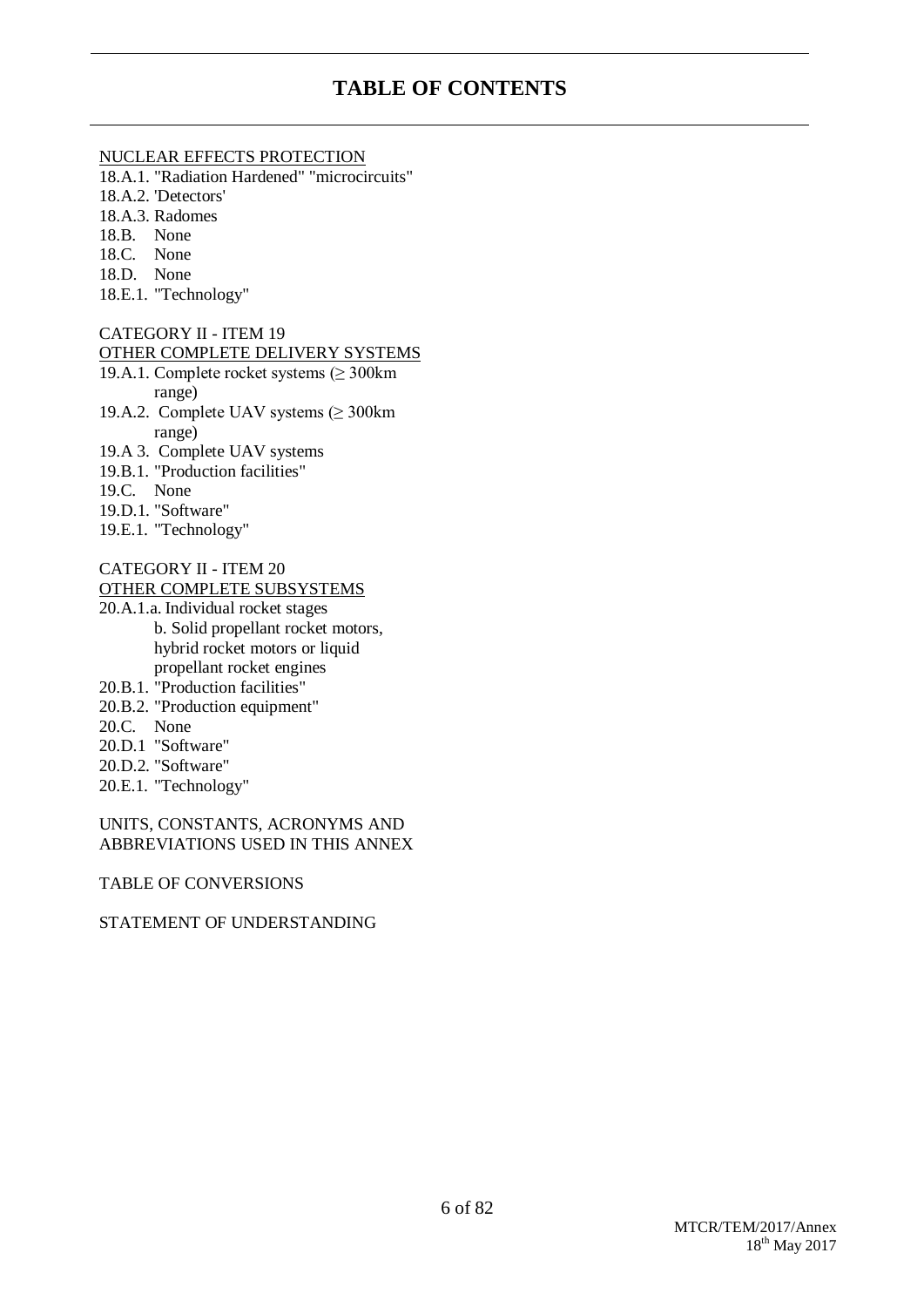## **TABLE OF CONTENTS**

#### NUCLEAR EFFECTS PROTECTION

18.A.1. "Radiation Hardened" "microcircuits"

- 18.A.2. 'Detectors'
- 18.A.3. Radomes
- 18.B. None
- 18.C. None
- 18.D. None
- 18.E.1. "Technology"

#### CATEGORY II - ITEM 19

#### OTHER COMPLETE DELIVERY SYSTEMS

- 19.A.1. Complete rocket systems (≥ 300km range)
- 19.A.2. Complete UAV systems (≥ 300km range)
- 19.A 3. Complete UAV systems
- 19.B.1. "Production facilities"
- 19.C. None
- 19.D.1. "Software"
- 19.E.1. "Technology"

# CATEGORY II - ITEM 20

#### OTHER COMPLETE SUBSYSTEMS

- 20.A.1.a. Individual rocket stages b. Solid propellant rocket motors, hybrid rocket motors or liquid propellant rocket engines
- 20.B.1. "Production facilities"
- 20.B.2. "Production equipment"
- 20.C. None
- 20.D.1 "Software"
- 20.D.2. "Software"
- 20.E.1. "Technology"

#### UNITS, CONSTANTS, ACRONYMS AND ABBREVIATIONS USED IN THIS ANNEX

#### TABLE OF CONVERSIONS

#### STATEMENT OF UNDERSTANDING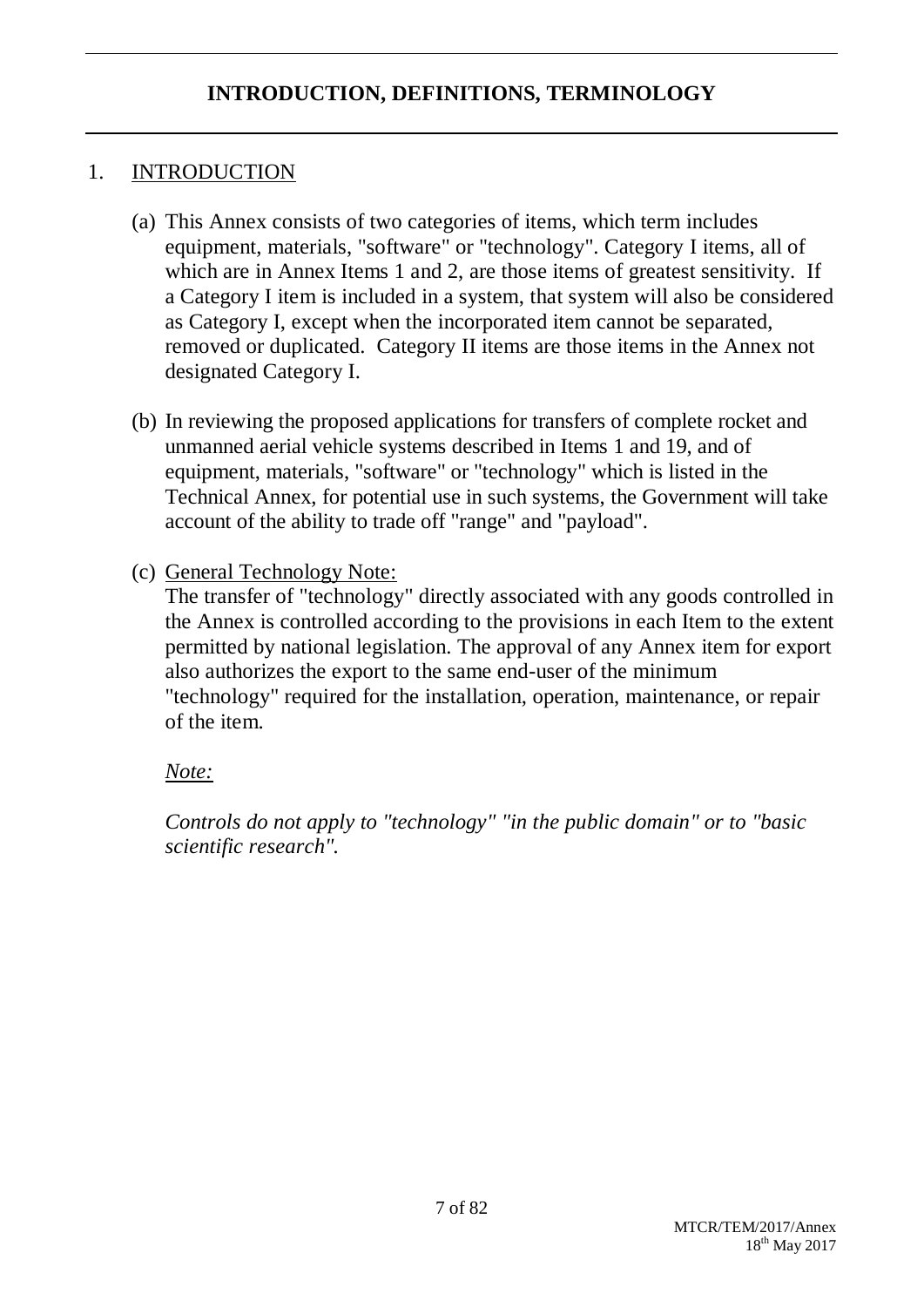# 1. INTRODUCTION

- (a) This Annex consists of two categories of items, which term includes equipment, materials, "software" or "technology". Category I items, all of which are in Annex Items 1 and 2, are those items of greatest sensitivity. If a Category I item is included in a system, that system will also be considered as Category I, except when the incorporated item cannot be separated, removed or duplicated. Category II items are those items in the Annex not designated Category I.
- (b) In reviewing the proposed applications for transfers of complete rocket and unmanned aerial vehicle systems described in Items 1 and 19, and of equipment, materials, "software" or "technology" which is listed in the Technical Annex, for potential use in such systems, the Government will take account of the ability to trade off "range" and "payload".
- (c) General Technology Note:

The transfer of "technology" directly associated with any goods controlled in the Annex is controlled according to the provisions in each Item to the extent permitted by national legislation. The approval of any Annex item for export also authorizes the export to the same end-user of the minimum "technology" required for the installation, operation, maintenance, or repair of the item.

*Note:*

*Controls do not apply to "technology" "in the public domain" or to "basic scientific research".*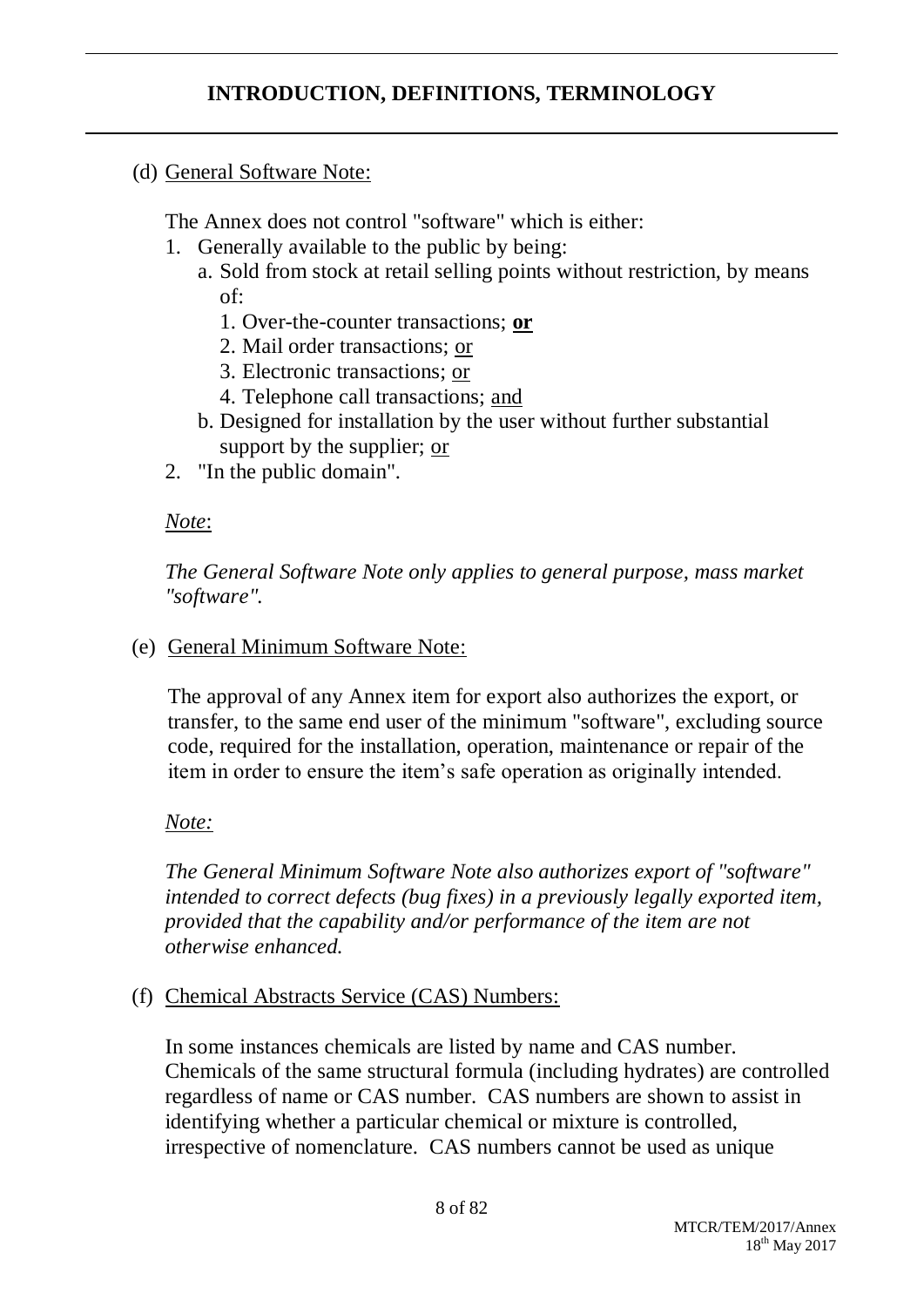(d) General Software Note:

The Annex does not control "software" which is either:

- 1. Generally available to the public by being:
	- a. Sold from stock at retail selling points without restriction, by means of:
		- 1. Over-the-counter transactions; **or**
		- 2. Mail order transactions; or
		- 3. Electronic transactions; or
		- 4. Telephone call transactions; and
	- b. Designed for installation by the user without further substantial support by the supplier; or
- 2. "In the public domain".

## *Note*:

*The General Software Note only applies to general purpose, mass market "software".*

(e) General Minimum Software Note:

The approval of any Annex item for export also authorizes the export, or transfer, to the same end user of the minimum "software", excluding source code, required for the installation, operation, maintenance or repair of the item in order to ensure the item's safe operation as originally intended.

## *Note:*

*The General Minimum Software Note also authorizes export of "software" intended to correct defects (bug fixes) in a previously legally exported item, provided that the capability and/or performance of the item are not otherwise enhanced.*

(f) Chemical Abstracts Service (CAS) Numbers:

In some instances chemicals are listed by name and CAS number. Chemicals of the same structural formula (including hydrates) are controlled regardless of name or CAS number. CAS numbers are shown to assist in identifying whether a particular chemical or mixture is controlled, irrespective of nomenclature. CAS numbers cannot be used as unique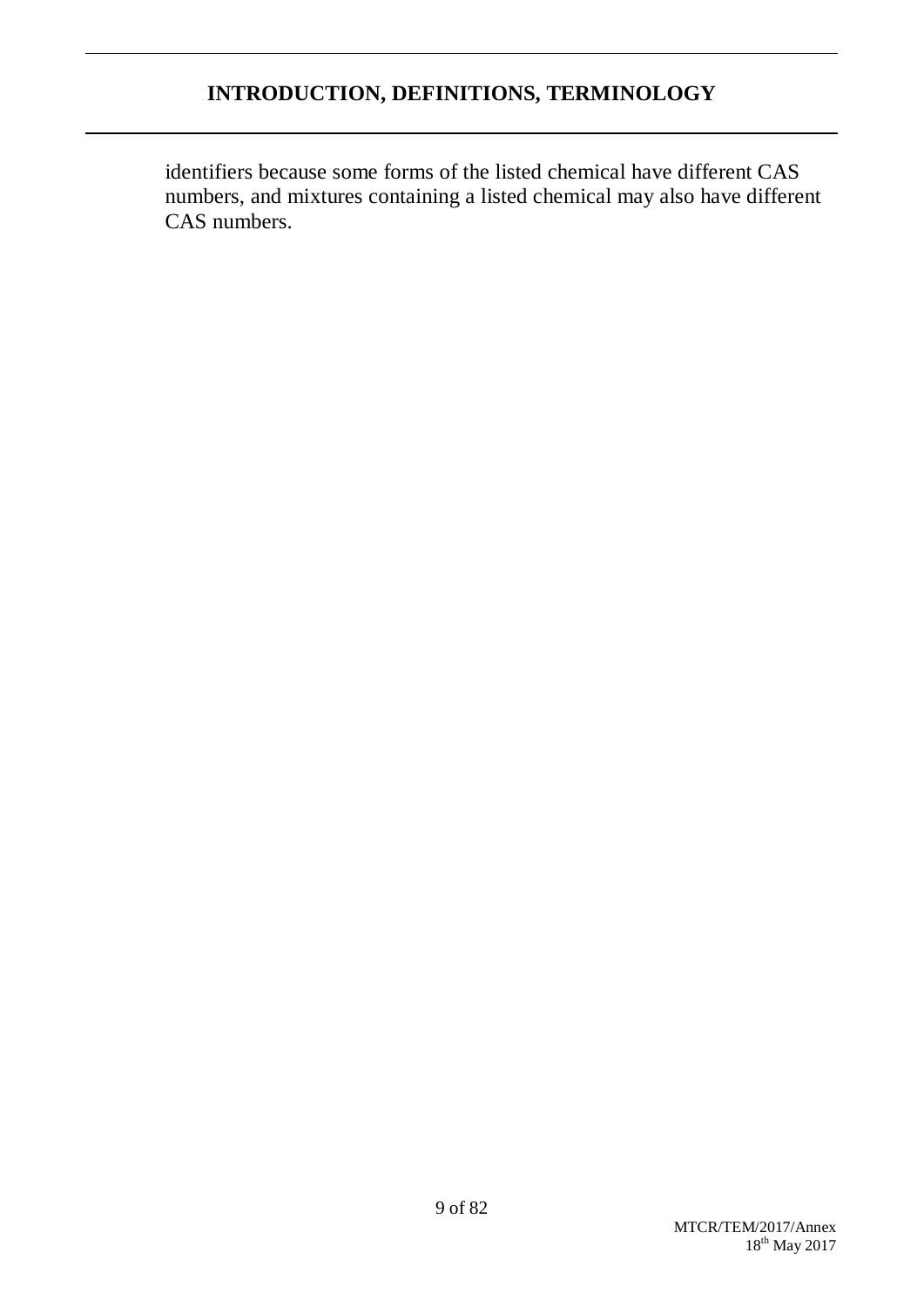identifiers because some forms of the listed chemical have different CAS numbers, and mixtures containing a listed chemical may also have different CAS numbers.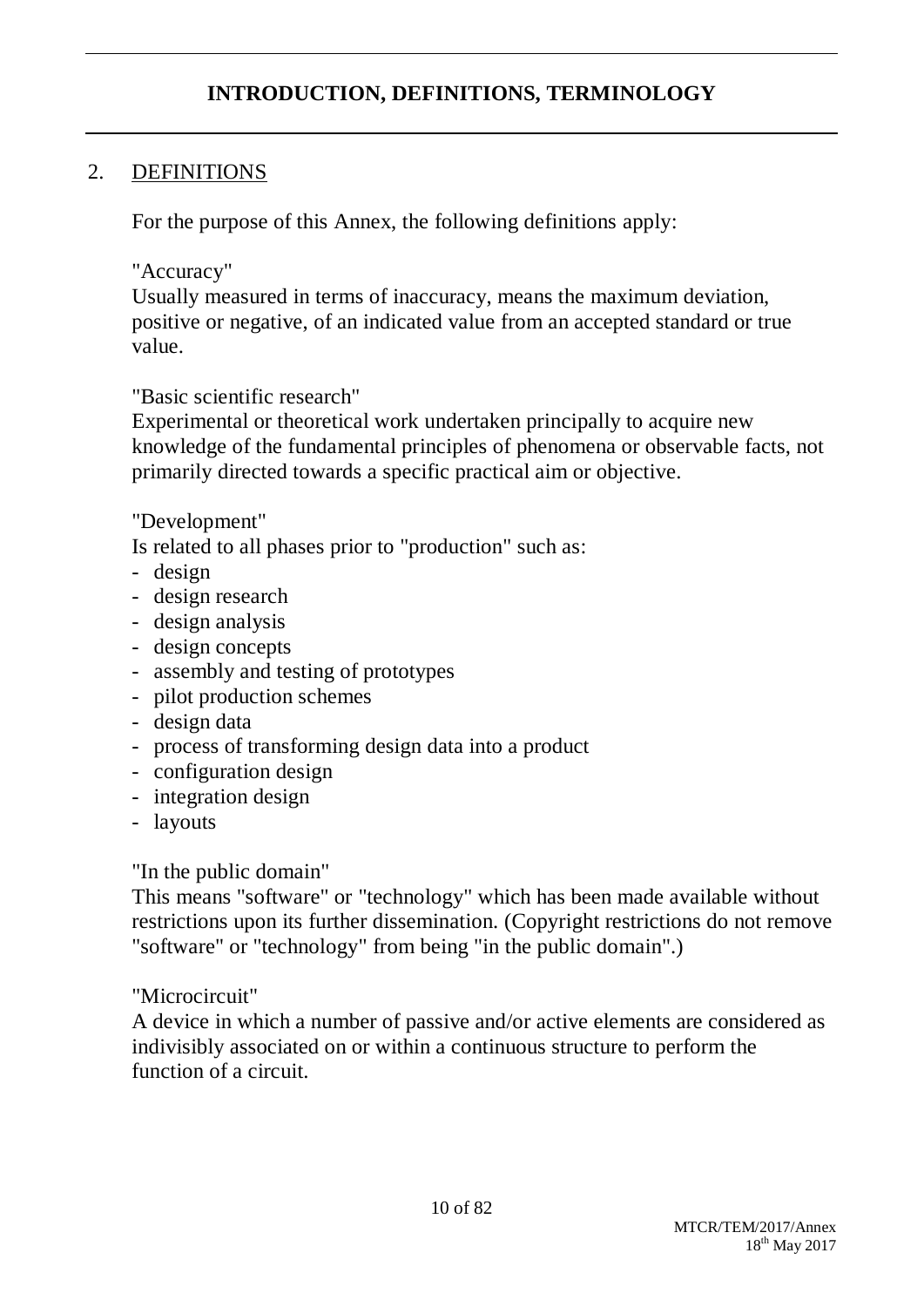## 2. DEFINITIONS

For the purpose of this Annex, the following definitions apply:

### "Accuracy"

Usually measured in terms of inaccuracy, means the maximum deviation, positive or negative, of an indicated value from an accepted standard or true value.

### "Basic scientific research"

Experimental or theoretical work undertaken principally to acquire new knowledge of the fundamental principles of phenomena or observable facts, not primarily directed towards a specific practical aim or objective.

## "Development"

Is related to all phases prior to "production" such as:

- design
- design research
- design analysis
- design concepts
- assembly and testing of prototypes
- pilot production schemes
- design data
- process of transforming design data into a product
- configuration design
- integration design
- layouts

## "In the public domain"

This means "software" or "technology" which has been made available without restrictions upon its further dissemination. (Copyright restrictions do not remove "software" or "technology" from being "in the public domain".)

## "Microcircuit"

A device in which a number of passive and/or active elements are considered as indivisibly associated on or within a continuous structure to perform the function of a circuit.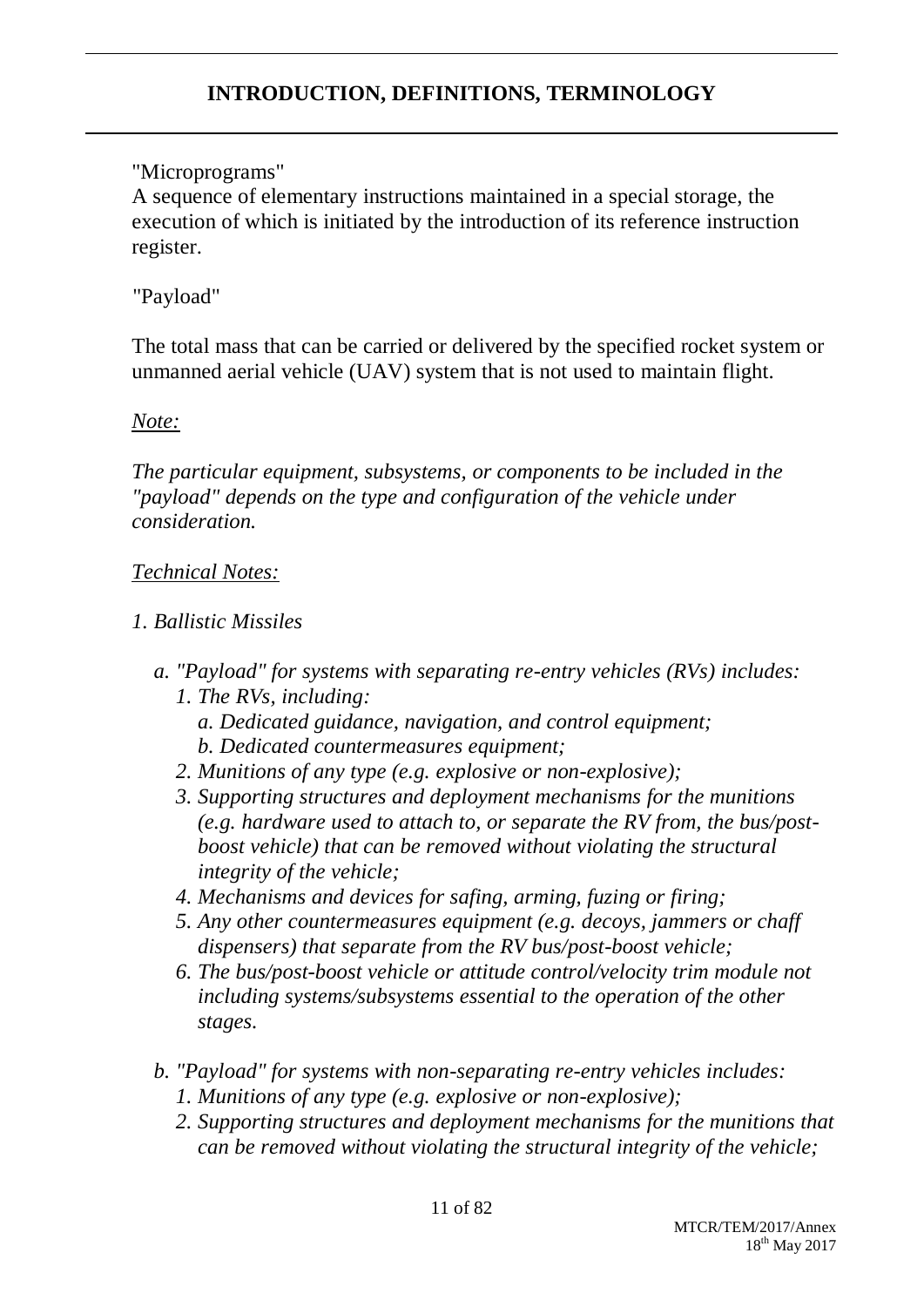# "Microprograms"

A sequence of elementary instructions maintained in a special storage, the execution of which is initiated by the introduction of its reference instruction register.

# "Payload"

The total mass that can be carried or delivered by the specified rocket system or unmanned aerial vehicle (UAV) system that is not used to maintain flight.

## *Note:*

*The particular equipment, subsystems, or components to be included in the "payload" depends on the type and configuration of the vehicle under consideration.*

## *Technical Notes:*

## *1. Ballistic Missiles*

- *a. "Payload" for systems with separating re-entry vehicles (RVs) includes: 1. The RVs, including:*
	- *a. Dedicated guidance, navigation, and control equipment; b. Dedicated countermeasures equipment;*
	- *2. Munitions of any type (e.g. explosive or non-explosive);*
	- *3. Supporting structures and deployment mechanisms for the munitions (e.g. hardware used to attach to, or separate the RV from, the bus/postboost vehicle) that can be removed without violating the structural integrity of the vehicle;*
	- *4. Mechanisms and devices for safing, arming, fuzing or firing;*
	- *5. Any other countermeasures equipment (e.g. decoys, jammers or chaff dispensers) that separate from the RV bus/post-boost vehicle;*
	- *6. The bus/post-boost vehicle or attitude control/velocity trim module not including systems/subsystems essential to the operation of the other stages.*
- *b. "Payload" for systems with non-separating re-entry vehicles includes: 1. Munitions of any type (e.g. explosive or non-explosive);*
	- *2. Supporting structures and deployment mechanisms for the munitions that can be removed without violating the structural integrity of the vehicle;*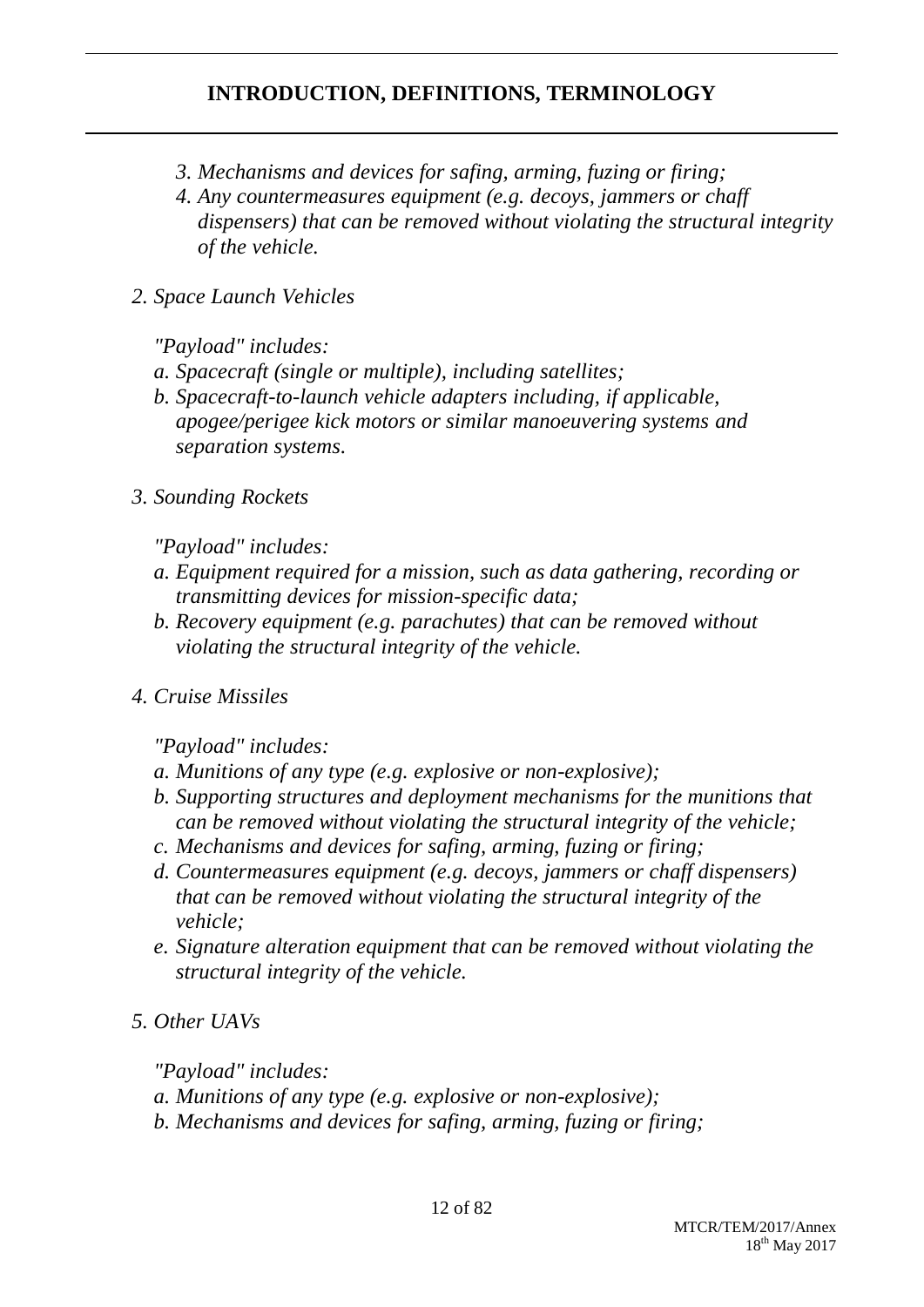- *3. Mechanisms and devices for safing, arming, fuzing or firing;*
- *4. Any countermeasures equipment (e.g. decoys, jammers or chaff dispensers) that can be removed without violating the structural integrity of the vehicle.*
- *2. Space Launch Vehicles*

*"Payload" includes:*

- *a. Spacecraft (single or multiple), including satellites;*
- *b. Spacecraft-to-launch vehicle adapters including, if applicable, apogee/perigee kick motors or similar manoeuvering systems and separation systems.*
- *3. Sounding Rockets*

*"Payload" includes:*

- *a. Equipment required for a mission, such as data gathering, recording or transmitting devices for mission-specific data;*
- *b. Recovery equipment (e.g. parachutes) that can be removed without violating the structural integrity of the vehicle.*
- *4. Cruise Missiles*

*"Payload" includes:*

- *a. Munitions of any type (e.g. explosive or non-explosive);*
- *b. Supporting structures and deployment mechanisms for the munitions that can be removed without violating the structural integrity of the vehicle;*
- *c. Mechanisms and devices for safing, arming, fuzing or firing;*
- *d. Countermeasures equipment (e.g. decoys, jammers or chaff dispensers) that can be removed without violating the structural integrity of the vehicle;*
- *e. Signature alteration equipment that can be removed without violating the structural integrity of the vehicle.*

*5. Other UAVs*

*"Payload" includes:*

*a. Munitions of any type (e.g. explosive or non-explosive);*

*b. Mechanisms and devices for safing, arming, fuzing or firing;*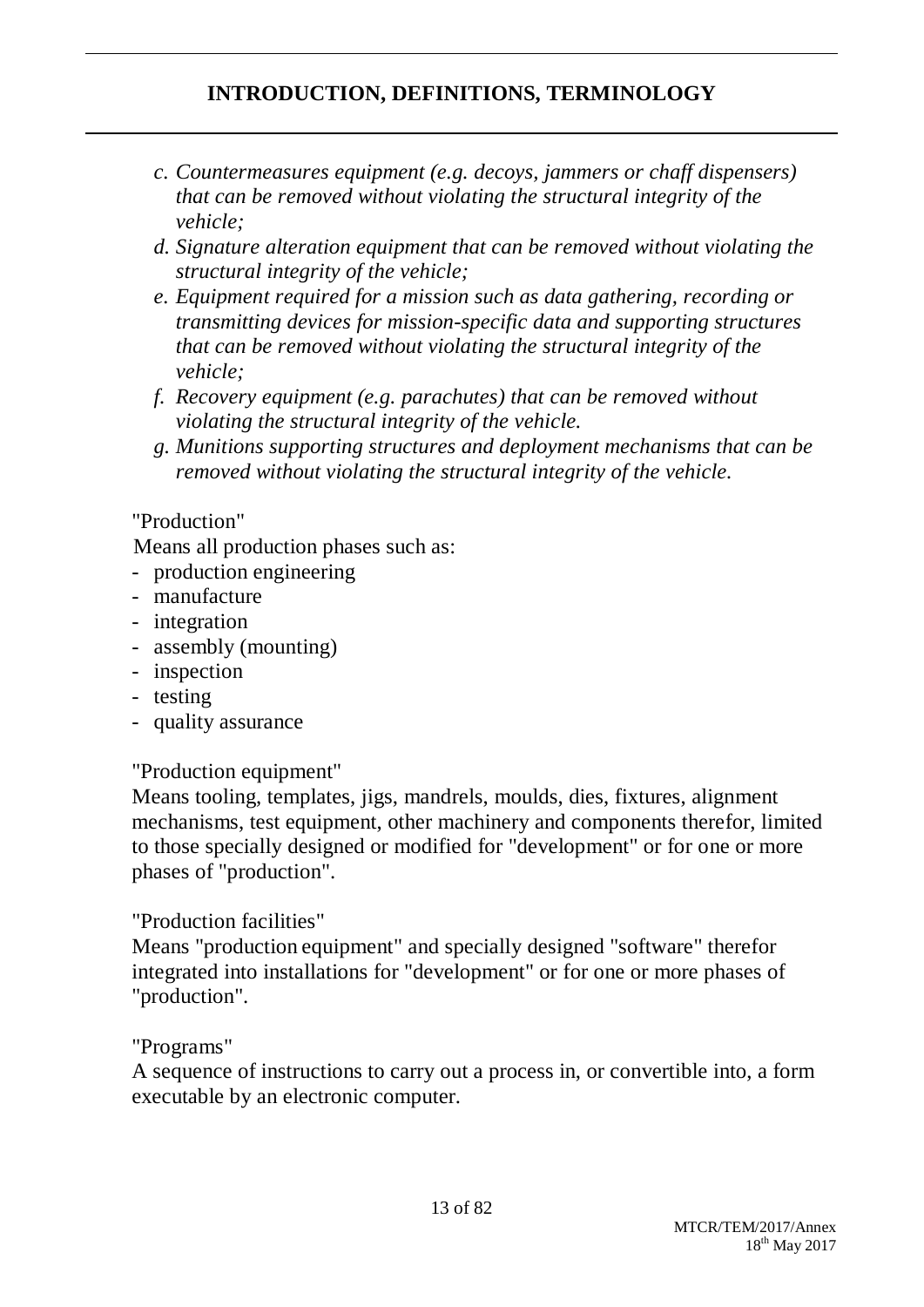- *c. Countermeasures equipment (e.g. decoys, jammers or chaff dispensers) that can be removed without violating the structural integrity of the vehicle;*
- *d. Signature alteration equipment that can be removed without violating the structural integrity of the vehicle;*
- *e. Equipment required for a mission such as data gathering, recording or transmitting devices for mission-specific data and supporting structures that can be removed without violating the structural integrity of the vehicle;*
- *f. Recovery equipment (e.g. parachutes) that can be removed without violating the structural integrity of the vehicle.*
- *g. Munitions supporting structures and deployment mechanisms that can be removed without violating the structural integrity of the vehicle.*

## "Production"

Means all production phases such as:

- production engineering
- manufacture
- integration
- assembly (mounting)
- inspection
- testing
- quality assurance

## "Production equipment"

Means tooling, templates, jigs, mandrels, moulds, dies, fixtures, alignment mechanisms, test equipment, other machinery and components therefor, limited to those specially designed or modified for "development" or for one or more phases of "production".

## "Production facilities"

Means "production equipment" and specially designed "software" therefor integrated into installations for "development" or for one or more phases of "production".

## "Programs"

A sequence of instructions to carry out a process in, or convertible into, a form executable by an electronic computer.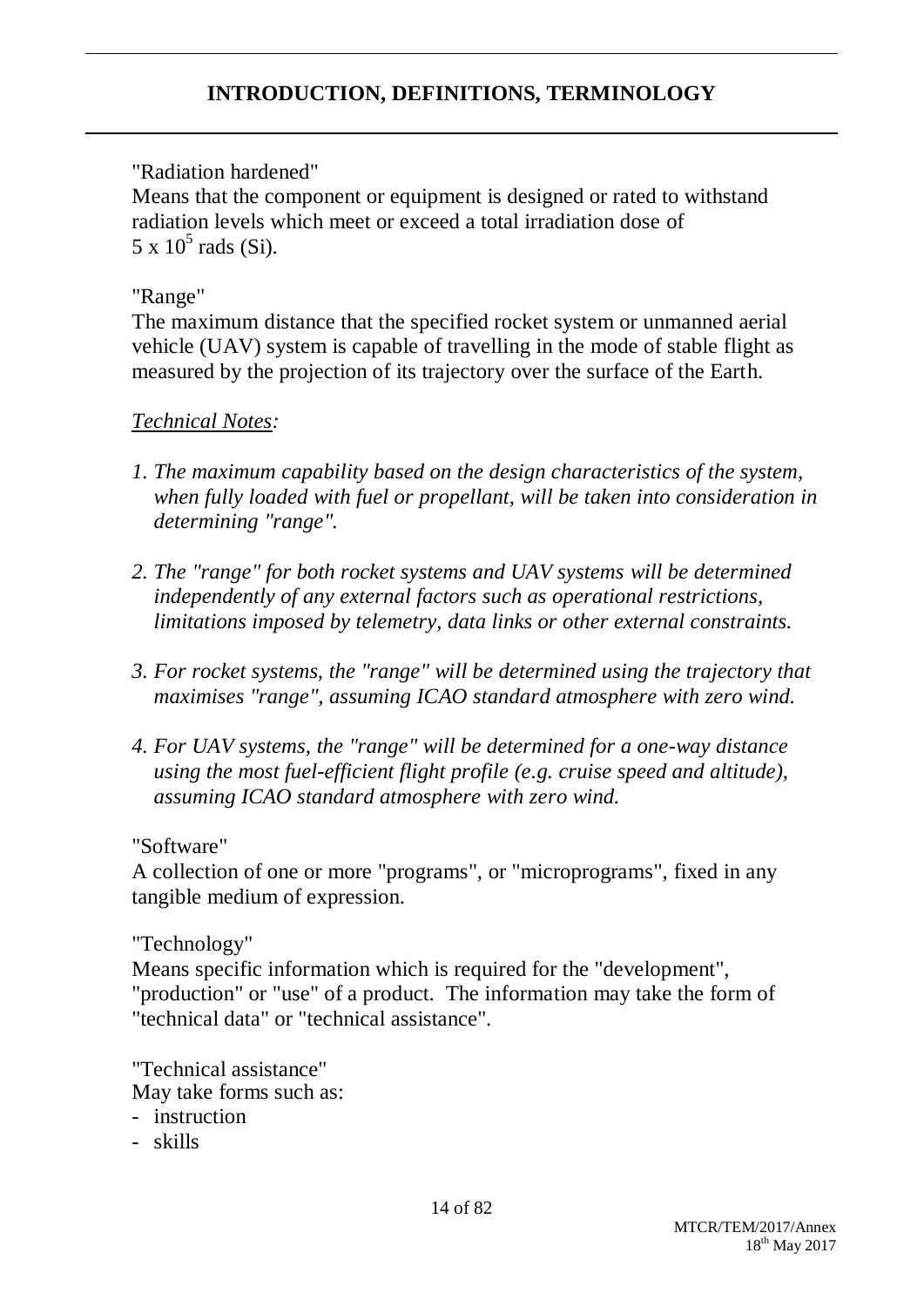"Radiation hardened"

Means that the component or equipment is designed or rated to withstand radiation levels which meet or exceed a total irradiation dose of  $5 \times 10^5$  rads (Si).

# "Range"

The maximum distance that the specified rocket system or unmanned aerial vehicle (UAV) system is capable of travelling in the mode of stable flight as measured by the projection of its trajectory over the surface of the Earth.

# *Technical Notes:*

- *1. The maximum capability based on the design characteristics of the system, when fully loaded with fuel or propellant, will be taken into consideration in determining "range".*
- *2. The "range" for both rocket systems and UAV systems will be determined independently of any external factors such as operational restrictions, limitations imposed by telemetry, data links or other external constraints.*
- *3. For rocket systems, the "range" will be determined using the trajectory that maximises "range", assuming ICAO standard atmosphere with zero wind.*
- *4. For UAV systems, the "range" will be determined for a one-way distance using the most fuel-efficient flight profile (e.g. cruise speed and altitude), assuming ICAO standard atmosphere with zero wind.*

## "Software"

A collection of one or more "programs", or "microprograms", fixed in any tangible medium of expression.

"Technology"

Means specific information which is required for the "development", "production" or "use" of a product. The information may take the form of "technical data" or "technical assistance".

"Technical assistance" May take forms such as:

- instruction
- skills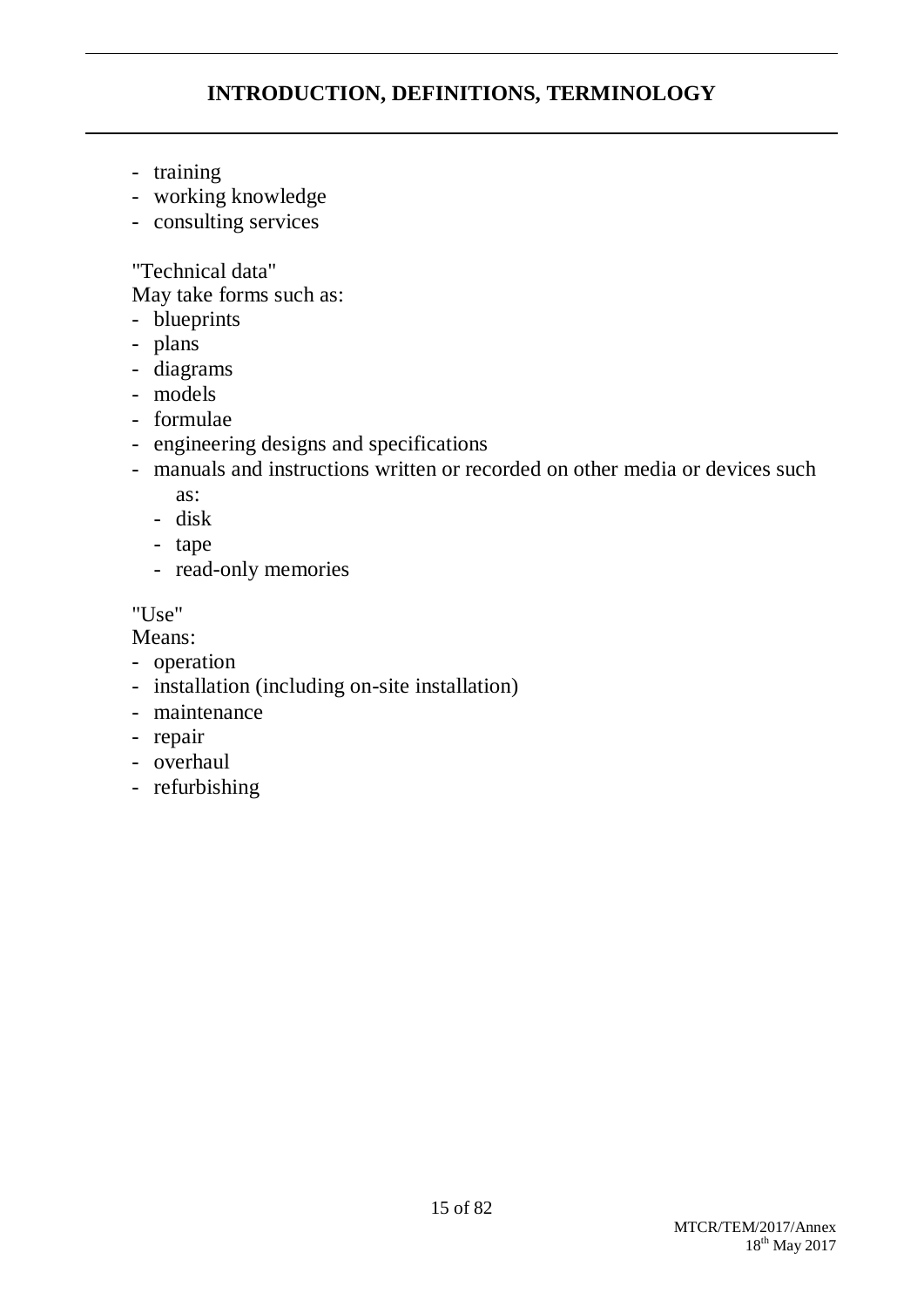- training
- working knowledge
- consulting services

"Technical data"

May take forms such as:

- blueprints
- plans
- diagrams
- models
- formulae
- engineering designs and specifications
- manuals and instructions written or recorded on other media or devices such as:
	- disk
	- tape
	- read-only memories

"Use"

Means:

- operation
- installation (including on-site installation)
- maintenance
- repair
- overhaul
- refurbishing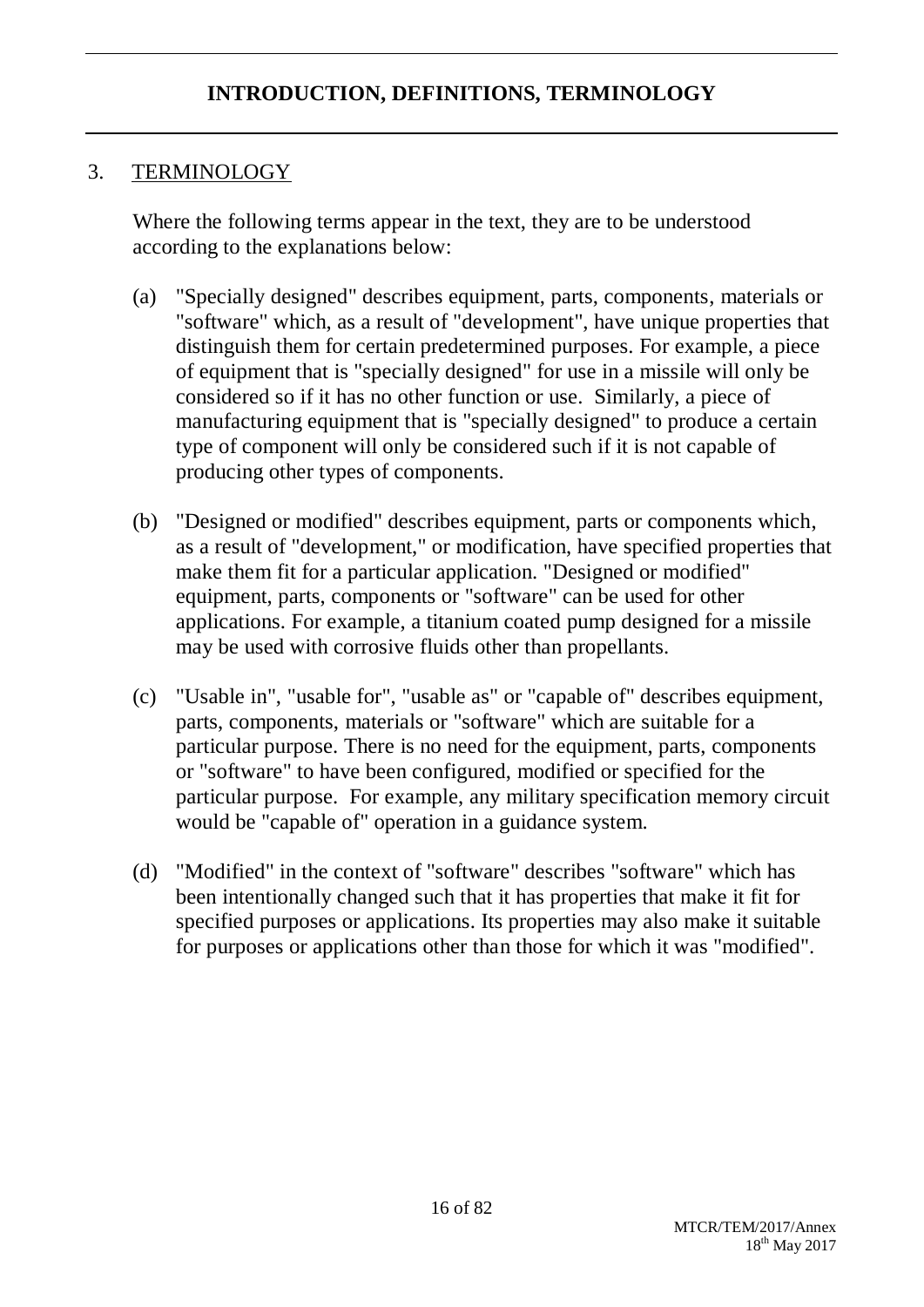# 3. TERMINOLOGY

Where the following terms appear in the text, they are to be understood according to the explanations below:

- (a) "Specially designed" describes equipment, parts, components, materials or "software" which, as a result of "development", have unique properties that distinguish them for certain predetermined purposes. For example, a piece of equipment that is "specially designed" for use in a missile will only be considered so if it has no other function or use. Similarly, a piece of manufacturing equipment that is "specially designed" to produce a certain type of component will only be considered such if it is not capable of producing other types of components.
- (b) "Designed or modified" describes equipment, parts or components which, as a result of "development," or modification, have specified properties that make them fit for a particular application. "Designed or modified" equipment, parts, components or "software" can be used for other applications. For example, a titanium coated pump designed for a missile may be used with corrosive fluids other than propellants.
- (c) "Usable in", "usable for", "usable as" or "capable of" describes equipment, parts, components, materials or "software" which are suitable for a particular purpose. There is no need for the equipment, parts, components or "software" to have been configured, modified or specified for the particular purpose. For example, any military specification memory circuit would be "capable of" operation in a guidance system.
- (d) "Modified" in the context of "software" describes "software" which has been intentionally changed such that it has properties that make it fit for specified purposes or applications. Its properties may also make it suitable for purposes or applications other than those for which it was "modified".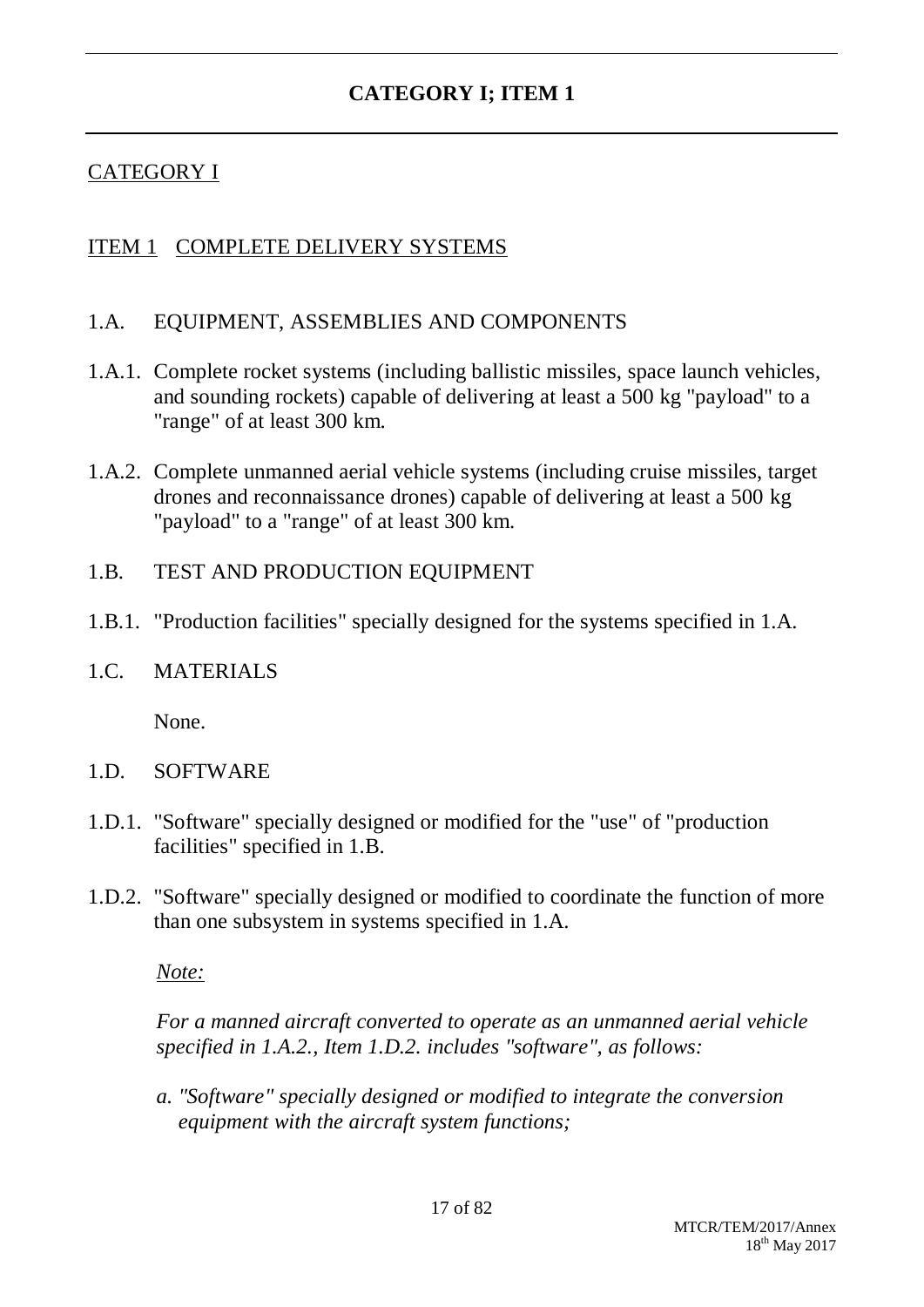## CATEGORY I

## ITEM 1 COMPLETE DELIVERY SYSTEMS

### 1.A. EQUIPMENT, ASSEMBLIES AND COMPONENTS

- 1.A.1. Complete rocket systems (including ballistic missiles, space launch vehicles, and sounding rockets) capable of delivering at least a 500 kg "payload" to a "range" of at least 300 km.
- 1.A.2. Complete unmanned aerial vehicle systems (including cruise missiles, target drones and reconnaissance drones) capable of delivering at least a 500 kg "payload" to a "range" of at least 300 km.

### 1.B. TEST AND PRODUCTION EQUIPMENT

1.B.1. "Production facilities" specially designed for the systems specified in 1.A.

### 1.C. MATERIALS

None.

- 1.D. SOFTWARE
- 1.D.1. "Software" specially designed or modified for the "use" of "production facilities" specified in 1.B.
- 1.D.2. "Software" specially designed or modified to coordinate the function of more than one subsystem in systems specified in 1.A.

*Note:*

*For a manned aircraft converted to operate as an unmanned aerial vehicle specified in 1.A.2., Item 1.D.2. includes "software", as follows:*

*a. "Software" specially designed or modified to integrate the conversion equipment with the aircraft system functions;*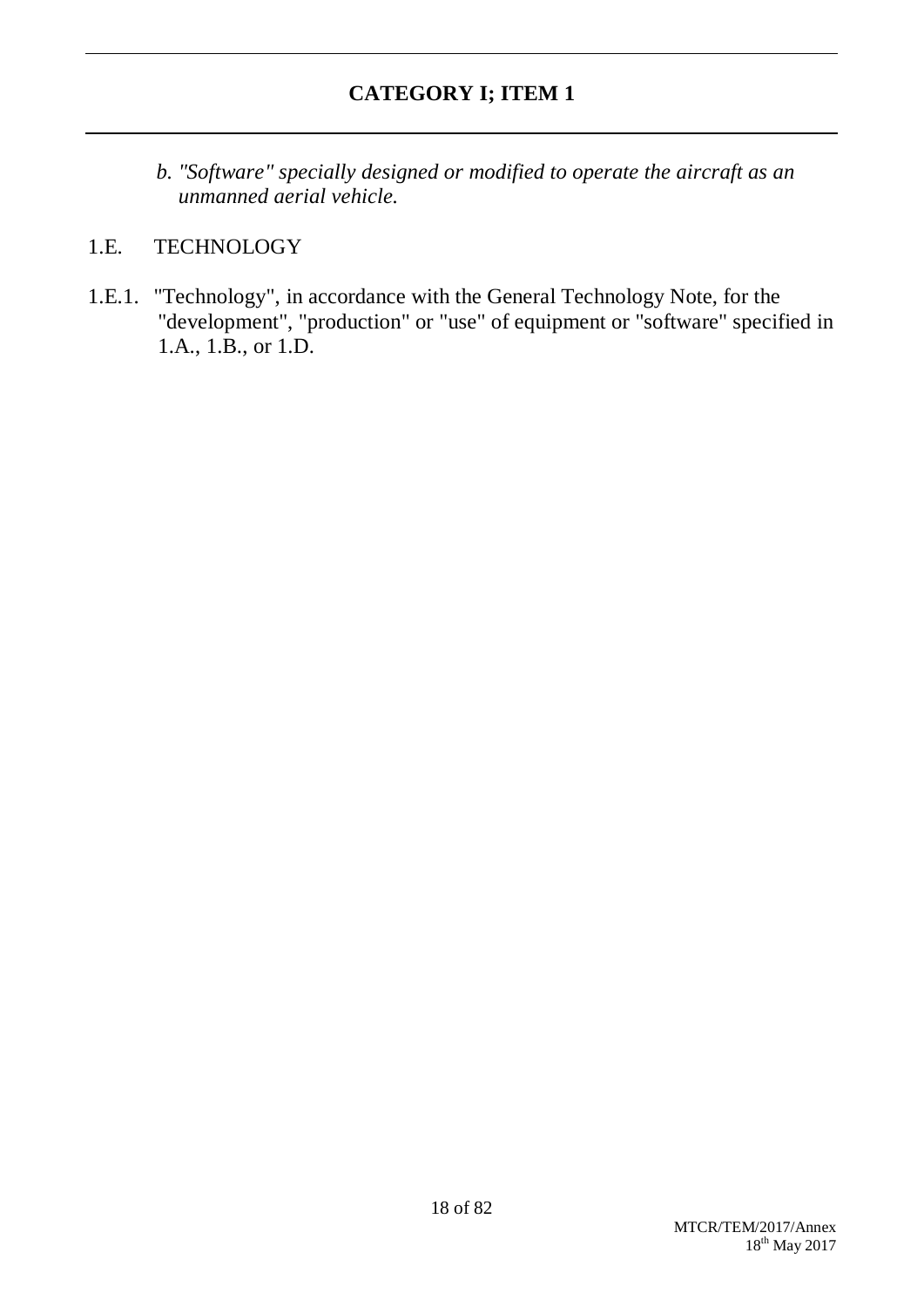*b. "Software" specially designed or modified to operate the aircraft as an unmanned aerial vehicle.*

## 1.E. TECHNOLOGY

1.E.1. "Technology", in accordance with the General Technology Note, for the "development", "production" or "use" of equipment or "software" specified in 1.A., 1.B., or 1.D.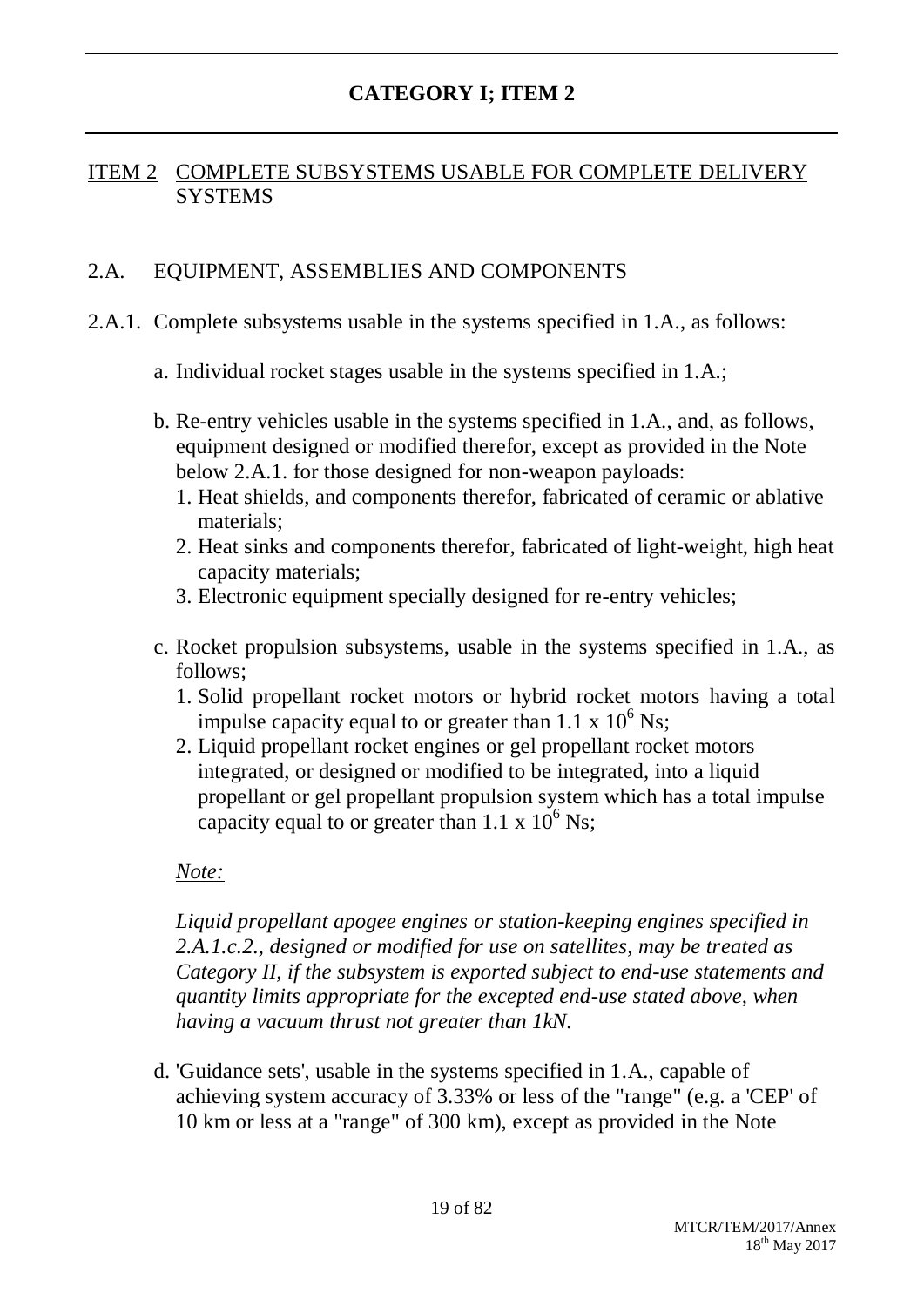## ITEM 2 COMPLETE SUBSYSTEMS USABLE FOR COMPLETE DELIVERY **SYSTEMS**

## 2.A. EQUIPMENT, ASSEMBLIES AND COMPONENTS

- 2.A.1. Complete subsystems usable in the systems specified in 1.A., as follows:
	- a. Individual rocket stages usable in the systems specified in 1.A.;
	- b. Re-entry vehicles usable in the systems specified in 1.A., and, as follows, equipment designed or modified therefor, except as provided in the Note below 2.A.1. for those designed for non-weapon payloads:
		- 1. Heat shields, and components therefor, fabricated of ceramic or ablative materials;
		- 2. Heat sinks and components therefor, fabricated of light-weight, high heat capacity materials;
		- 3. Electronic equipment specially designed for re-entry vehicles;
	- c. Rocket propulsion subsystems, usable in the systems specified in 1.A., as follows;
		- 1. Solid propellant rocket motors or hybrid rocket motors having a total impulse capacity equal to or greater than  $1.1 \times 10^6$  Ns;
		- 2. Liquid propellant rocket engines or gel propellant rocket motors integrated, or designed or modified to be integrated, into a liquid propellant or gel propellant propulsion system which has a total impulse capacity equal to or greater than 1.1 x  $10^6$  Ns;

## *Note:*

*Liquid propellant apogee engines or station-keeping engines specified in 2.A.1.c.2., designed or modified for use on satellites, may be treated as Category II, if the subsystem is exported subject to end-use statements and quantity limits appropriate for the excepted end-use stated above, when having a vacuum thrust not greater than 1kN.*

d. 'Guidance sets', usable in the systems specified in 1.A., capable of achieving system accuracy of 3.33% or less of the "range" (e.g. a 'CEP' of 10 km or less at a "range" of 300 km), except as provided in the Note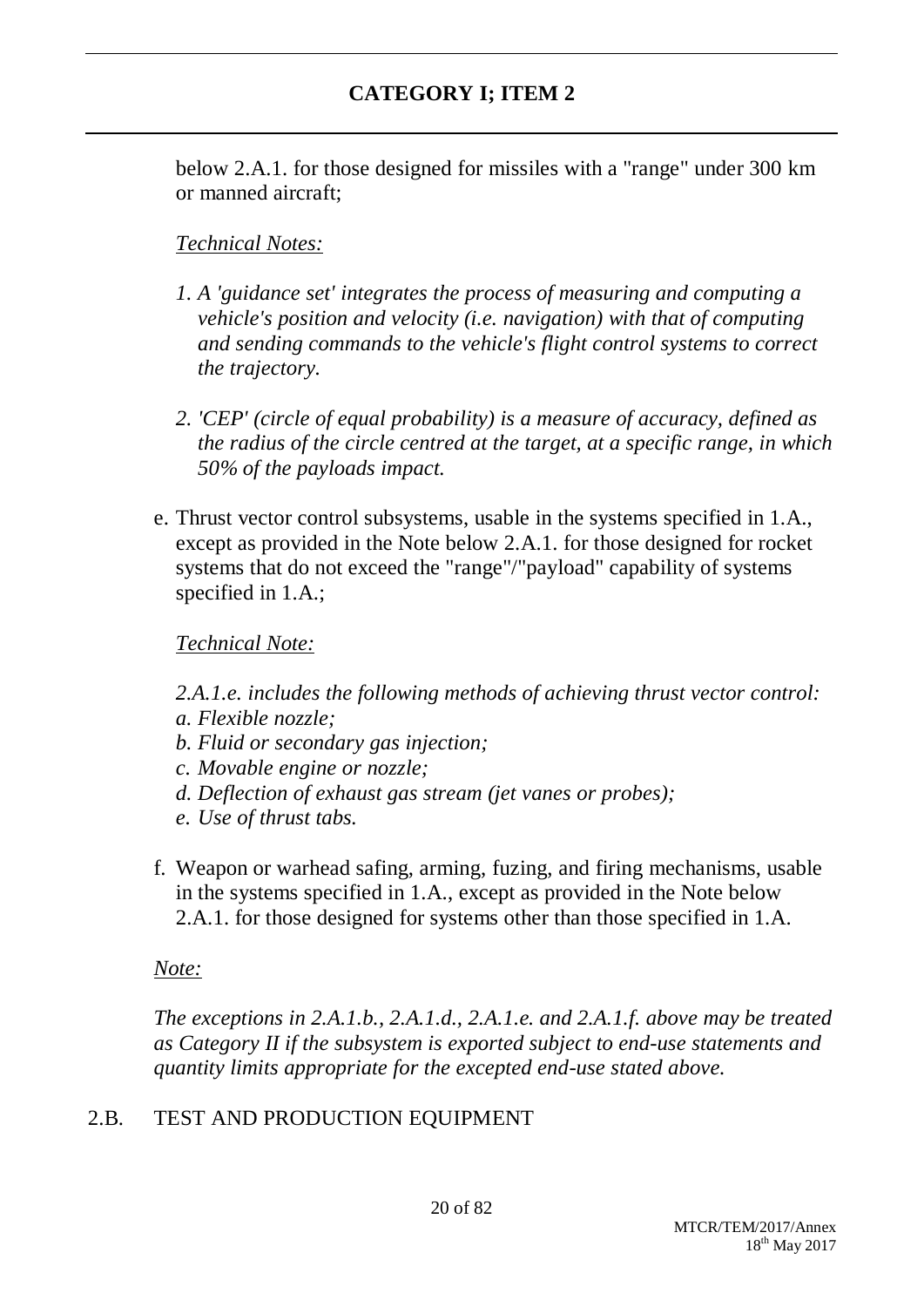below 2.A.1. for those designed for missiles with a "range" under 300 km or manned aircraft;

# *Technical Notes:*

- *1. A 'guidance set' integrates the process of measuring and computing a vehicle's position and velocity (i.e. navigation) with that of computing and sending commands to the vehicle's flight control systems to correct the trajectory.*
- *2. 'CEP' (circle of equal probability) is a measure of accuracy, defined as the radius of the circle centred at the target, at a specific range, in which 50% of the payloads impact.*
- e. Thrust vector control subsystems, usable in the systems specified in 1.A., except as provided in the Note below 2.A.1. for those designed for rocket systems that do not exceed the "range"/"payload" capability of systems specified in 1.A.;

*Technical Note:*

- *2.A.1.e. includes the following methods of achieving thrust vector control:*
- *a. Flexible nozzle;*
- *b. Fluid or secondary gas injection;*
- *c. Movable engine or nozzle;*
- *d. Deflection of exhaust gas stream (jet vanes or probes);*
- *e. Use of thrust tabs.*
- f. Weapon or warhead safing, arming, fuzing, and firing mechanisms, usable in the systems specified in 1.A., except as provided in the Note below 2.A.1. for those designed for systems other than those specified in 1.A.

## *Note:*

*The exceptions in 2.A.1.b., 2.A.1.d., 2.A.1.e. and 2.A.1.f. above may be treated as Category II if the subsystem is exported subject to end-use statements and quantity limits appropriate for the excepted end-use stated above.*

## 2.B. TEST AND PRODUCTION EQUIPMENT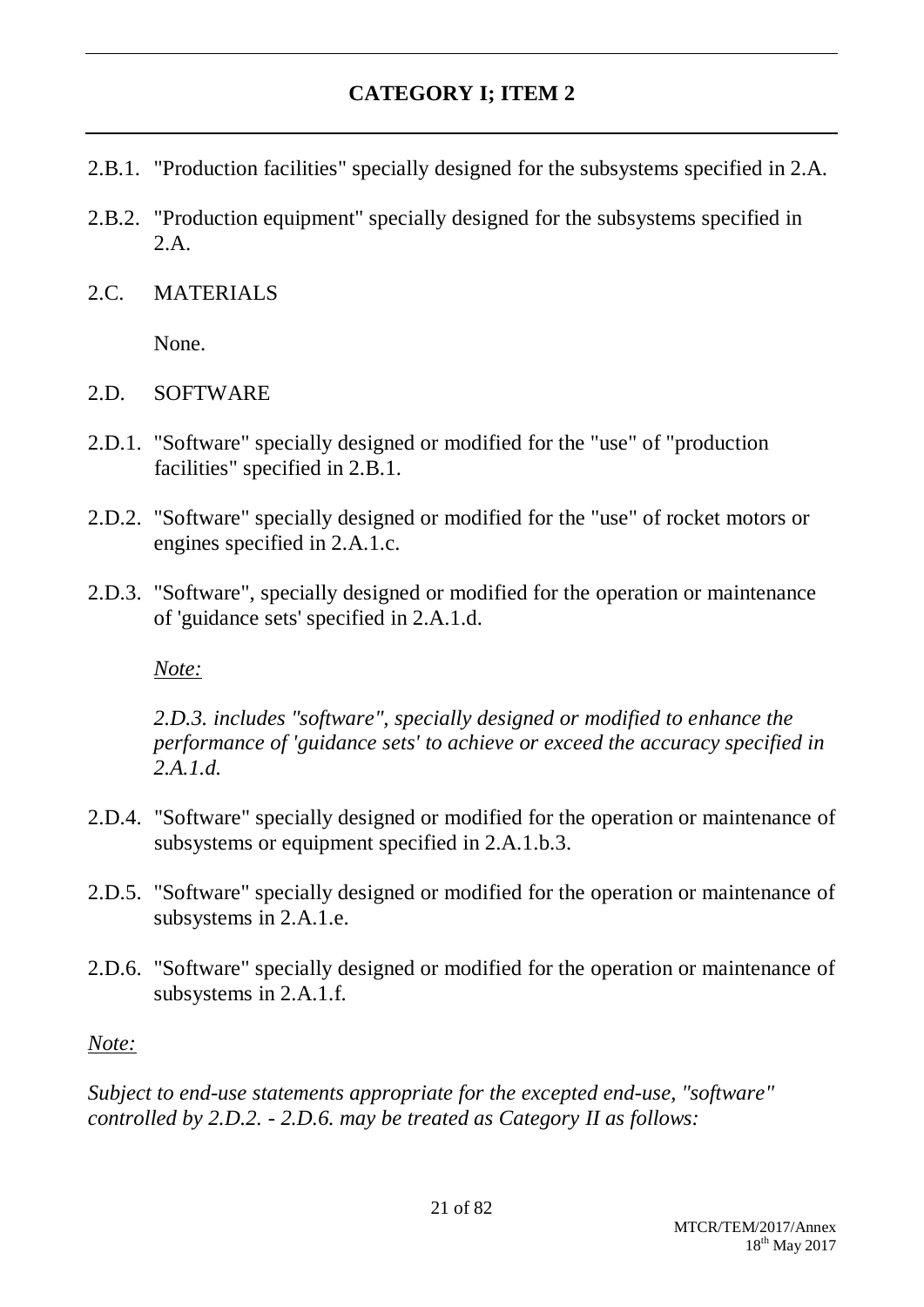- 2.B.1. "Production facilities" specially designed for the subsystems specified in 2.A.
- 2.B.2. "Production equipment" specially designed for the subsystems specified in 2.A.
- 2.C. MATERIALS

None.

- 2.D. SOFTWARE
- 2.D.1. "Software" specially designed or modified for the "use" of "production facilities" specified in 2.B.1.
- 2.D.2. "Software" specially designed or modified for the "use" of rocket motors or engines specified in 2.A.1.c.
- 2.D.3. "Software", specially designed or modified for the operation or maintenance of 'guidance sets' specified in 2.A.1.d.

*Note:*

*2.D.3. includes "software", specially designed or modified to enhance the performance of 'guidance sets' to achieve or exceed the accuracy specified in 2.A.1.d.*

- 2.D.4. "Software" specially designed or modified for the operation or maintenance of subsystems or equipment specified in 2.A.1.b.3.
- 2.D.5. "Software" specially designed or modified for the operation or maintenance of subsystems in 2.A.1.e.
- 2.D.6. "Software" specially designed or modified for the operation or maintenance of subsystems in 2.A.1.f.

## *Note:*

*Subject to end-use statements appropriate for the excepted end-use, "software" controlled by 2.D.2. - 2.D.6. may be treated as Category II as follows:*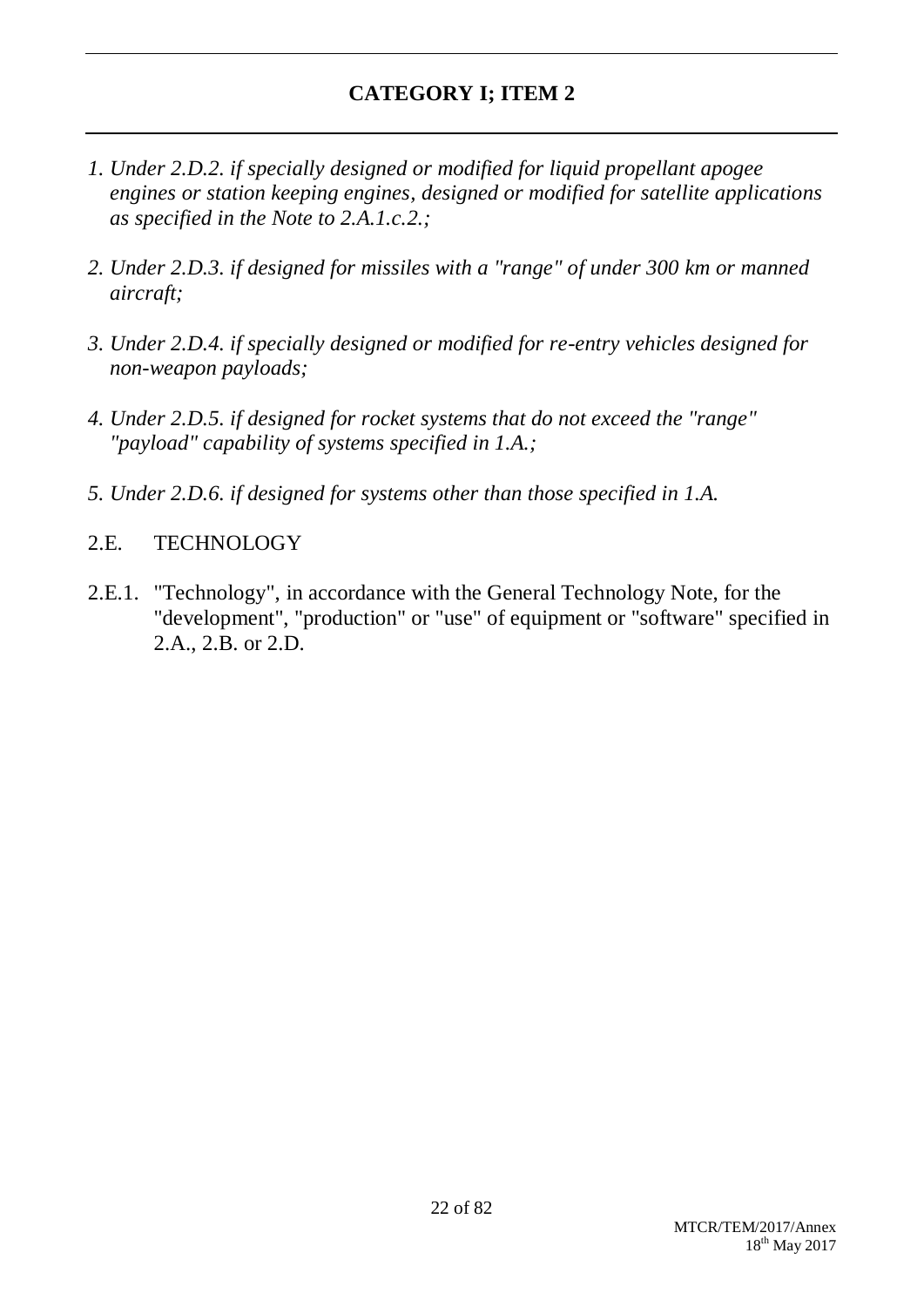- *1. Under 2.D.2. if specially designed or modified for liquid propellant apogee engines or station keeping engines, designed or modified for satellite applications as specified in the Note to 2.A.1.c.2.;*
- *2. Under 2.D.3. if designed for missiles with a "range" of under 300 km or manned aircraft;*
- *3. Under 2.D.4. if specially designed or modified for re-entry vehicles designed for non-weapon payloads;*
- *4. Under 2.D.5. if designed for rocket systems that do not exceed the "range" "payload" capability of systems specified in 1.A.;*
- *5. Under 2.D.6. if designed for systems other than those specified in 1.A.*
- 2.E. TECHNOLOGY
- 2.E.1. "Technology", in accordance with the General Technology Note, for the "development", "production" or "use" of equipment or "software" specified in 2.A., 2.B. or 2.D.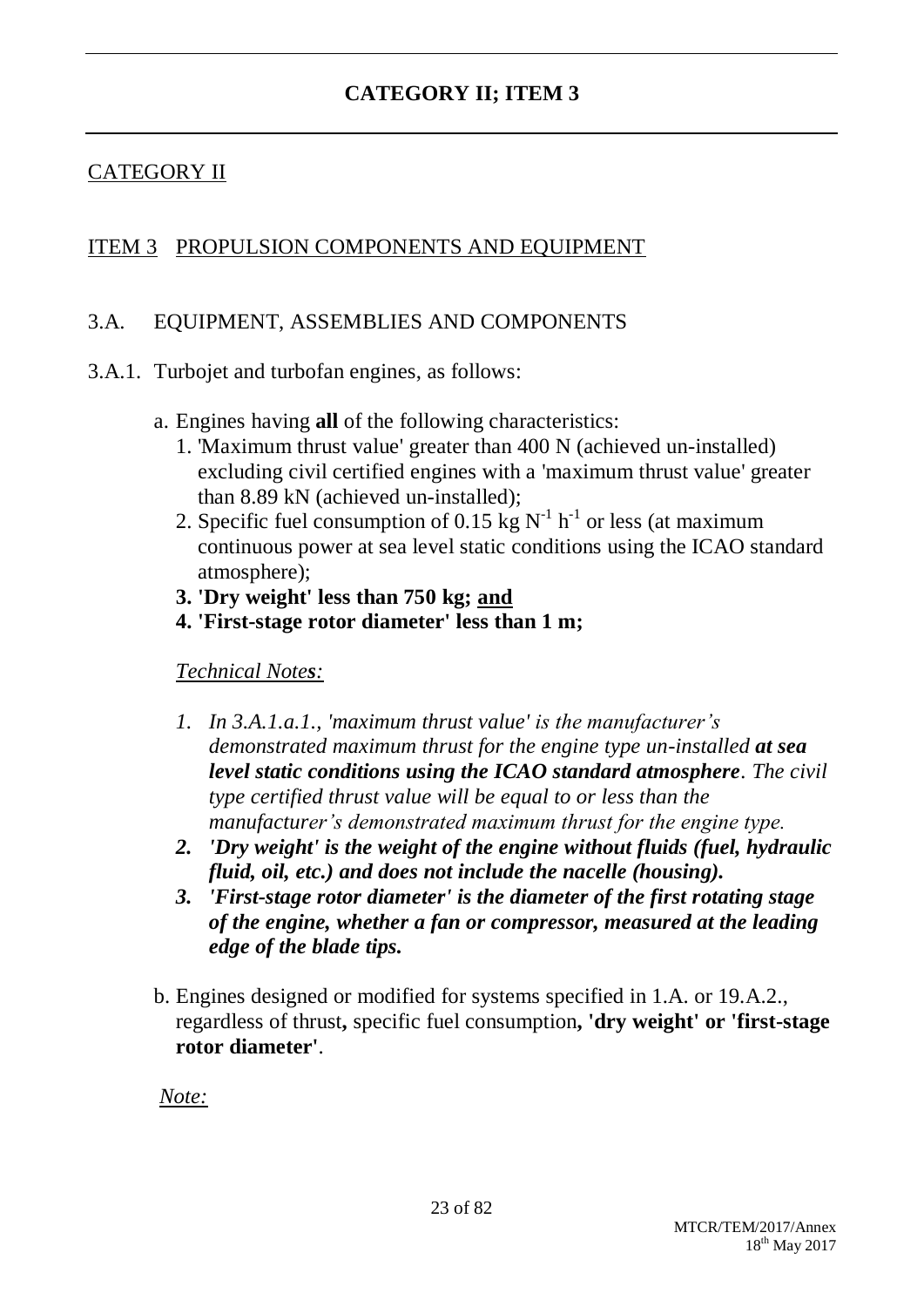# CATEGORY II

## ITEM 3 PROPULSION COMPONENTS AND EQUIPMENT

## 3.A. EQUIPMENT, ASSEMBLIES AND COMPONENTS

- 3.A.1. Turbojet and turbofan engines, as follows:
	- a. Engines having **all** of the following characteristics:
		- 1. 'Maximum thrust value' greater than 400 N (achieved un-installed) excluding civil certified engines with a 'maximum thrust value' greater than 8.89 kN (achieved un-installed);
		- 2. Specific fuel consumption of 0.15 kg  $N^{-1}$  h<sup>-1</sup> or less (at maximum continuous power at sea level static conditions using the ICAO standard atmosphere);
		- **3. 'Dry weight' less than 750 kg; and**
		- **4. 'First-stage rotor diameter' less than 1 m;**

*Technical Notes:*

- *1. In 3.A.1.a.1., 'maximum thrust value' is the manufacturer's demonstrated maximum thrust for the engine type un-installed at sea level static conditions using the ICAO standard atmosphere. The civil type certified thrust value will be equal to or less than the manufacturer's demonstrated maximum thrust for the engine type.*
- *2. 'Dry weight' is the weight of the engine without fluids (fuel, hydraulic fluid, oil, etc.) and does not include the nacelle (housing).*
- *3. 'First-stage rotor diameter' is the diameter of the first rotating stage of the engine, whether a fan or compressor, measured at the leading edge of the blade tips.*
- b. Engines designed or modified for systems specified in 1.A. or 19.A.2., regardless of thrust**,** specific fuel consumption**, 'dry weight' or 'first-stage rotor diameter'**.

*Note:*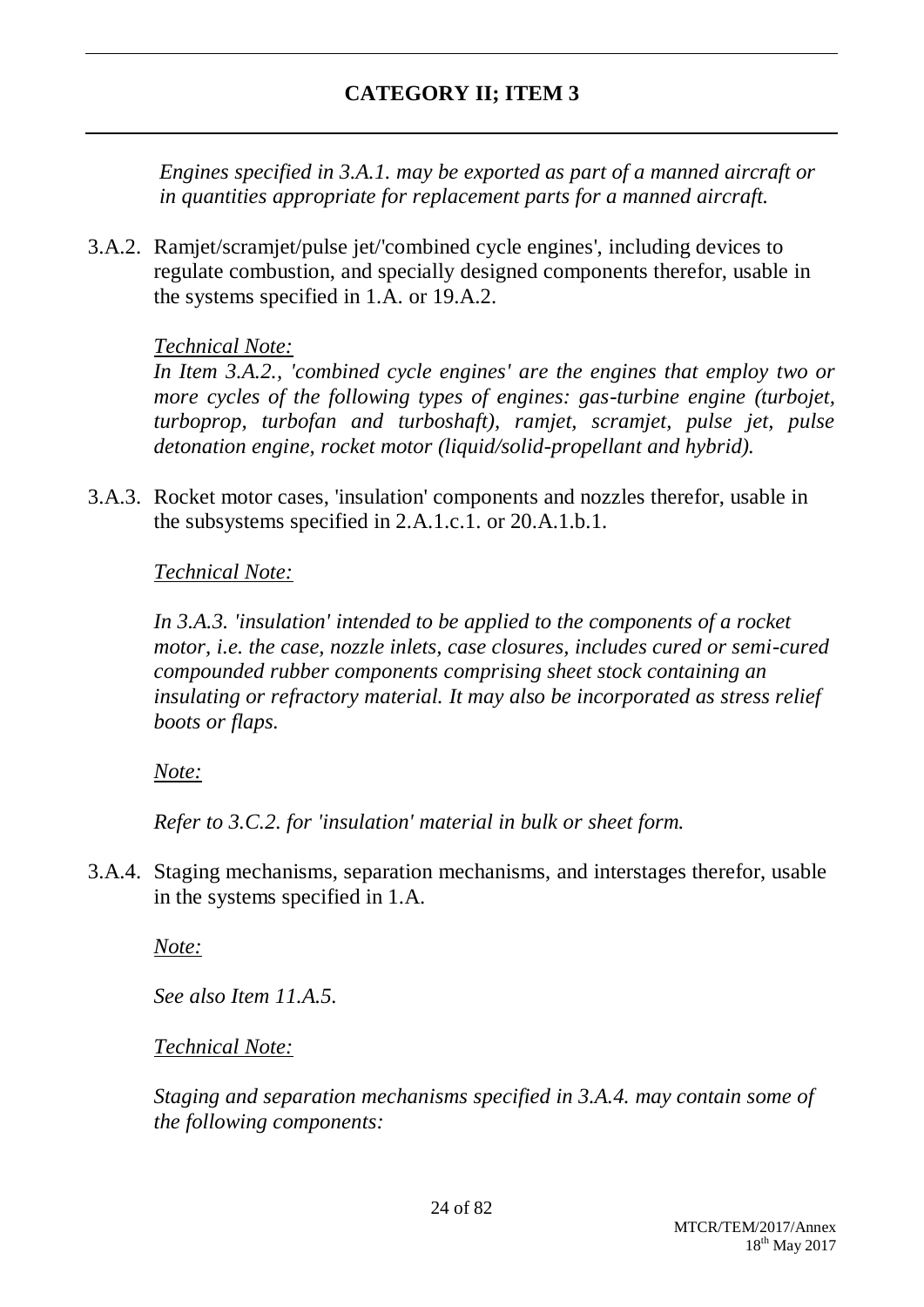*Engines specified in 3.A.1. may be exported as part of a manned aircraft or in quantities appropriate for replacement parts for a manned aircraft.*

3.A.2. Ramjet/scramjet/pulse jet/'combined cycle engines', including devices to regulate combustion, and specially designed components therefor, usable in the systems specified in 1.A. or 19.A.2.

## *Technical Note:*

*In Item 3.A.2., 'combined cycle engines' are the engines that employ two or more cycles of the following types of engines: gas-turbine engine (turbojet, turboprop, turbofan and turboshaft), ramjet, scramjet, pulse jet, pulse detonation engine, rocket motor (liquid/solid-propellant and hybrid).*

3.A.3. Rocket motor cases, 'insulation' components and nozzles therefor, usable in the subsystems specified in 2.A.1.c.1. or 20.A.1.b.1.

## *Technical Note:*

*In 3.A.3. 'insulation' intended to be applied to the components of a rocket motor, i.e. the case, nozzle inlets, case closures, includes cured or semi-cured compounded rubber components comprising sheet stock containing an insulating or refractory material. It may also be incorporated as stress relief boots or flaps.*

## *Note:*

*Refer to 3.C.2. for 'insulation' material in bulk or sheet form.*

3.A.4. Staging mechanisms, separation mechanisms, and interstages therefor, usable in the systems specified in 1.A.

*Note:*

*See also Item 11.A.5.*

## *Technical Note:*

*Staging and separation mechanisms specified in 3.A.4. may contain some of the following components:*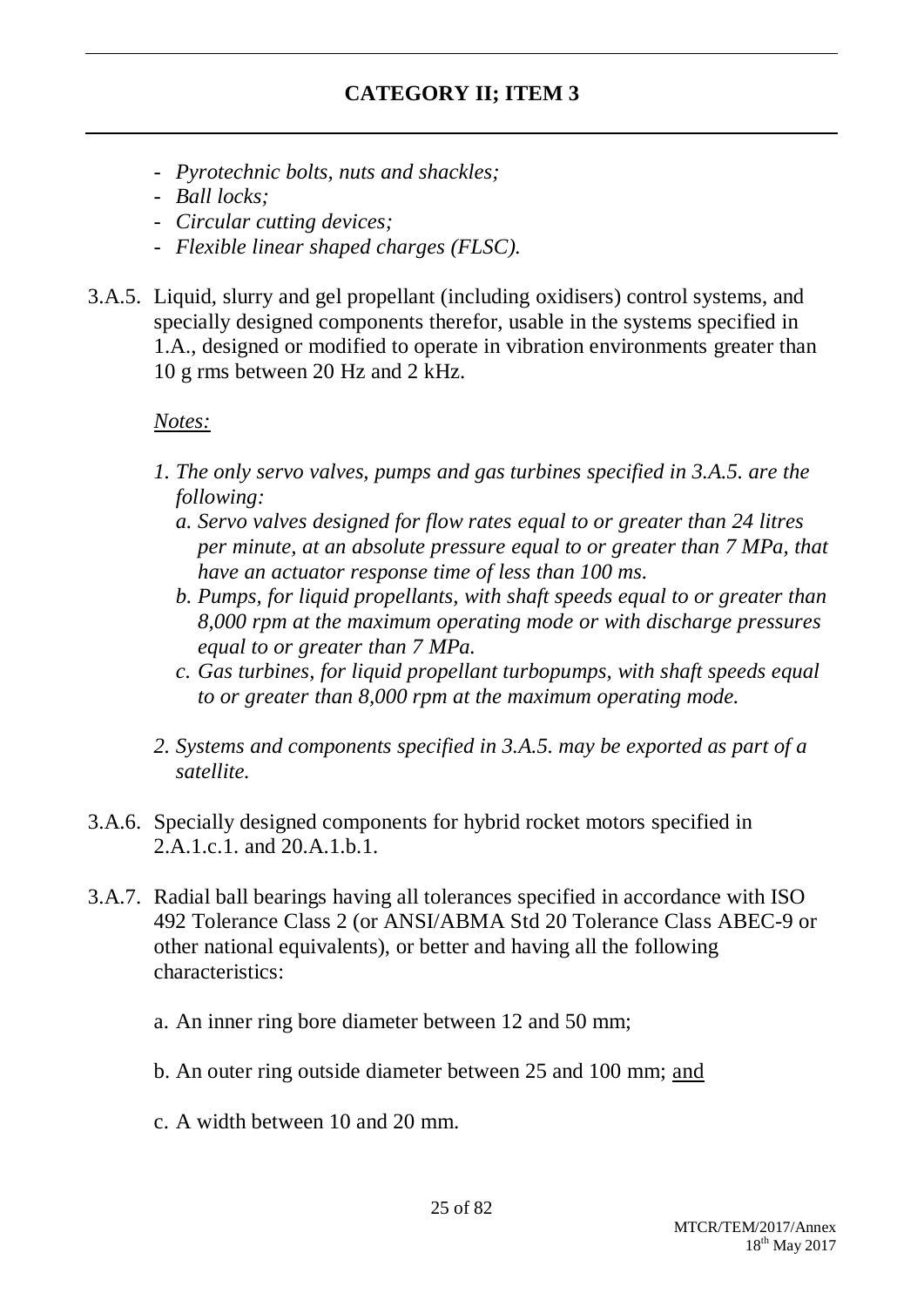- *- Pyrotechnic bolts, nuts and shackles;*
- *- Ball locks;*
- *- Circular cutting devices;*
- *- Flexible linear shaped charges (FLSC).*
- 3.A.5. Liquid, slurry and gel propellant (including oxidisers) control systems, and specially designed components therefor, usable in the systems specified in 1.A., designed or modified to operate in vibration environments greater than 10 g rms between 20 Hz and 2 kHz.

## *Notes:*

- *1. The only servo valves, pumps and gas turbines specified in 3.A.5. are the following:*
	- *a. Servo valves designed for flow rates equal to or greater than 24 litres per minute, at an absolute pressure equal to or greater than 7 MPa, that have an actuator response time of less than 100 ms.*
	- *b. Pumps, for liquid propellants, with shaft speeds equal to or greater than 8,000 rpm at the maximum operating mode or with discharge pressures equal to or greater than 7 MPa.*
	- *c. Gas turbines, for liquid propellant turbopumps, with shaft speeds equal to or greater than 8,000 rpm at the maximum operating mode.*
- *2. Systems and components specified in 3.A.5. may be exported as part of a satellite.*
- 3.A.6. Specially designed components for hybrid rocket motors specified in 2.A.1.c.1. and 20.A.1.b.1.
- 3.A.7. Radial ball bearings having all tolerances specified in accordance with ISO 492 Tolerance Class 2 (or ANSI/ABMA Std 20 Tolerance Class ABEC-9 or other national equivalents), or better and having all the following characteristics:
	- a. An inner ring bore diameter between 12 and 50 mm;
	- b. An outer ring outside diameter between 25 and 100 mm; and
	- c. A width between 10 and 20 mm.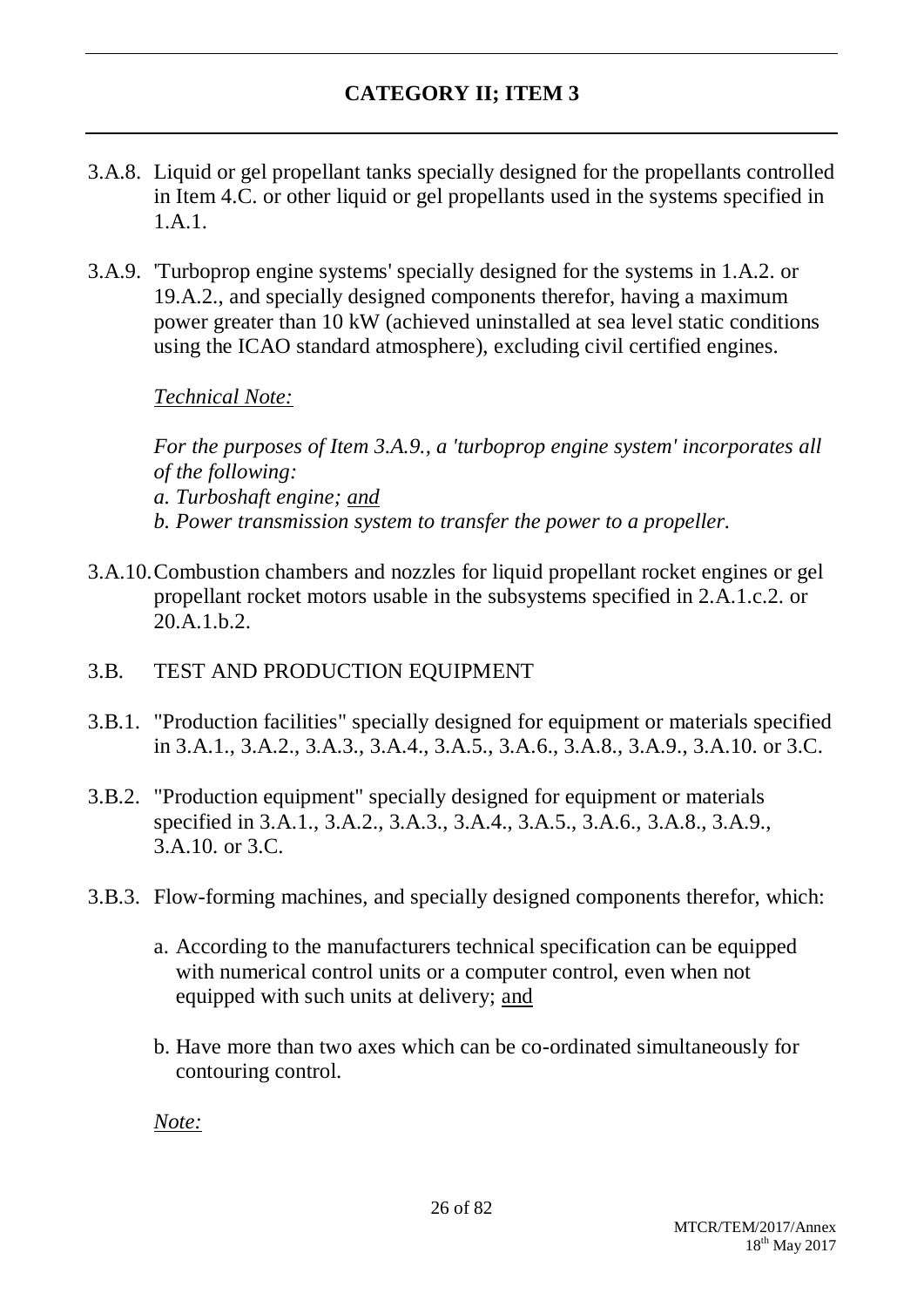- 3.A.8. Liquid or gel propellant tanks specially designed for the propellants controlled in Item 4.C. or other liquid or gel propellants used in the systems specified in 1.A.1.
- 3.A.9. 'Turboprop engine systems' specially designed for the systems in 1.A.2. or 19.A.2., and specially designed components therefor, having a maximum power greater than 10 kW (achieved uninstalled at sea level static conditions using the ICAO standard atmosphere), excluding civil certified engines.

*Technical Note:*

*For the purposes of Item 3.A.9., a 'turboprop engine system' incorporates all of the following: a. Turboshaft engine; and b. Power transmission system to transfer the power to a propeller.*

3.A.10.Combustion chambers and nozzles for liquid propellant rocket engines or gel propellant rocket motors usable in the subsystems specified in 2.A.1.c.2. or 20.A.1.b.2.

## 3.B. TEST AND PRODUCTION EQUIPMENT

- 3.B.1. "Production facilities" specially designed for equipment or materials specified in 3.A.1., 3.A.2., 3.A.3., 3.A.4., 3.A.5., 3.A.6., 3.A.8., 3.A.9., 3.A.10. or 3.C.
- 3.B.2. "Production equipment" specially designed for equipment or materials specified in 3.A.1., 3.A.2., 3.A.3., 3.A.4., 3.A.5., 3.A.6., 3.A.8., 3.A.9., 3.A.10. or 3.C.
- 3.B.3. Flow-forming machines, and specially designed components therefor, which:
	- a. According to the manufacturers technical specification can be equipped with numerical control units or a computer control, even when not equipped with such units at delivery; and
	- b. Have more than two axes which can be co-ordinated simultaneously for contouring control.

*Note:*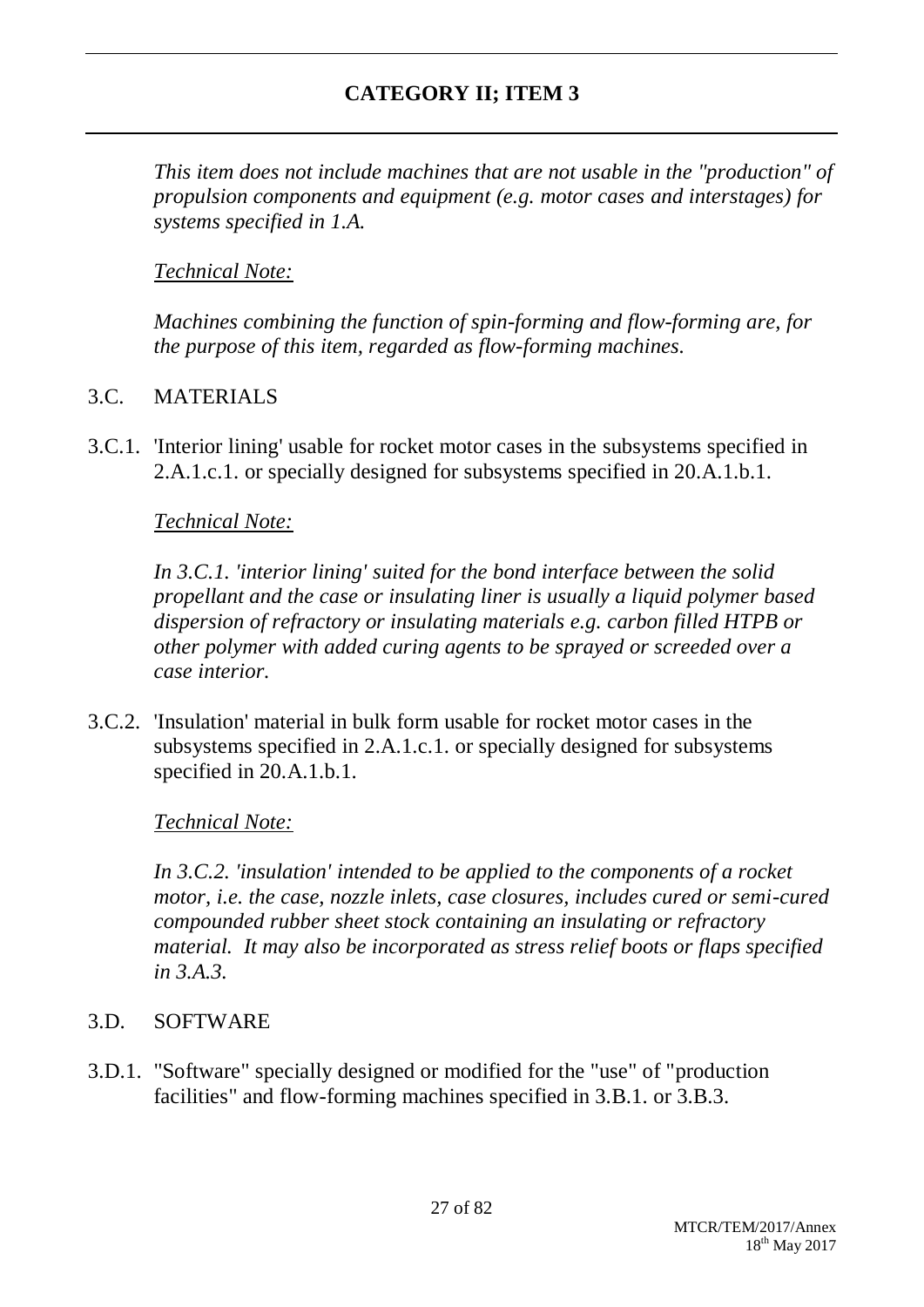*This item does not include machines that are not usable in the "production" of propulsion components and equipment (e.g. motor cases and interstages) for systems specified in 1.A.*

# *Technical Note:*

*Machines combining the function of spin-forming and flow-forming are, for the purpose of this item, regarded as flow-forming machines.*

## 3.C. MATERIALS

3.C.1. 'Interior lining' usable for rocket motor cases in the subsystems specified in 2.A.1.c.1. or specially designed for subsystems specified in 20.A.1.b.1.

## *Technical Note:*

*In 3.C.1. 'interior lining' suited for the bond interface between the solid propellant and the case or insulating liner is usually a liquid polymer based dispersion of refractory or insulating materials e.g. carbon filled HTPB or other polymer with added curing agents to be sprayed or screeded over a case interior.*

3.C.2. 'Insulation' material in bulk form usable for rocket motor cases in the subsystems specified in 2.A.1.c.1. or specially designed for subsystems specified in 20.A.1.b.1.

## *Technical Note:*

*In 3.C.2. 'insulation' intended to be applied to the components of a rocket motor, i.e. the case, nozzle inlets, case closures, includes cured or semi-cured compounded rubber sheet stock containing an insulating or refractory material. It may also be incorporated as stress relief boots or flaps specified in 3.A.3.*

## 3.D. SOFTWARE

3.D.1. "Software" specially designed or modified for the "use" of "production facilities" and flow-forming machines specified in 3.B.1. or 3.B.3.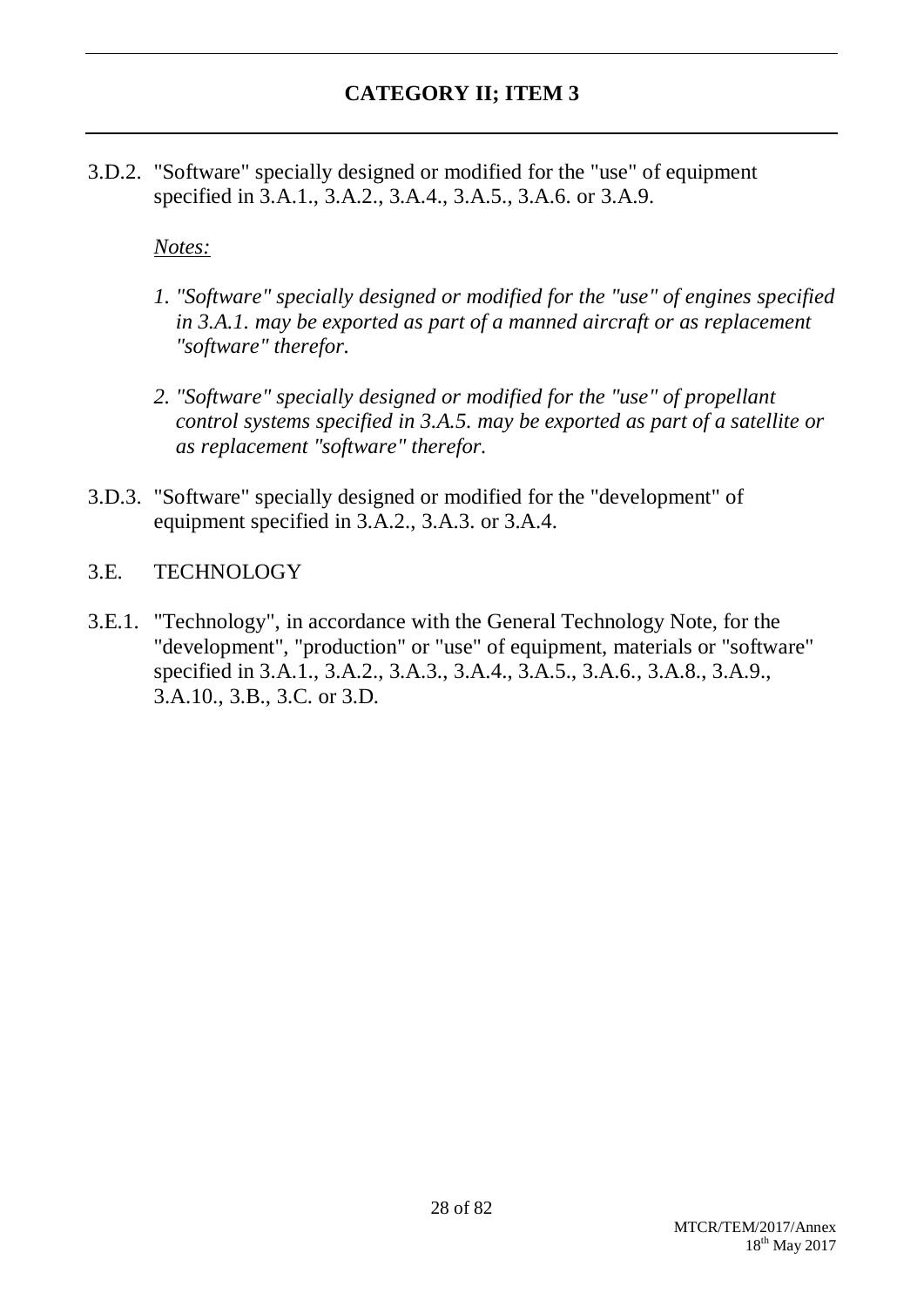3.D.2. "Software" specially designed or modified for the "use" of equipment specified in 3.A.1., 3.A.2., 3.A.4., 3.A.5., 3.A.6. or 3.A.9.

## *Notes:*

- *1. "Software" specially designed or modified for the "use" of engines specified in 3.A.1. may be exported as part of a manned aircraft or as replacement "software" therefor.*
- *2. "Software" specially designed or modified for the "use" of propellant control systems specified in 3.A.5. may be exported as part of a satellite or as replacement "software" therefor.*
- 3.D.3. "Software" specially designed or modified for the "development" of equipment specified in 3.A.2., 3.A.3. or 3.A.4.

## 3.E. TECHNOLOGY

3.E.1. "Technology", in accordance with the General Technology Note, for the "development", "production" or "use" of equipment, materials or "software" specified in 3.A.1., 3.A.2., 3.A.3., 3.A.4., 3.A.5., 3.A.6., 3.A.8., 3.A.9., 3.A.10., 3.B., 3.C. or 3.D.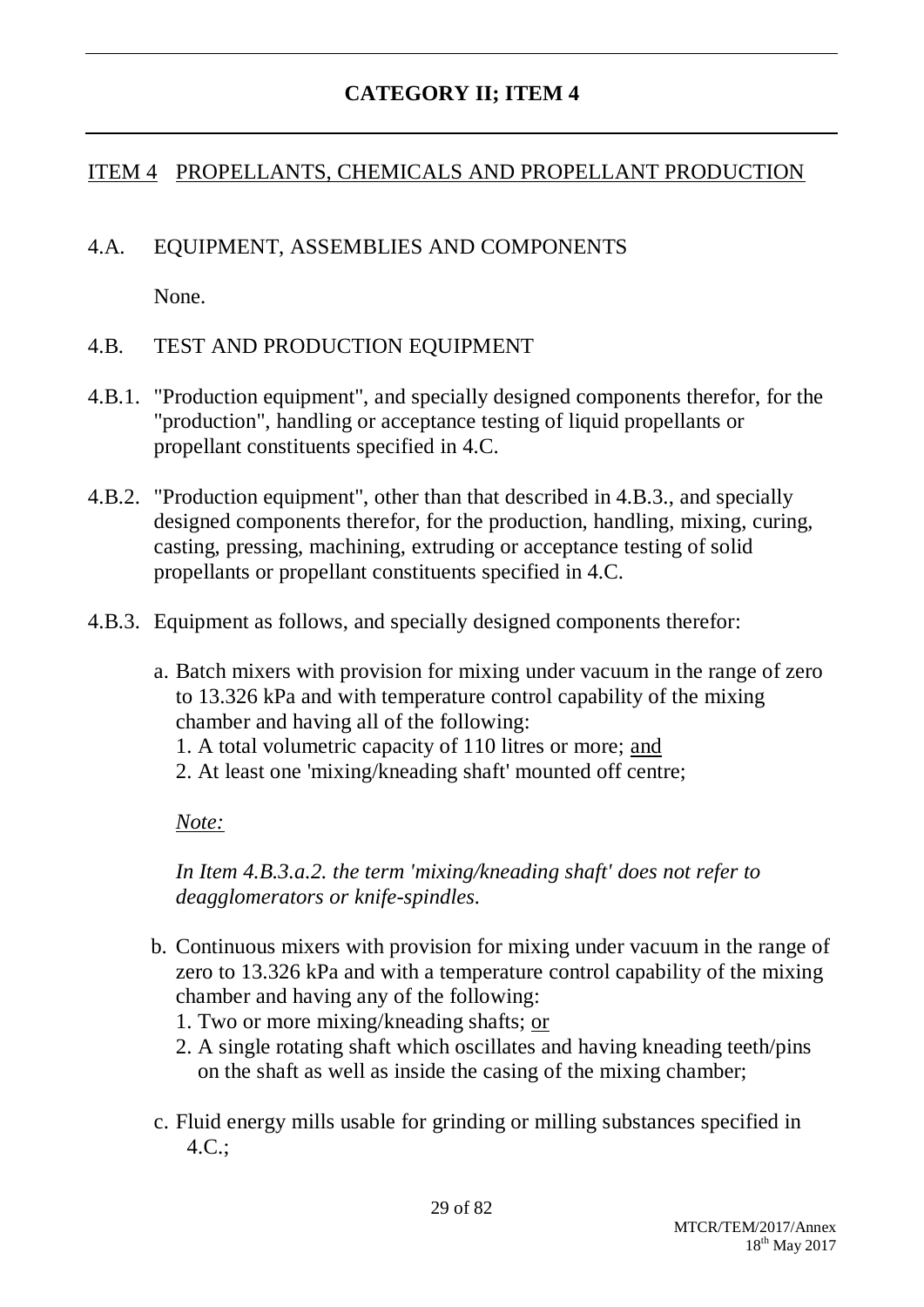## ITEM 4 PROPELLANTS, CHEMICALS AND PROPELLANT PRODUCTION

## 4.A. EQUIPMENT, ASSEMBLIES AND COMPONENTS

None.

## 4.B. TEST AND PRODUCTION EQUIPMENT

- 4.B.1. "Production equipment", and specially designed components therefor, for the "production", handling or acceptance testing of liquid propellants or propellant constituents specified in 4.C.
- 4.B.2. "Production equipment", other than that described in 4.B.3., and specially designed components therefor, for the production, handling, mixing, curing, casting, pressing, machining, extruding or acceptance testing of solid propellants or propellant constituents specified in 4.C.
- 4.B.3. Equipment as follows, and specially designed components therefor:
	- a. Batch mixers with provision for mixing under vacuum in the range of zero to 13.326 kPa and with temperature control capability of the mixing chamber and having all of the following:
		- 1. A total volumetric capacity of 110 litres or more; and
		- 2. At least one 'mixing/kneading shaft' mounted off centre;

*Note:*

*In Item 4.B.3.a.2. the term 'mixing/kneading shaft' does not refer to deagglomerators or knife-spindles.*

- b. Continuous mixers with provision for mixing under vacuum in the range of zero to 13.326 kPa and with a temperature control capability of the mixing chamber and having any of the following:
	- 1. Two or more mixing/kneading shafts; or
	- 2. A single rotating shaft which oscillates and having kneading teeth/pins on the shaft as well as inside the casing of the mixing chamber;
- c. Fluid energy mills usable for grinding or milling substances specified in 4.C.;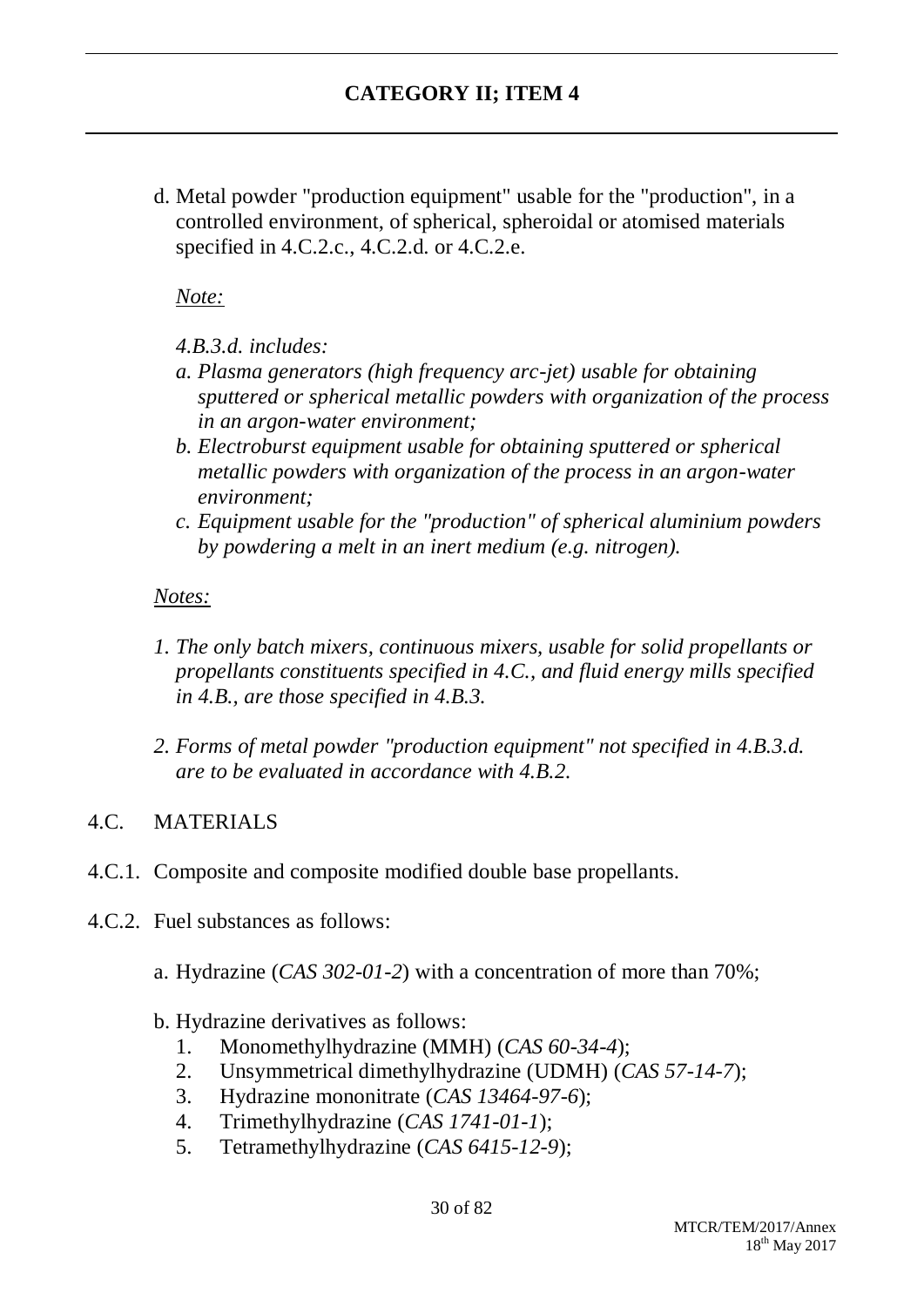d. Metal powder "production equipment" usable for the "production", in a controlled environment, of spherical, spheroidal or atomised materials specified in 4.C.2.c., 4.C.2.d. or 4.C.2.e.

*Note:*

- *4.B.3.d. includes:*
- *a. Plasma generators (high frequency arc-jet) usable for obtaining sputtered or spherical metallic powders with organization of the process in an argon-water environment;*
- *b. Electroburst equipment usable for obtaining sputtered or spherical metallic powders with organization of the process in an argon-water environment;*
- *c. Equipment usable for the "production" of spherical aluminium powders by powdering a melt in an inert medium (e.g. nitrogen).*

## *Notes:*

- *1. The only batch mixers, continuous mixers, usable for solid propellants or propellants constituents specified in 4.C., and fluid energy mills specified in 4.B., are those specified in 4.B.3.*
- *2. Forms of metal powder "production equipment" not specified in 4.B.3.d. are to be evaluated in accordance with 4.B.2.*

## 4.C. MATERIALS

- 4.C.1. Composite and composite modified double base propellants.
- 4.C.2. Fuel substances as follows:
	- a. Hydrazine (*CAS 302-01-2*) with a concentration of more than 70%;
	- b. Hydrazine derivatives as follows:
		- 1. Monomethylhydrazine (MMH) (*CAS 60-34-4*);
		- 2. Unsymmetrical dimethylhydrazine (UDMH) (*CAS 57-14-7*);
		- 3. Hydrazine mononitrate (*CAS 13464-97-6*);
		- 4. Trimethylhydrazine (*CAS 1741-01-1*);
		- 5. Tetramethylhydrazine (*CAS 6415-12-9*);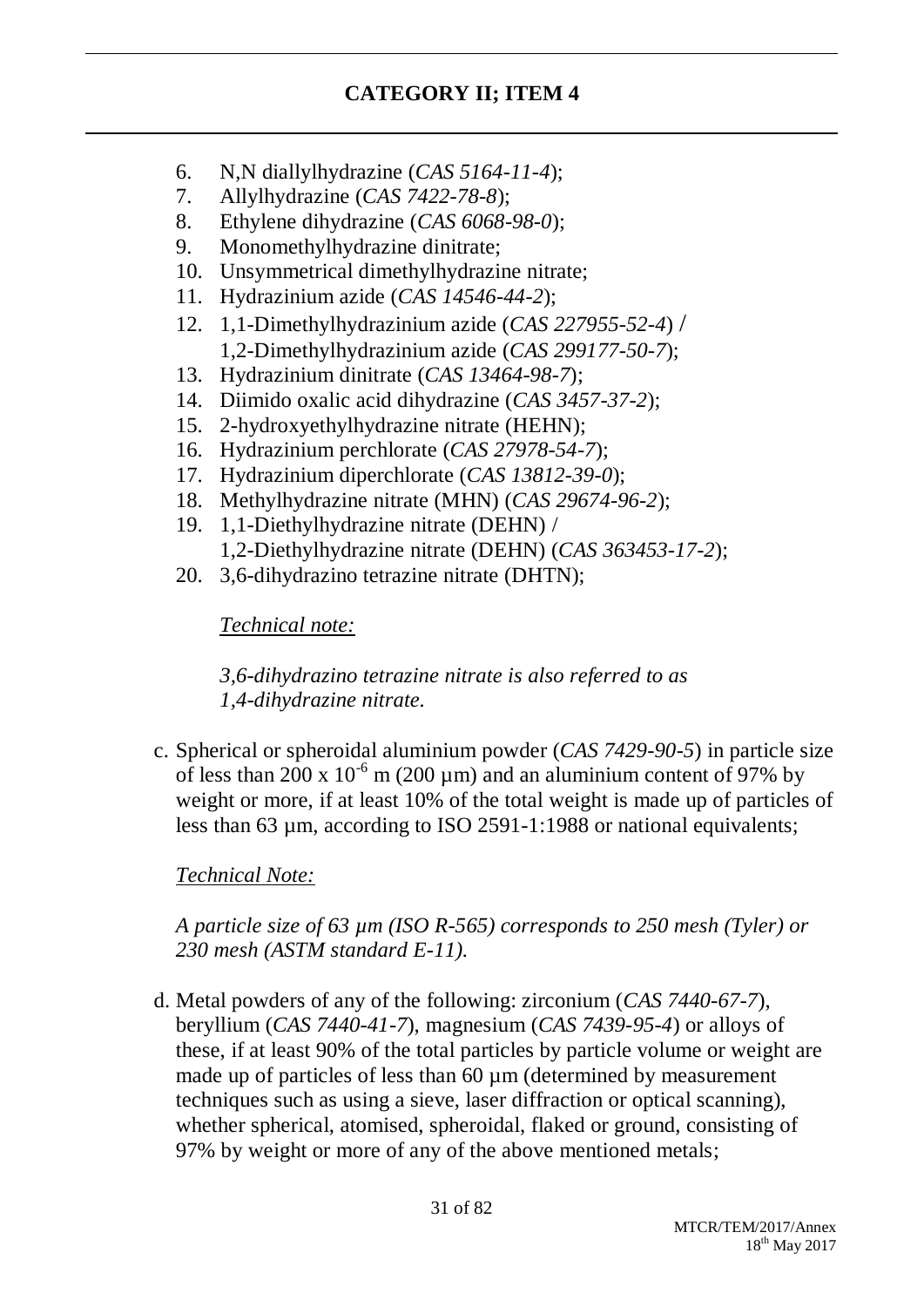- 6. N,N diallylhydrazine (*CAS 5164-11-4*);
- 7. Allylhydrazine (*CAS 7422-78-8*);
- 8. Ethylene dihydrazine (*CAS 6068-98-0*);
- 9. Monomethylhydrazine dinitrate;
- 10. Unsymmetrical dimethylhydrazine nitrate;
- 11. Hydrazinium azide (*CAS 14546-44-2*);
- 12. 1,1-Dimethylhydrazinium azide (*CAS 227955-52-4*) / 1,2-Dimethylhydrazinium azide (*CAS 299177-50-7*);
- 13. Hydrazinium dinitrate (*CAS 13464-98-7*);
- 14. Diimido oxalic acid dihydrazine (*CAS 3457-37-2*);
- 15. 2-hydroxyethylhydrazine nitrate (HEHN);
- 16. Hydrazinium perchlorate (*CAS 27978-54-7*);
- 17. Hydrazinium diperchlorate (*CAS 13812-39-0*);
- 18. Methylhydrazine nitrate (MHN) (*CAS 29674-96-2*);
- 19. 1,1-Diethylhydrazine nitrate (DEHN) / 1,2-Diethylhydrazine nitrate (DEHN) (*CAS 363453-17-2*);
- 20. 3,6-dihydrazino tetrazine nitrate (DHTN);

*Technical note:*

*3,6-dihydrazino tetrazine nitrate is also referred to as 1,4-dihydrazine nitrate.*

c. Spherical or spheroidal aluminium powder (*CAS 7429-90-5*) in particle size of less than 200 x  $10^{-6}$  m (200 µm) and an aluminium content of 97% by weight or more, if at least 10% of the total weight is made up of particles of less than 63 µm, according to ISO 2591-1:1988 or national equivalents;

*Technical Note:*

*A particle size of 63 µm (ISO R-565) corresponds to 250 mesh (Tyler) or 230 mesh (ASTM standard E-11).*

d. Metal powders of any of the following: zirconium (*CAS 7440-67-7*), beryllium (*CAS 7440-41-7*), magnesium (*CAS 7439-95-4*) or alloys of these, if at least 90% of the total particles by particle volume or weight are made up of particles of less than 60  $\mu$ m (determined by measurement techniques such as using a sieve, laser diffraction or optical scanning), whether spherical, atomised, spheroidal, flaked or ground, consisting of 97% by weight or more of any of the above mentioned metals;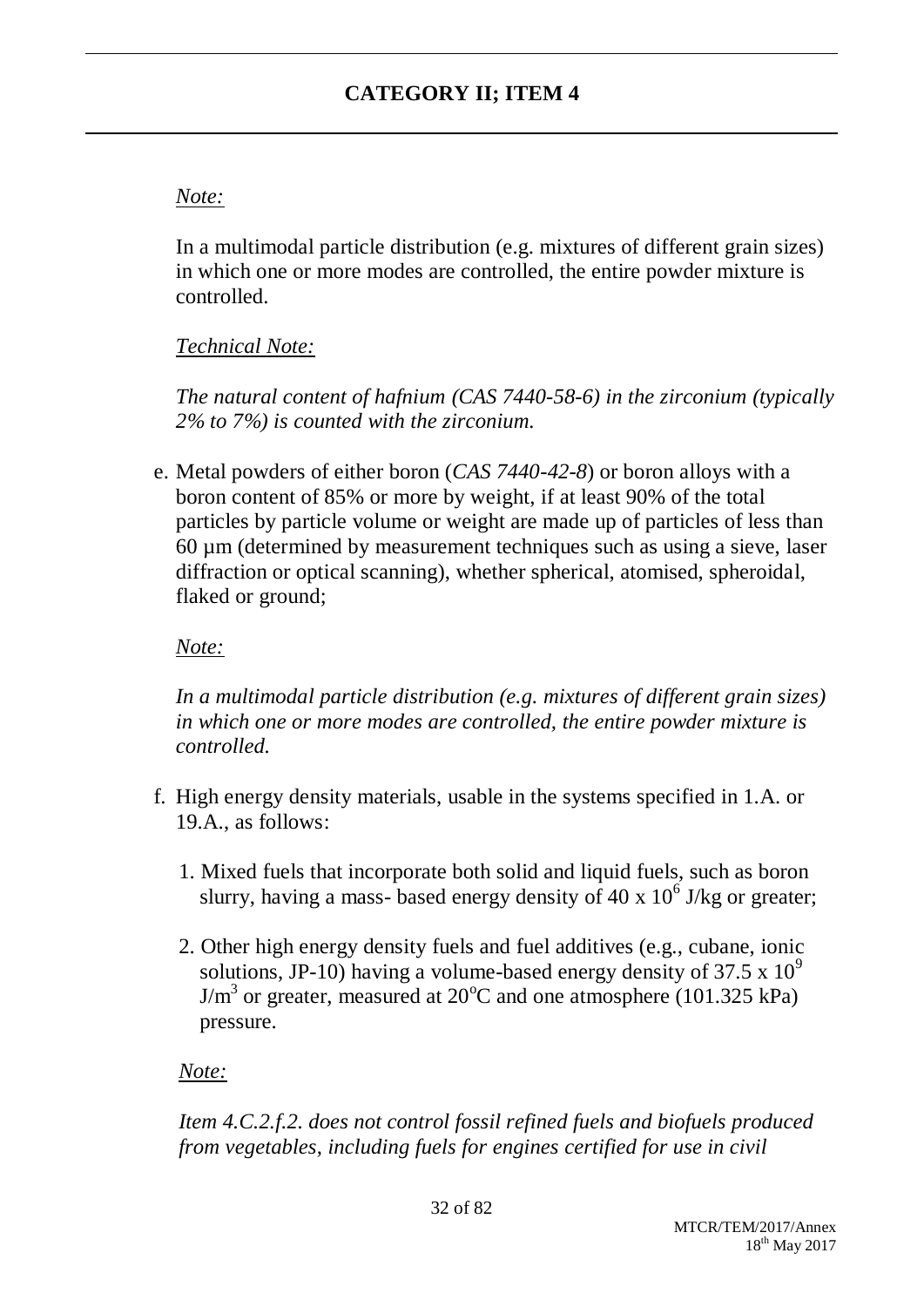# *Note:*

In a multimodal particle distribution (e.g. mixtures of different grain sizes) in which one or more modes are controlled, the entire powder mixture is controlled.

# *Technical Note:*

*The natural content of hafnium (CAS 7440-58-6) in the zirconium (typically 2% to 7%) is counted with the zirconium.*

e. Metal powders of either boron (*CAS 7440-42-8*) or boron alloys with a boron content of 85% or more by weight, if at least 90% of the total particles by particle volume or weight are made up of particles of less than 60 µm (determined by measurement techniques such as using a sieve, laser diffraction or optical scanning), whether spherical, atomised, spheroidal, flaked or ground;

## *Note:*

*In a multimodal particle distribution (e.g. mixtures of different grain sizes) in which one or more modes are controlled, the entire powder mixture is controlled.*

- f. High energy density materials, usable in the systems specified in 1.A. or 19.A., as follows:
	- 1. Mixed fuels that incorporate both solid and liquid fuels, such as boron slurry, having a mass-based energy density of 40 x  $10^6$  J/kg or greater;
	- 2. Other high energy density fuels and fuel additives (e.g., cubane, ionic solutions, JP-10) having a volume-based energy density of  $37.5 \times 10^9$  $J/m<sup>3</sup>$  or greater, measured at 20<sup>o</sup>C and one atmosphere (101.325 kPa) pressure.

## *Note:*

*Item 4.C.2.f.2. does not control fossil refined fuels and biofuels produced from vegetables, including fuels for engines certified for use in civil*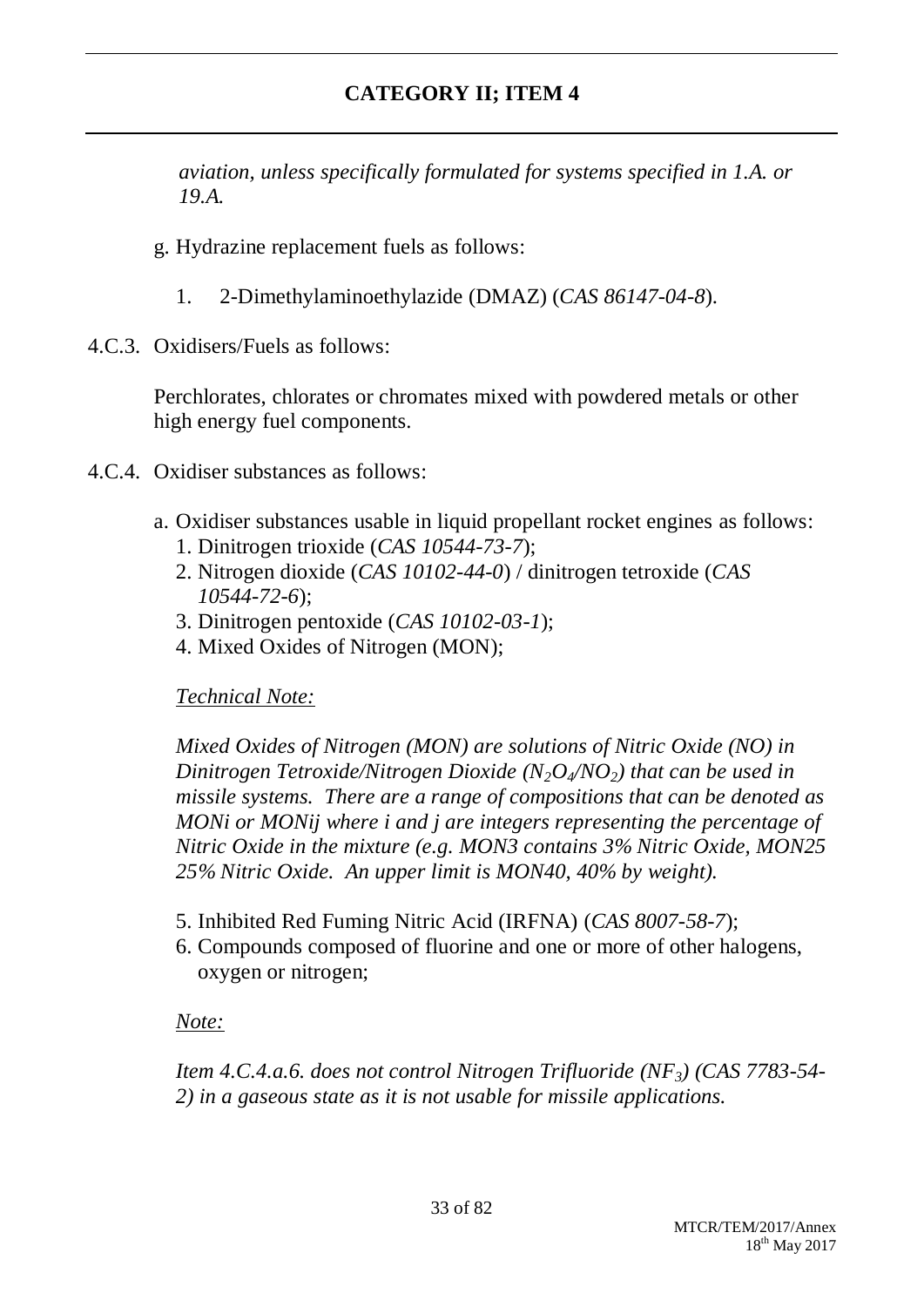*aviation, unless specifically formulated for systems specified in 1.A. or 19.A.*

- g. Hydrazine replacement fuels as follows:
	- 1. 2-Dimethylaminoethylazide (DMAZ) (*CAS 86147-04-8*).
- 4.C.3. Oxidisers/Fuels as follows:

Perchlorates, chlorates or chromates mixed with powdered metals or other high energy fuel components.

- 4.C.4. Oxidiser substances as follows:
	- a. Oxidiser substances usable in liquid propellant rocket engines as follows:
		- 1. Dinitrogen trioxide (*CAS 10544-73-7*);
		- 2. Nitrogen dioxide (*CAS 10102-44-0*) / dinitrogen tetroxide (*CAS 10544-72-6*);
		- 3. Dinitrogen pentoxide (*CAS 10102-03-1*);
		- 4. Mixed Oxides of Nitrogen (MON);

*Technical Note:*

*Mixed Oxides of Nitrogen (MON) are solutions of Nitric Oxide (NO) in Dinitrogen Tetroxide/Nitrogen Dioxide (N2O4/NO2) that can be used in missile systems. There are a range of compositions that can be denoted as MONi or MONij where i and j are integers representing the percentage of Nitric Oxide in the mixture (e.g. MON3 contains 3% Nitric Oxide, MON25 25% Nitric Oxide. An upper limit is MON40, 40% by weight).*

- 5. Inhibited Red Fuming Nitric Acid (IRFNA) (*CAS 8007-58-7*);
- 6. Compounds composed of fluorine and one or more of other halogens, oxygen or nitrogen;

*Note:*

*Item 4.C.4.a.6. does not control Nitrogen Trifluoride (NF3) (CAS 7783-54- 2) in a gaseous state as it is not usable for missile applications.*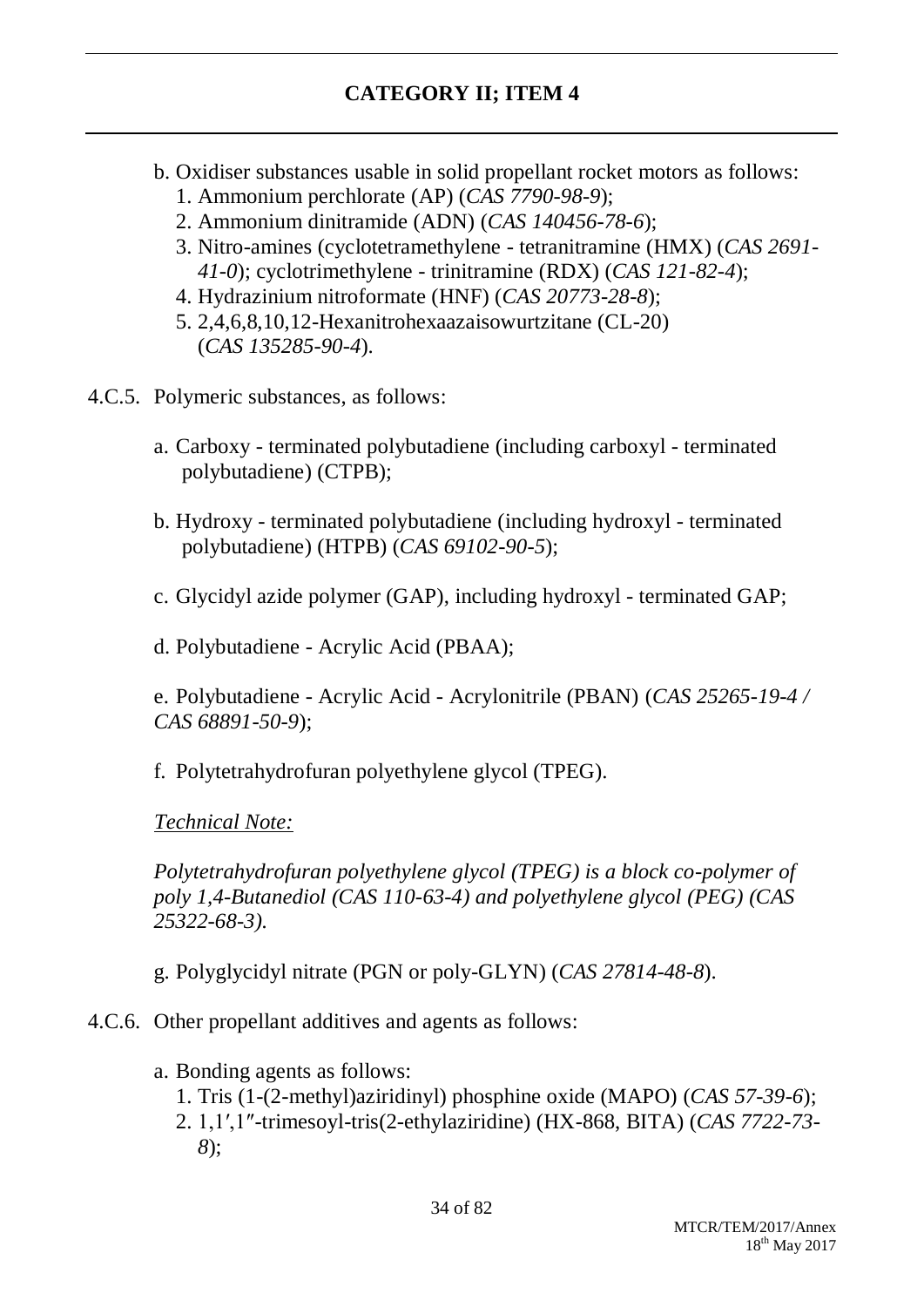- b. Oxidiser substances usable in solid propellant rocket motors as follows:
	- 1. Ammonium perchlorate (AP) (*CAS 7790-98-9*);
	- 2. Ammonium dinitramide (ADN) (*CAS 140456-78-6*);
	- 3. Nitro-amines (cyclotetramethylene tetranitramine (HMX) (*CAS 2691- 41-0*); cyclotrimethylene - trinitramine (RDX) (*CAS 121-82-4*);
	- 4. Hydrazinium nitroformate (HNF) (*CAS 20773-28-8*);
	- 5. 2,4,6,8,10,12-Hexanitrohexaazaisowurtzitane (CL-20) (*CAS 135285-90-4*).
- 4.C.5. Polymeric substances, as follows:
	- a. Carboxy terminated polybutadiene (including carboxyl terminated polybutadiene) (CTPB);
	- b. Hydroxy terminated polybutadiene (including hydroxyl terminated polybutadiene) (HTPB) (*CAS 69102-90-5*);
	- c. Glycidyl azide polymer (GAP), including hydroxyl terminated GAP;
	- d. Polybutadiene Acrylic Acid (PBAA);

e. Polybutadiene - Acrylic Acid - Acrylonitrile (PBAN) (*CAS 25265-19-4 / CAS 68891-50-9*);

f. Polytetrahydrofuran polyethylene glycol (TPEG).

*Technical Note:*

*Polytetrahydrofuran polyethylene glycol (TPEG) is a block co-polymer of poly 1,4-Butanediol (CAS 110-63-4) and polyethylene glycol (PEG) (CAS 25322-68-3).*

g. Polyglycidyl nitrate (PGN or poly-GLYN) (*CAS 27814-48-8*).

4.C.6. Other propellant additives and agents as follows:

- a. Bonding agents as follows:
	- 1. Tris (1-(2-methyl)aziridinyl) phosphine oxide (MAPO) (*CAS 57-39-6*);
	- 2. 1,1′,1″-trimesoyl-tris(2-ethylaziridine) (HX-868, BITA) (*CAS 7722-73- 8*);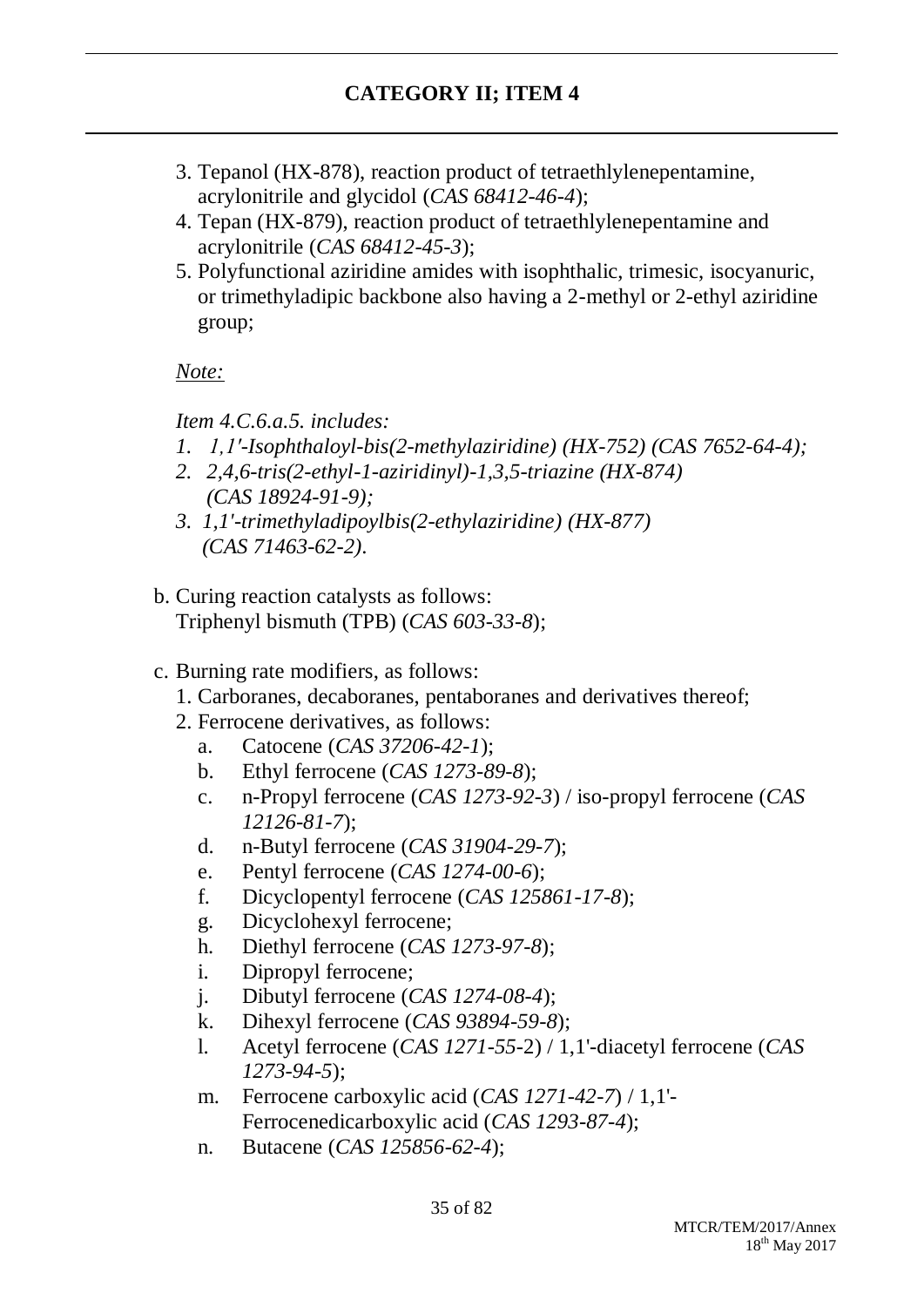- 3. Tepanol (HX-878), reaction product of tetraethlylenepentamine, acrylonitrile and glycidol (*CAS 68412-46-4*);
- 4. Tepan (HX-879), reaction product of tetraethlylenepentamine and acrylonitrile (*CAS 68412-45-3*);
- 5. Polyfunctional aziridine amides with isophthalic, trimesic, isocyanuric, or trimethyladipic backbone also having a 2-methyl or 2-ethyl aziridine group;

*Note:*

*Item 4.C.6.a.5. includes:*

- *1. 1,1′-Isophthaloyl-bis(2-methylaziridine) (HX-752) (CAS 7652-64-4);*
- *2. 2,4,6-tris(2-ethyl-1-aziridinyl)-1,3,5-triazine (HX-874) (CAS 18924-91-9);*
- *3. 1,1'-trimethyladipoylbis(2-ethylaziridine) (HX-877) (CAS 71463-62-2)*.
- b. Curing reaction catalysts as follows: Triphenyl bismuth (TPB) (*CAS 603-33-8*);
- c. Burning rate modifiers, as follows:
	- 1. Carboranes, decaboranes, pentaboranes and derivatives thereof;
	- 2. Ferrocene derivatives, as follows:
		- a. Catocene (*CAS 37206-42-1*);
		- b. Ethyl ferrocene (*CAS 1273-89-8*);
		- c. n-Propyl ferrocene (*CAS 1273-92-3*) / iso-propyl ferrocene (*CAS 12126-81-7*);
		- d. n-Butyl ferrocene (*CAS 31904-29-7*);
		- e. Pentyl ferrocene (*CAS 1274-00-6*);
		- f. Dicyclopentyl ferrocene (*CAS 125861-17-8*);
		- g. Dicyclohexyl ferrocene;
		- h. Diethyl ferrocene (*CAS 1273-97-8*);
		- i. Dipropyl ferrocene;
		- j. Dibutyl ferrocene (*CAS 1274-08-4*);
		- k. Dihexyl ferrocene (*CAS 93894-59-8*);
		- l. Acetyl ferrocene (*CAS 1271-55-*2) / 1,1'-diacetyl ferrocene (*CAS 1273-94-5*);
		- m. Ferrocene carboxylic acid (*CAS 1271-42-7*) / 1,1'- Ferrocenedicarboxylic acid (*CAS 1293-87-4*);
		- n. Butacene (*CAS 125856-62-4*);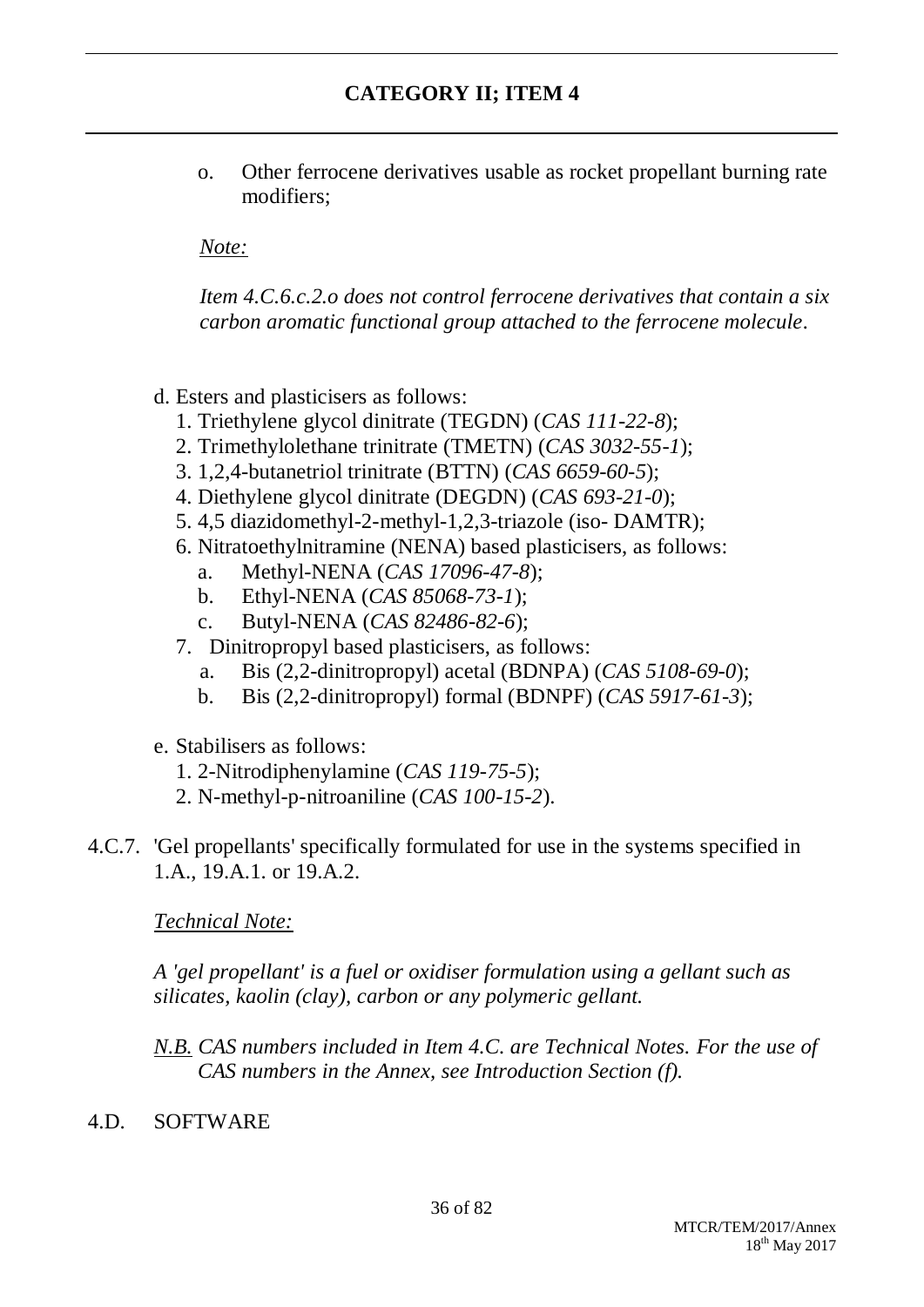o. Other ferrocene derivatives usable as rocket propellant burning rate modifiers;

*Note:*

*Item 4.C.6.c.2.o does not control ferrocene derivatives that contain a six carbon aromatic functional group attached to the ferrocene molecule.*

- d. Esters and plasticisers as follows:
	- 1. Triethylene glycol dinitrate (TEGDN) (*CAS 111-22-8*);
	- 2. Trimethylolethane trinitrate (TMETN) (*CAS 3032-55-1*);
	- 3. 1,2,4-butanetriol trinitrate (BTTN) (*CAS 6659-60-5*);
	- 4. Diethylene glycol dinitrate (DEGDN) (*CAS 693-21-0*);
	- 5. 4,5 diazidomethyl-2-methyl-1,2,3-triazole (iso- DAMTR);
	- 6. Nitratoethylnitramine (NENA) based plasticisers, as follows:
		- a. Methyl-NENA (*CAS 17096-47-8*);
		- b. Ethyl-NENA (*CAS 85068-73-1*);
		- c. Butyl-NENA (*CAS 82486-82-6*);
	- 7. Dinitropropyl based plasticisers, as follows:
		- a. Bis (2,2-dinitropropyl) acetal (BDNPA) (*CAS 5108-69-0*);
		- b. Bis (2,2-dinitropropyl) formal (BDNPF) (*CAS 5917-61-3*);
- e. Stabilisers as follows:
	- 1. 2-Nitrodiphenylamine (*CAS 119-75-5*);
	- 2. N-methyl-p-nitroaniline (*CAS 100-15-2*).
- 4.C.7. 'Gel propellants' specifically formulated for use in the systems specified in 1.A., 19.A.1. or 19.A.2.

*Technical Note:*

*A 'gel propellant' is a fuel or oxidiser formulation using a gellant such as silicates, kaolin (clay), carbon or any polymeric gellant.*

*N.B. CAS numbers included in Item 4.C. are Technical Notes. For the use of CAS numbers in the Annex, see Introduction Section (f).*

4.D. SOFTWARE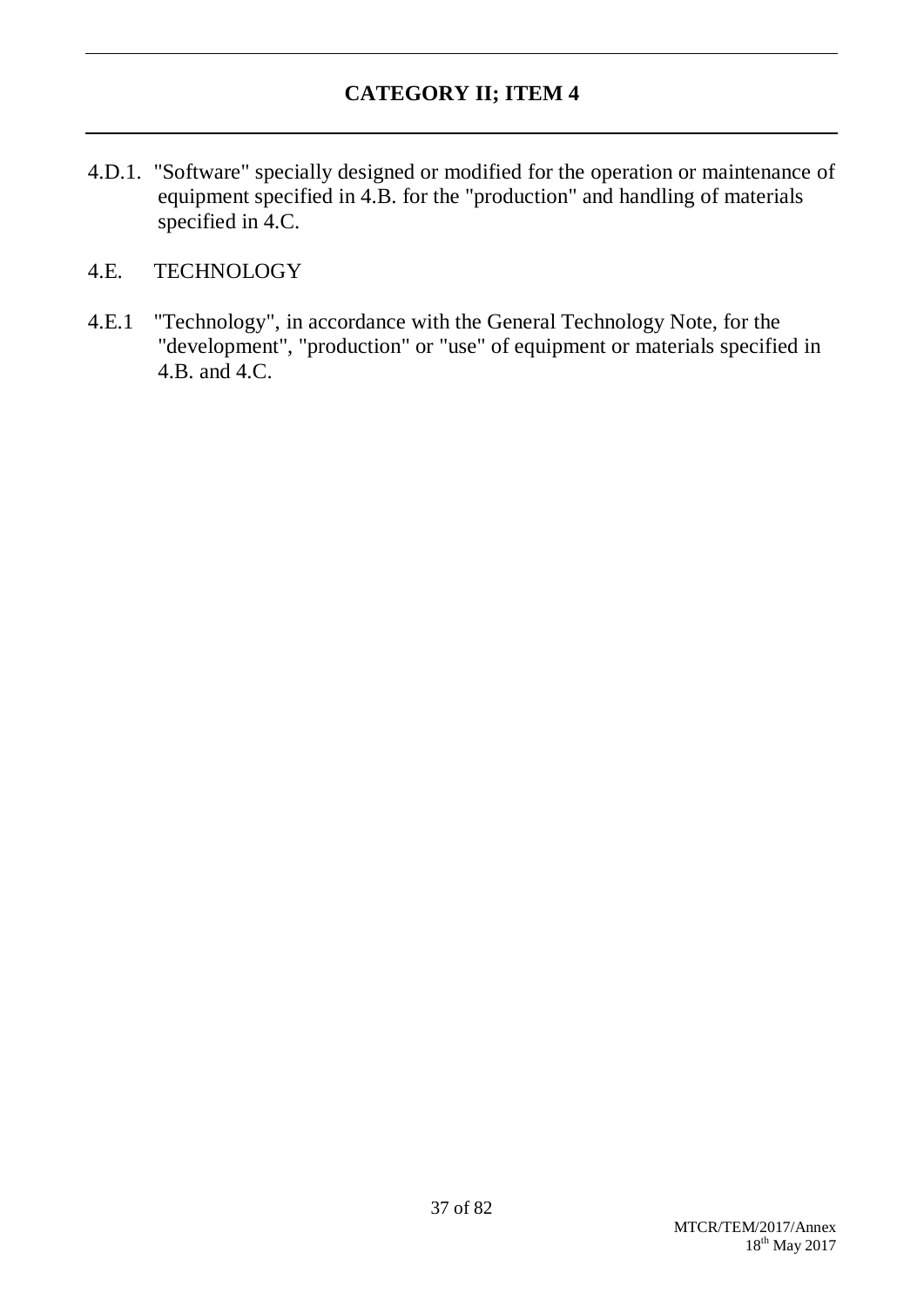4.D.1. "Software" specially designed or modified for the operation or maintenance of equipment specified in 4.B. for the "production" and handling of materials specified in 4.C.

### 4.E. TECHNOLOGY

4.E.1 "Technology", in accordance with the General Technology Note, for the "development", "production" or "use" of equipment or materials specified in 4.B. and 4.C.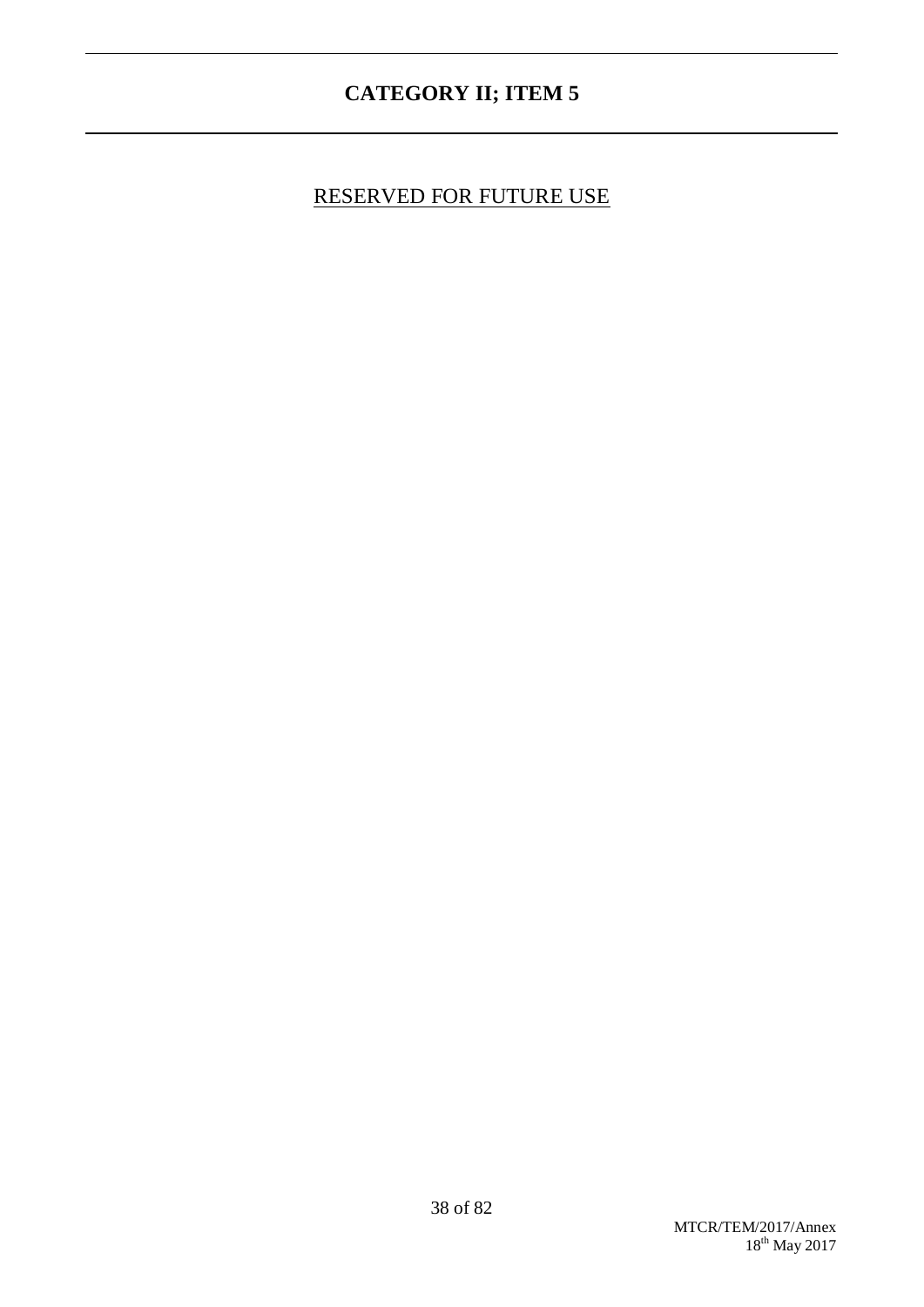# RESERVED FOR FUTURE USE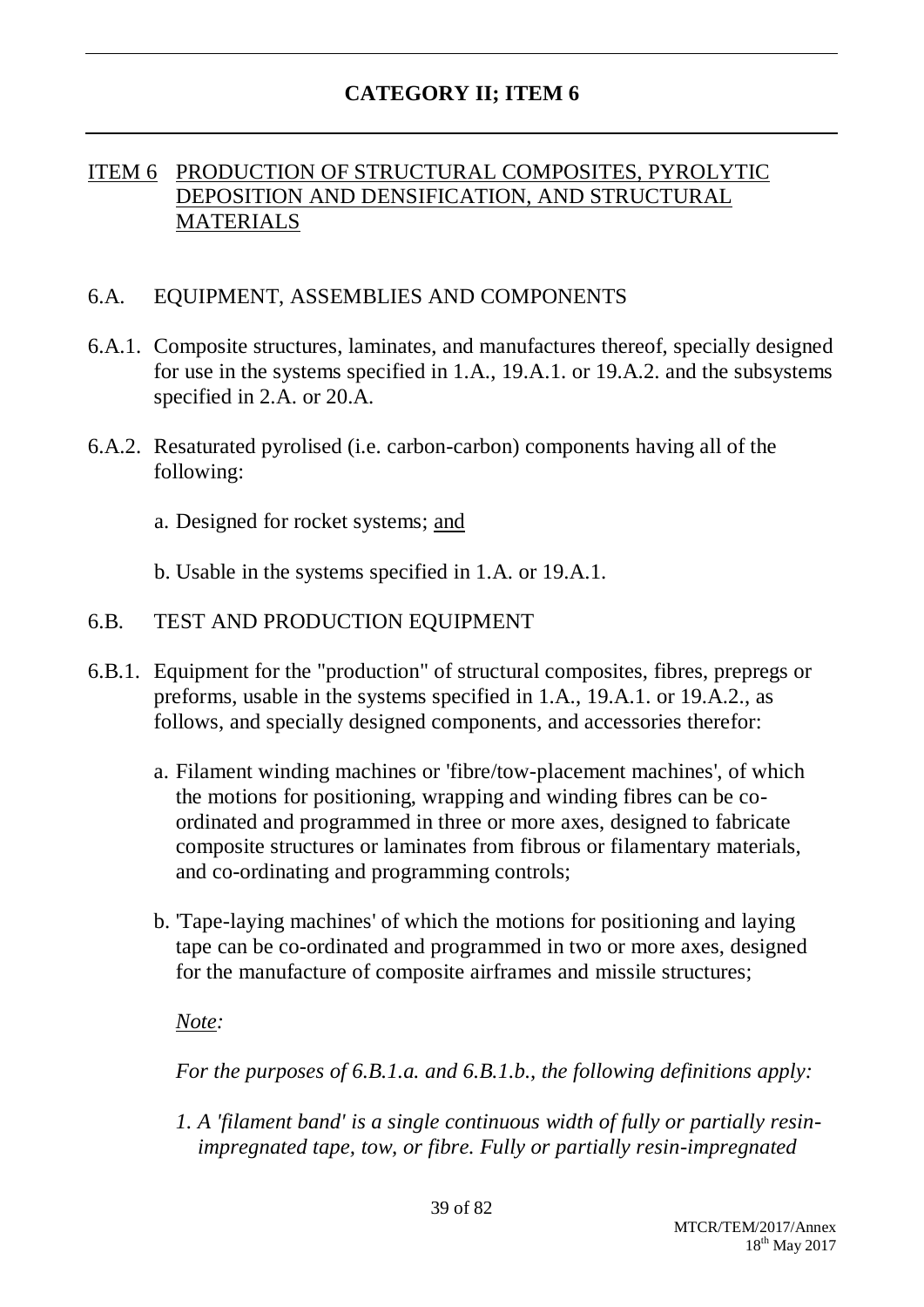### ITEM 6 PRODUCTION OF STRUCTURAL COMPOSITES, PYROLYTIC DEPOSITION AND DENSIFICATION, AND STRUCTURAL MATERIALS

### 6.A. EQUIPMENT, ASSEMBLIES AND COMPONENTS

- 6.A.1. Composite structures, laminates, and manufactures thereof, specially designed for use in the systems specified in 1.A., 19.A.1. or 19.A.2. and the subsystems specified in 2.A. or 20.A.
- 6.A.2. Resaturated pyrolised (i.e. carbon-carbon) components having all of the following:

a. Designed for rocket systems; and

b. Usable in the systems specified in 1.A. or 19.A.1.

#### 6.B. TEST AND PRODUCTION EQUIPMENT

- 6.B.1. Equipment for the "production" of structural composites, fibres, prepregs or preforms, usable in the systems specified in 1.A., 19.A.1. or 19.A.2., as follows, and specially designed components, and accessories therefor:
	- a. Filament winding machines or 'fibre/tow-placement machines', of which the motions for positioning, wrapping and winding fibres can be coordinated and programmed in three or more axes, designed to fabricate composite structures or laminates from fibrous or filamentary materials, and co-ordinating and programming controls;
	- b. 'Tape-laying machines' of which the motions for positioning and laying tape can be co-ordinated and programmed in two or more axes, designed for the manufacture of composite airframes and missile structures;

#### *Note:*

*For the purposes of 6.B.1.a. and 6.B.1.b., the following definitions apply:*

*1. A 'filament band' is a single continuous width of fully or partially resinimpregnated tape, tow, or fibre. Fully or partially resin-impregnated*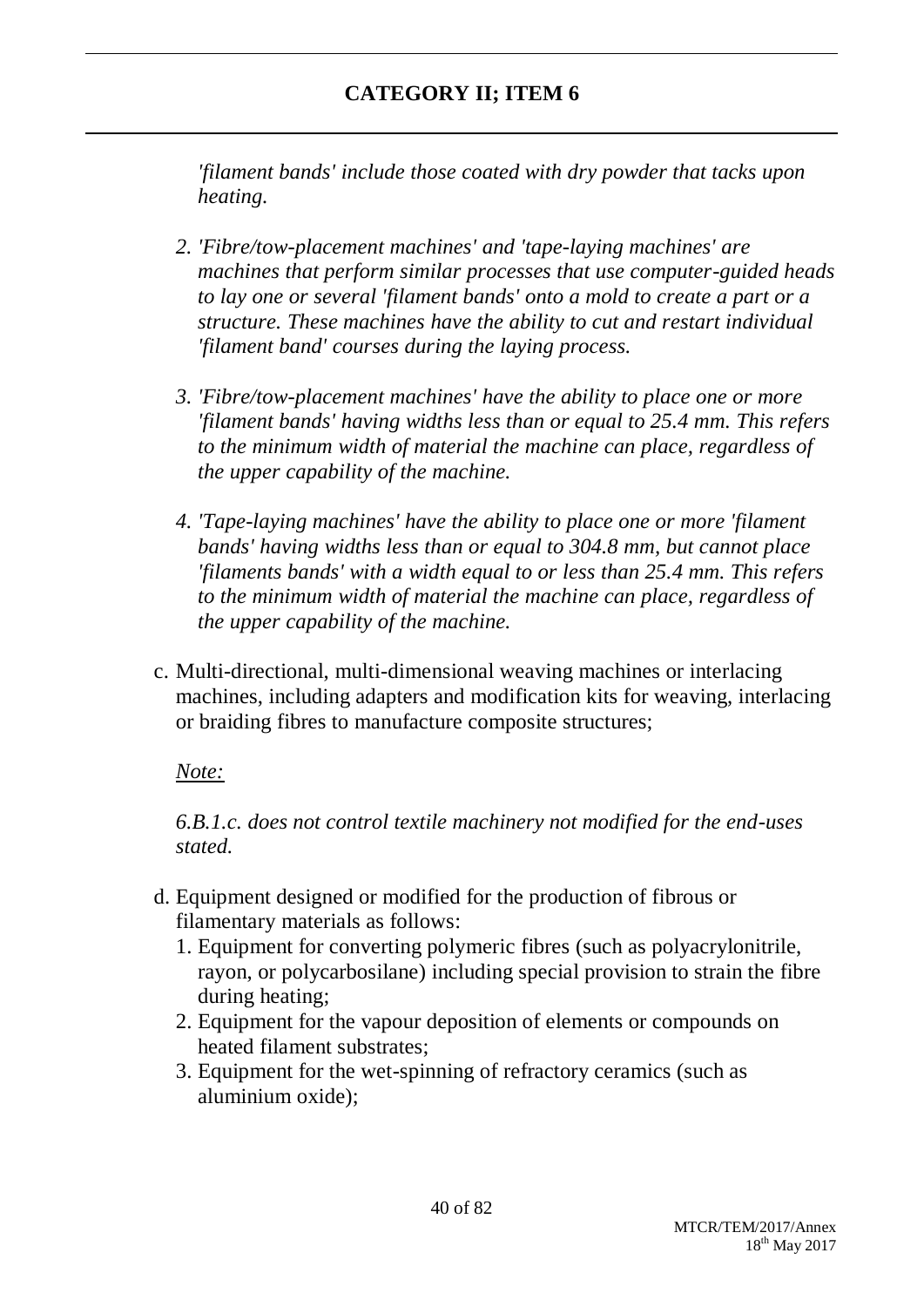*'filament bands' include those coated with dry powder that tacks upon heating.*

- *2. 'Fibre/tow-placement machines' and 'tape-laying machines' are machines that perform similar processes that use computer-guided heads to lay one or several 'filament bands' onto a mold to create a part or a structure. These machines have the ability to cut and restart individual 'filament band' courses during the laying process.*
- *3. 'Fibre/tow-placement machines' have the ability to place one or more 'filament bands' having widths less than or equal to 25.4 mm. This refers to the minimum width of material the machine can place, regardless of the upper capability of the machine.*
- *4. 'Tape-laying machines' have the ability to place one or more 'filament bands' having widths less than or equal to 304.8 mm, but cannot place 'filaments bands' with a width equal to or less than 25.4 mm. This refers to the minimum width of material the machine can place, regardless of the upper capability of the machine.*
- c. Multi-directional, multi-dimensional weaving machines or interlacing machines, including adapters and modification kits for weaving, interlacing or braiding fibres to manufacture composite structures;

### *Note:*

*6.B.1.c. does not control textile machinery not modified for the end-uses stated.*

- d. Equipment designed or modified for the production of fibrous or filamentary materials as follows:
	- 1. Equipment for converting polymeric fibres (such as polyacrylonitrile, rayon, or polycarbosilane) including special provision to strain the fibre during heating;
	- 2. Equipment for the vapour deposition of elements or compounds on heated filament substrates;
	- 3. Equipment for the wet-spinning of refractory ceramics (such as aluminium oxide);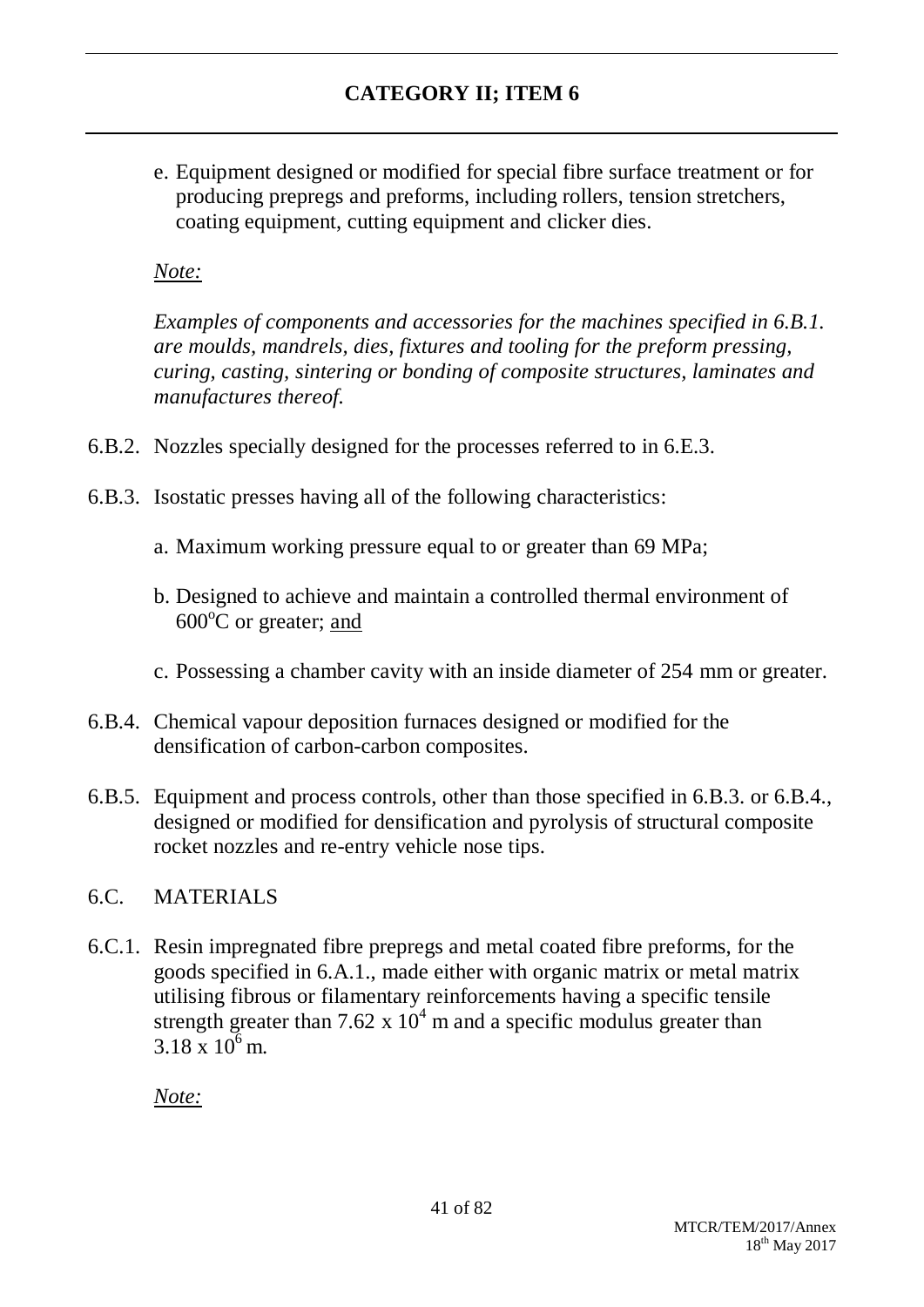e. Equipment designed or modified for special fibre surface treatment or for producing prepregs and preforms, including rollers, tension stretchers, coating equipment, cutting equipment and clicker dies.

### *Note:*

*Examples of components and accessories for the machines specified in 6.B.1. are moulds, mandrels, dies, fixtures and tooling for the preform pressing, curing, casting, sintering or bonding of composite structures, laminates and manufactures thereof.*

- 6.B.2. Nozzles specially designed for the processes referred to in 6.E.3.
- 6.B.3. Isostatic presses having all of the following characteristics:
	- a. Maximum working pressure equal to or greater than 69 MPa;
	- b. Designed to achieve and maintain a controlled thermal environment of  $600^{\circ}$ C or greater; and
	- c. Possessing a chamber cavity with an inside diameter of 254 mm or greater.
- 6.B.4. Chemical vapour deposition furnaces designed or modified for the densification of carbon-carbon composites.
- 6.B.5. Equipment and process controls, other than those specified in 6.B.3. or 6.B.4., designed or modified for densification and pyrolysis of structural composite rocket nozzles and re-entry vehicle nose tips.

### 6.C. MATERIALS

6.C.1. Resin impregnated fibre prepregs and metal coated fibre preforms, for the goods specified in 6.A.1., made either with organic matrix or metal matrix utilising fibrous or filamentary reinforcements having a specific tensile strength greater than 7.62 x  $10^4$  m and a specific modulus greater than 3.18 x  $10^6$  m.

*Note:*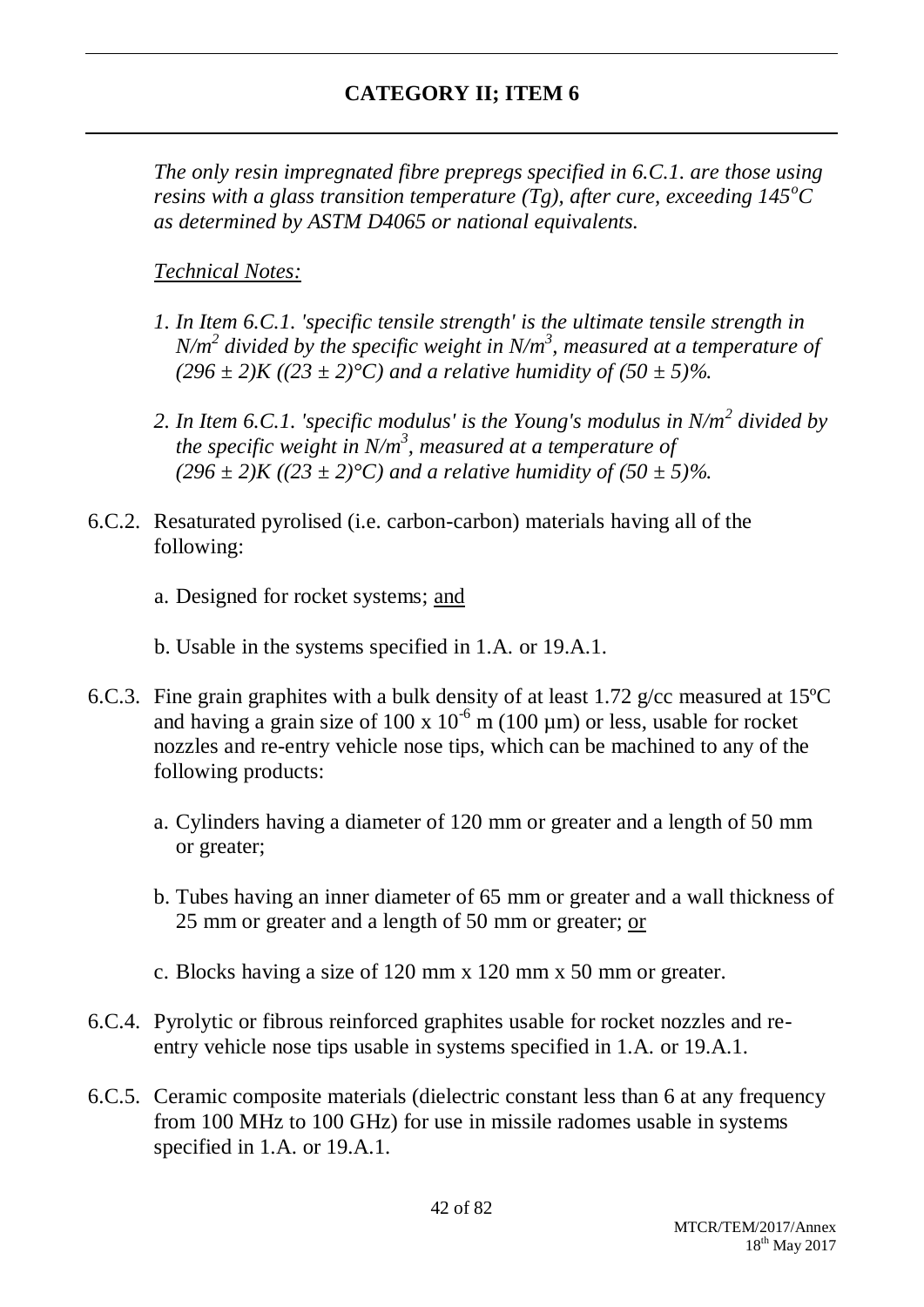*The only resin impregnated fibre prepregs specified in 6.C.1. are those using resins with a glass transition temperature (Tg), after cure, exceeding*  $145^{\circ}$ *C as determined by ASTM D4065 or national equivalents.*

## *Technical Notes:*

- *1. In Item 6.C.1. 'specific tensile strength' is the ultimate tensile strength in N/m<sup>2</sup> divided by the specific weight in N/m<sup>3</sup> , measured at a temperature of*   $(296 \pm 2)K (23 \pm 2)°C$  *and a relative humidity of (50*  $\pm$  *5)%.*
- *2. In Item 6.C.1. 'specific modulus' is the Young's modulus in N/m<sup>2</sup> divided by the specific weight in N/m<sup>3</sup> , measured at a temperature of*   $(296 \pm 2)K (23 \pm 2)°C$  *and a relative humidity of (50*  $\pm$  *5)%.*
- 6.C.2. Resaturated pyrolised (i.e. carbon-carbon) materials having all of the following:

a. Designed for rocket systems; and

b. Usable in the systems specified in 1.A. or 19.A.1.

- 6.C.3. Fine grain graphites with a bulk density of at least 1.72 g/cc measured at 15ºC and having a grain size of 100 x  $10^{-6}$  m (100 µm) or less, usable for rocket nozzles and re-entry vehicle nose tips, which can be machined to any of the following products:
	- a. Cylinders having a diameter of 120 mm or greater and a length of 50 mm or greater;
	- b. Tubes having an inner diameter of 65 mm or greater and a wall thickness of 25 mm or greater and a length of 50 mm or greater; or
	- c. Blocks having a size of 120 mm x 120 mm x 50 mm or greater.
- 6.C.4. Pyrolytic or fibrous reinforced graphites usable for rocket nozzles and reentry vehicle nose tips usable in systems specified in 1.A. or 19.A.1.
- 6.C.5. Ceramic composite materials (dielectric constant less than 6 at any frequency from 100 MHz to 100 GHz) for use in missile radomes usable in systems specified in 1.A. or 19.A.1.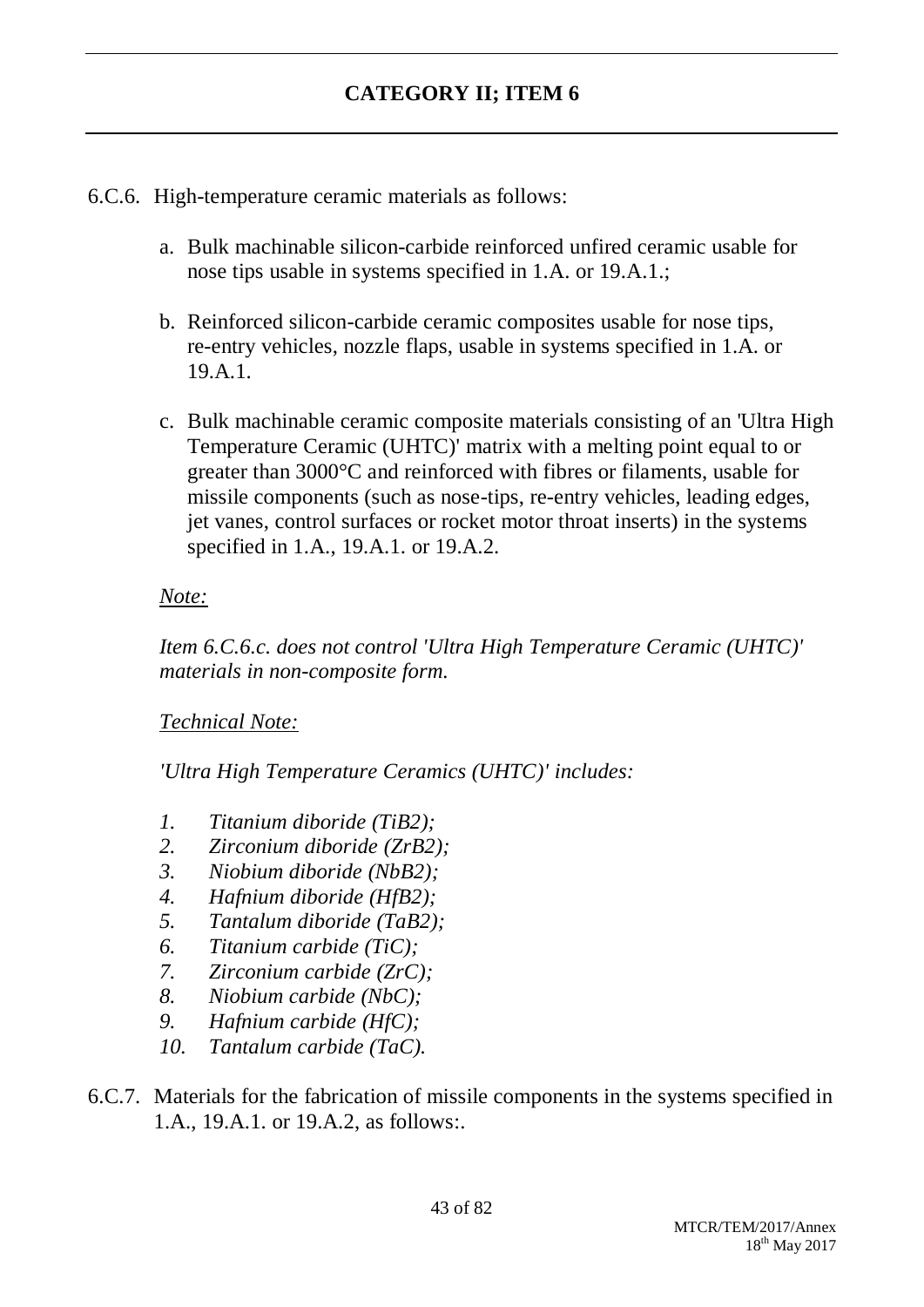6.C.6. High-temperature ceramic materials as follows:

- a. Bulk machinable silicon-carbide reinforced unfired ceramic usable for nose tips usable in systems specified in 1.A. or 19.A.1.;
- b. Reinforced silicon-carbide ceramic composites usable for nose tips, re-entry vehicles, nozzle flaps, usable in systems specified in 1.A. or 19.A.1
- c. Bulk machinable ceramic composite materials consisting of an 'Ultra High Temperature Ceramic (UHTC)' matrix with a melting point equal to or greater than 3000°C and reinforced with fibres or filaments, usable for missile components (such as nose-tips, re-entry vehicles, leading edges, jet vanes, control surfaces or rocket motor throat inserts) in the systems specified in 1.A., 19.A.1. or 19.A.2.

### *Note:*

*Item 6.C.6.c. does not control 'Ultra High Temperature Ceramic (UHTC)' materials in non-composite form.*

### *Technical Note:*

*'Ultra High Temperature Ceramics (UHTC)' includes:*

- *1. Titanium diboride (TiB2);*
- *2. Zirconium diboride (ZrB2);*
- *3. Niobium diboride (NbB2);*
- *4. Hafnium diboride (HfB2);*
- *5. Tantalum diboride (TaB2);*
- *6. Titanium carbide (TiC);*
- *7. Zirconium carbide (ZrC);*
- *8. Niobium carbide (NbC);*
- *9. Hafnium carbide (HfC);*
- *10. Tantalum carbide (TaC).*
- 6.C.7. Materials for the fabrication of missile components in the systems specified in 1.A., 19.A.1. or 19.A.2, as follows:.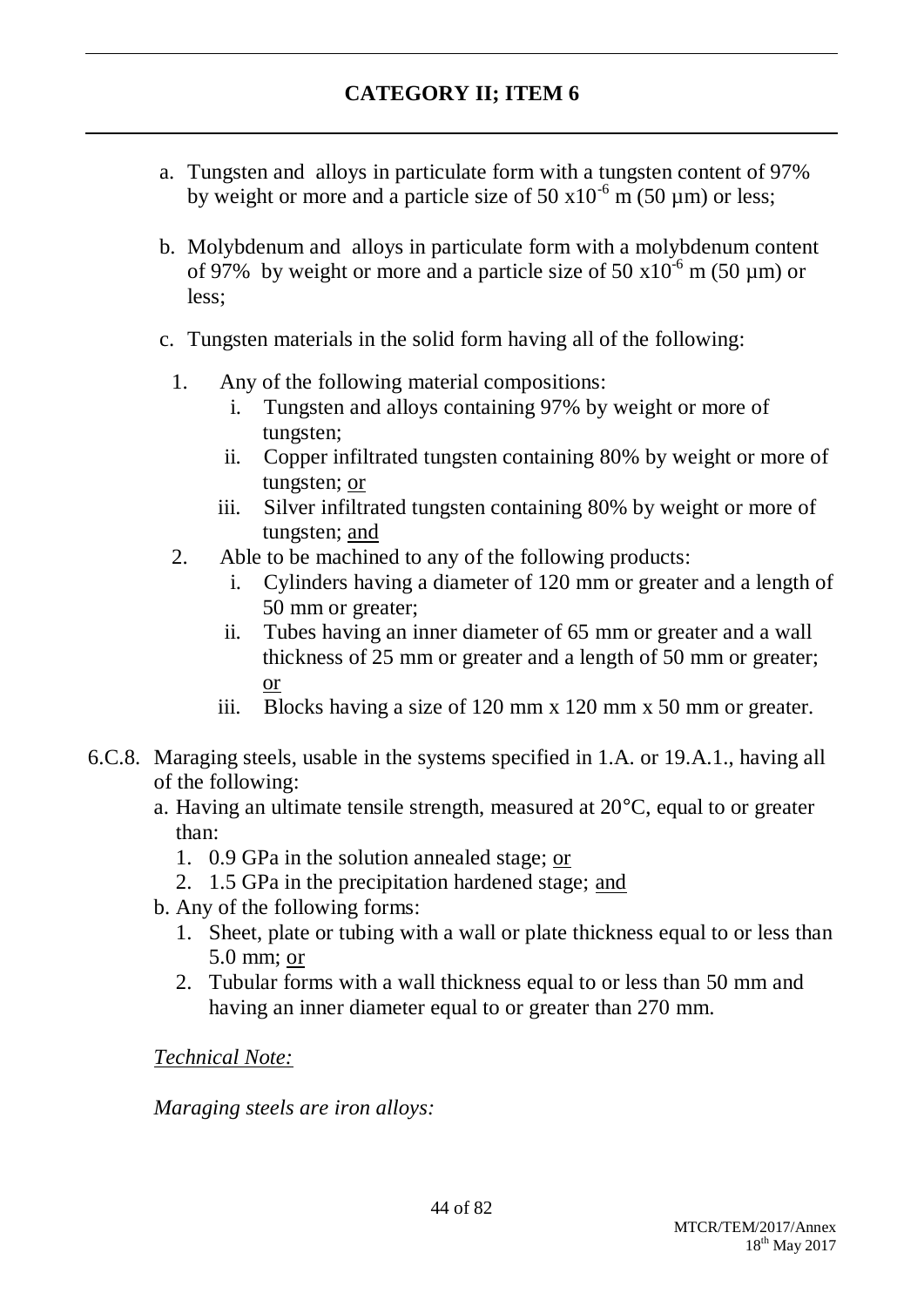- a. Tungsten and alloys in particulate form with a tungsten content of 97% by weight or more and a particle size of 50  $\times$ 10<sup>-6</sup> m (50 µm) or less;
- b. Molybdenum and alloys in particulate form with a molybdenum content of 97% by weight or more and a particle size of 50  $\times 10^{-6}$  m (50 µm) or less;
- c. Tungsten materials in the solid form having all of the following:
	- 1. Any of the following material compositions:
		- i. Tungsten and alloys containing 97% by weight or more of tungsten;
		- ii. Copper infiltrated tungsten containing 80% by weight or more of tungsten; or
		- iii. Silver infiltrated tungsten containing 80% by weight or more of tungsten; and
	- 2. Able to be machined to any of the following products:
		- i. Cylinders having a diameter of 120 mm or greater and a length of 50 mm or greater;
		- ii. Tubes having an inner diameter of 65 mm or greater and a wall thickness of 25 mm or greater and a length of 50 mm or greater; or
		- iii. Blocks having a size of 120 mm x 120 mm x 50 mm or greater.
- 6.C.8. Maraging steels, usable in the systems specified in 1.A. or 19.A.1., having all of the following:
	- a. Having an ultimate tensile strength, measured at 20°C, equal to or greater than:
		- 1. 0.9 GPa in the solution annealed stage; or
		- 2. 1.5 GPa in the precipitation hardened stage; and
	- b. Any of the following forms:
		- 1. Sheet, plate or tubing with a wall or plate thickness equal to or less than 5.0 mm; or
		- 2. Tubular forms with a wall thickness equal to or less than 50 mm and having an inner diameter equal to or greater than 270 mm.

*Technical Note:*

*Maraging steels are iron alloys:*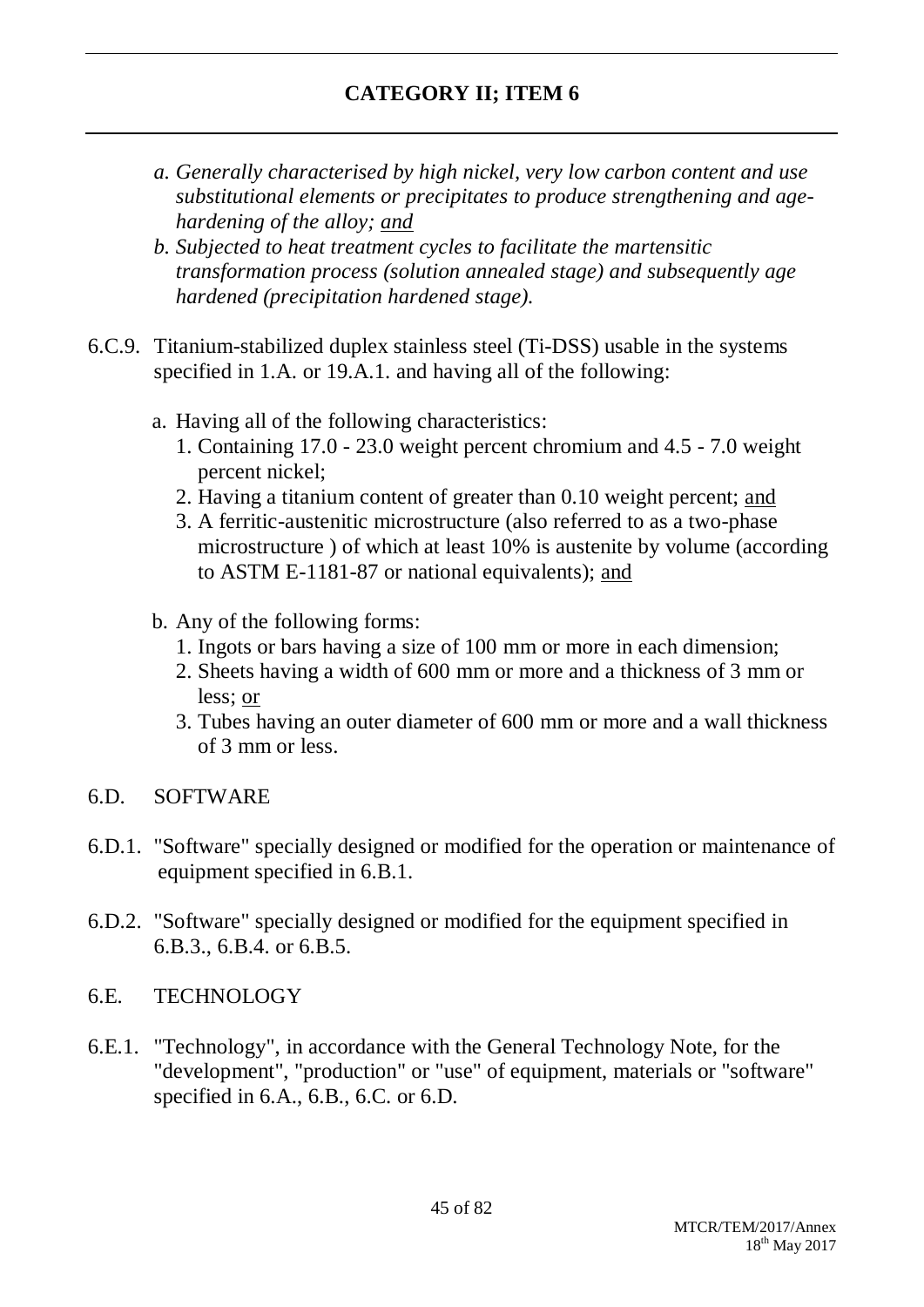- *a. Generally characterised by high nickel, very low carbon content and use substitutional elements or precipitates to produce strengthening and agehardening of the alloy; and*
- *b. Subjected to heat treatment cycles to facilitate the martensitic transformation process (solution annealed stage) and subsequently age hardened (precipitation hardened stage).*
- 6.C.9. Titanium-stabilized duplex stainless steel (Ti-DSS) usable in the systems specified in 1.A. or 19.A.1. and having all of the following:
	- a. Having all of the following characteristics:
		- 1. Containing 17.0 23.0 weight percent chromium and 4.5 7.0 weight percent nickel;
		- 2. Having a titanium content of greater than 0.10 weight percent; and
		- 3. A ferritic-austenitic microstructure (also referred to as a two-phase microstructure ) of which at least 10% is austenite by volume (according to ASTM E-1181-87 or national equivalents); and
	- b. Any of the following forms:
		- 1. Ingots or bars having a size of 100 mm or more in each dimension;
		- 2. Sheets having a width of 600 mm or more and a thickness of 3 mm or less; or
		- 3. Tubes having an outer diameter of 600 mm or more and a wall thickness of 3 mm or less.
- 6.D. SOFTWARE
- 6.D.1. "Software" specially designed or modified for the operation or maintenance of equipment specified in 6.B.1.
- 6.D.2. "Software" specially designed or modified for the equipment specified in 6.B.3., 6.B.4. or 6.B.5.
- 6.E. TECHNOLOGY
- 6.E.1. "Technology", in accordance with the General Technology Note, for the "development", "production" or "use" of equipment, materials or "software" specified in 6.A., 6.B., 6.C. or 6.D.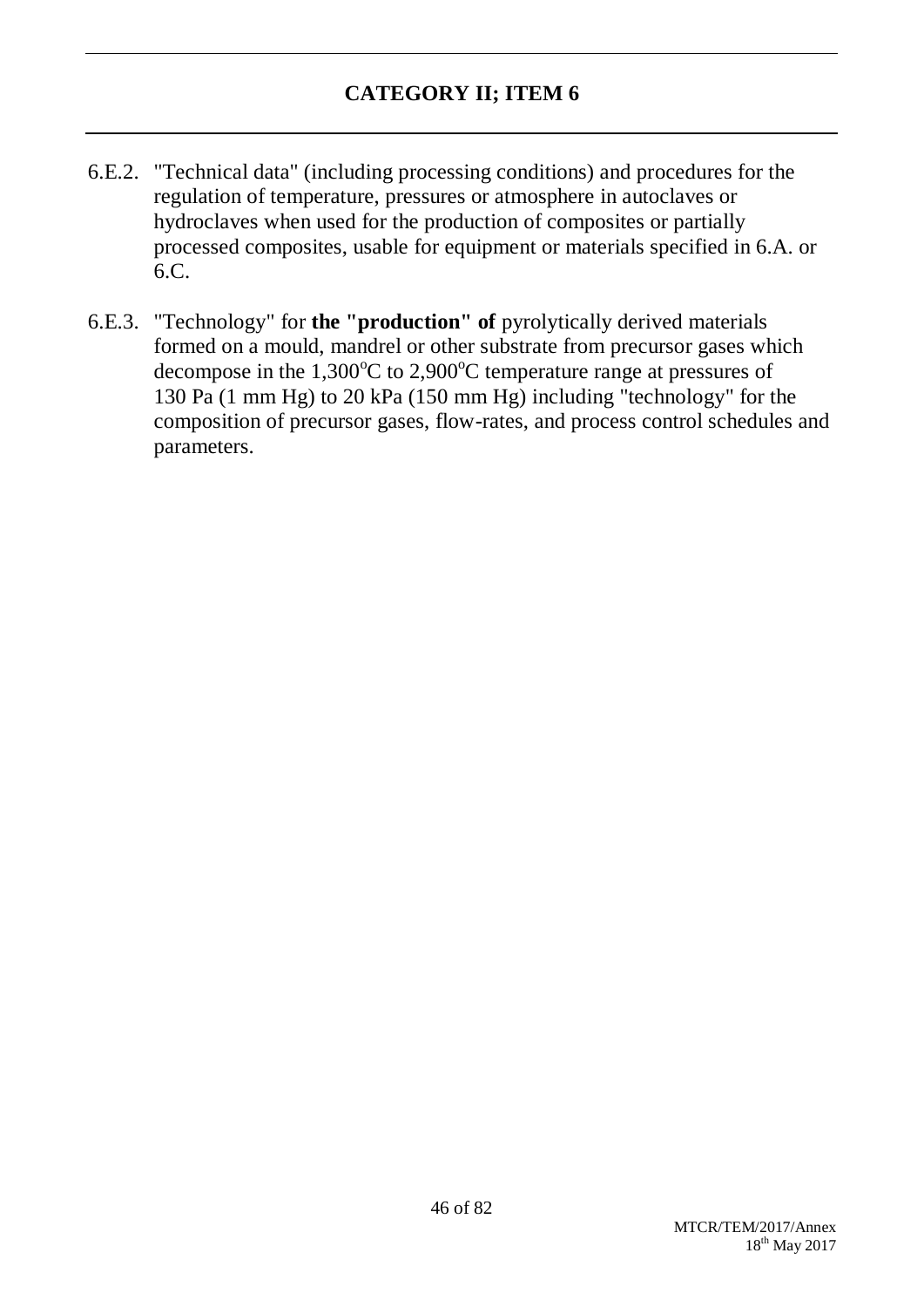- 6.E.2. "Technical data" (including processing conditions) and procedures for the regulation of temperature, pressures or atmosphere in autoclaves or hydroclaves when used for the production of composites or partially processed composites, usable for equipment or materials specified in 6.A. or 6.C.
- 6.E.3. "Technology" for **the "production" of** pyrolytically derived materials formed on a mould, mandrel or other substrate from precursor gases which decompose in the  $1,300^{\circ}$ C to  $2,900^{\circ}$ C temperature range at pressures of 130 Pa (1 mm Hg) to 20 kPa (150 mm Hg) including "technology" for the composition of precursor gases, flow-rates, and process control schedules and parameters.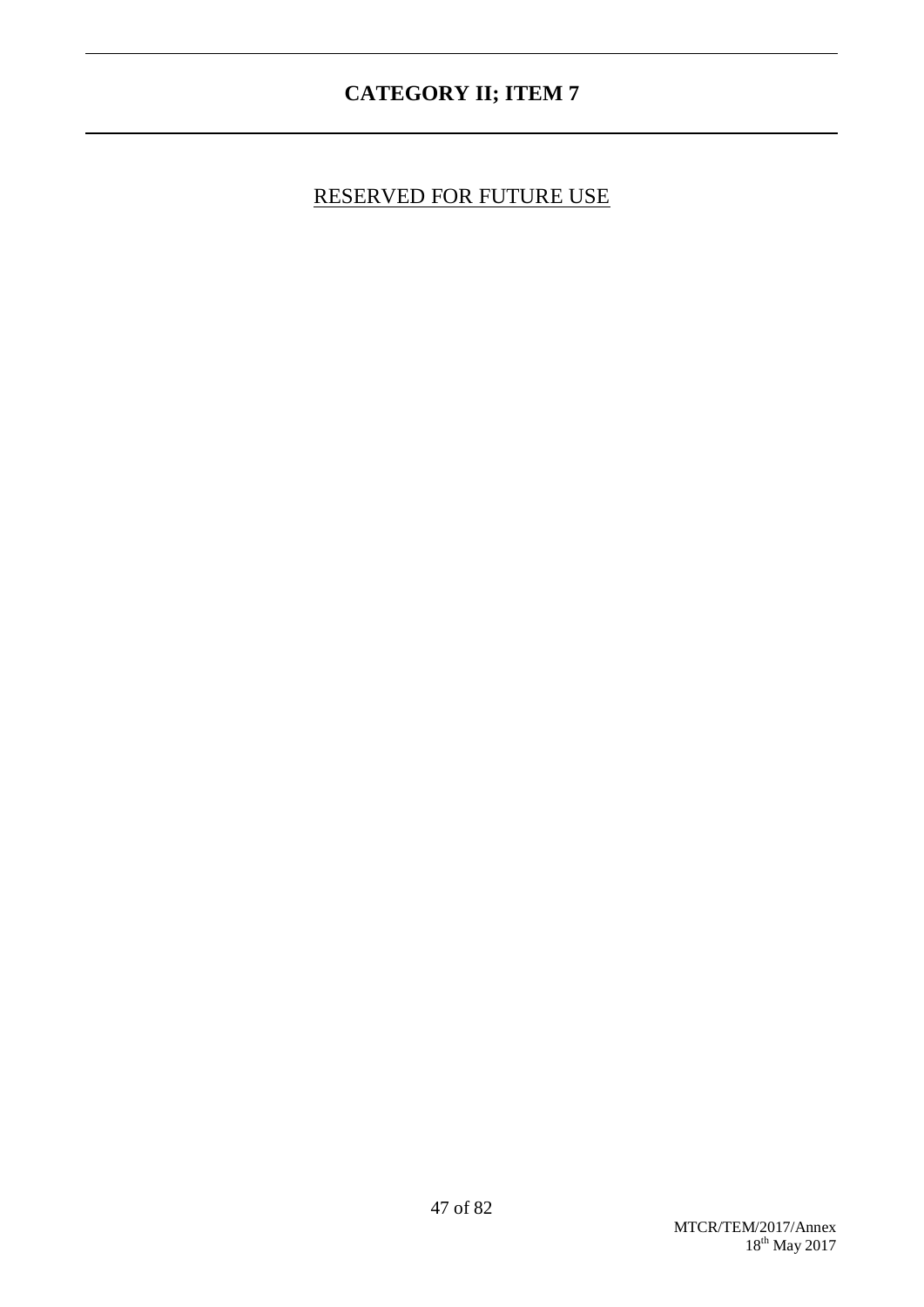## RESERVED FOR FUTURE USE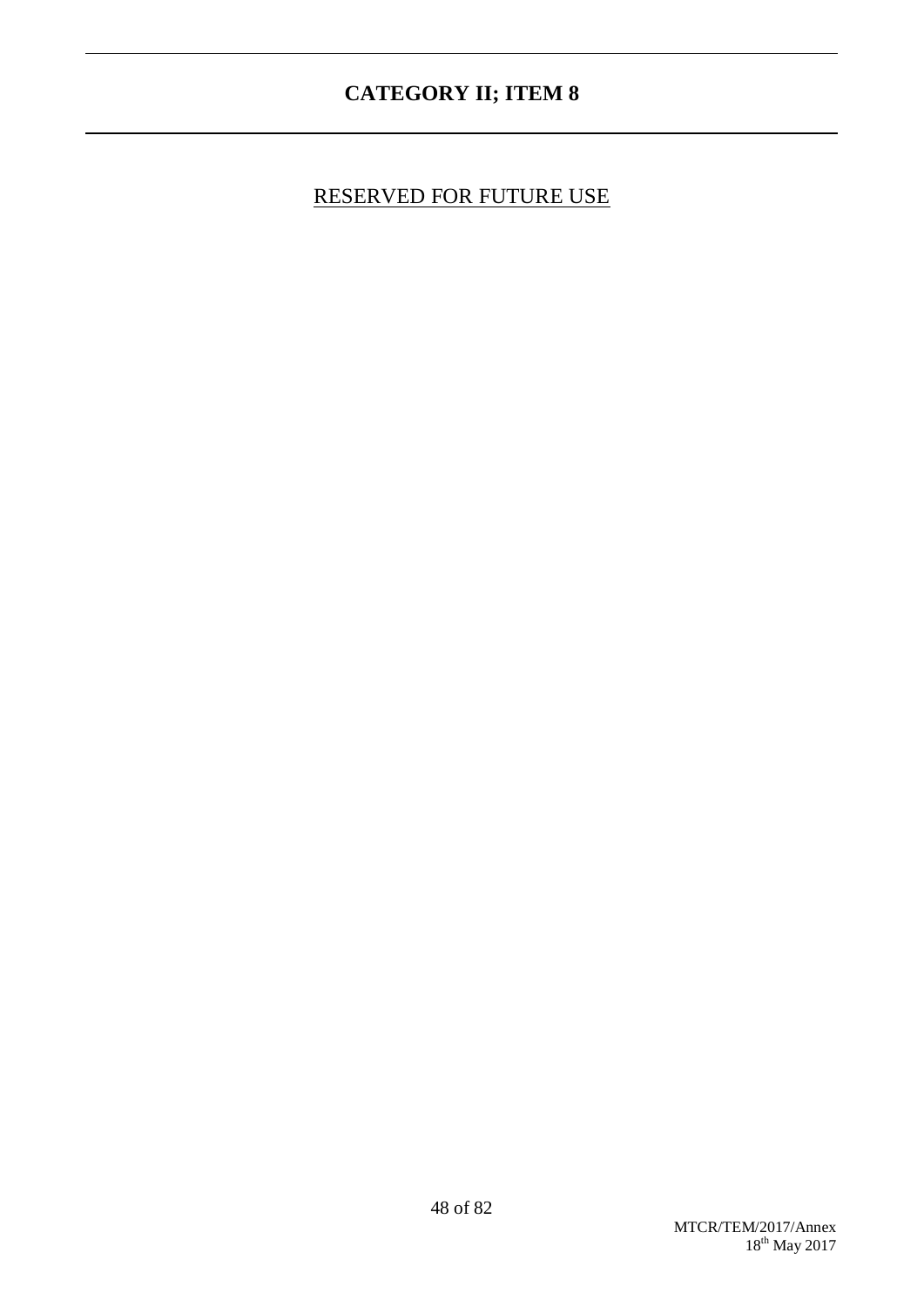# RESERVED FOR FUTURE USE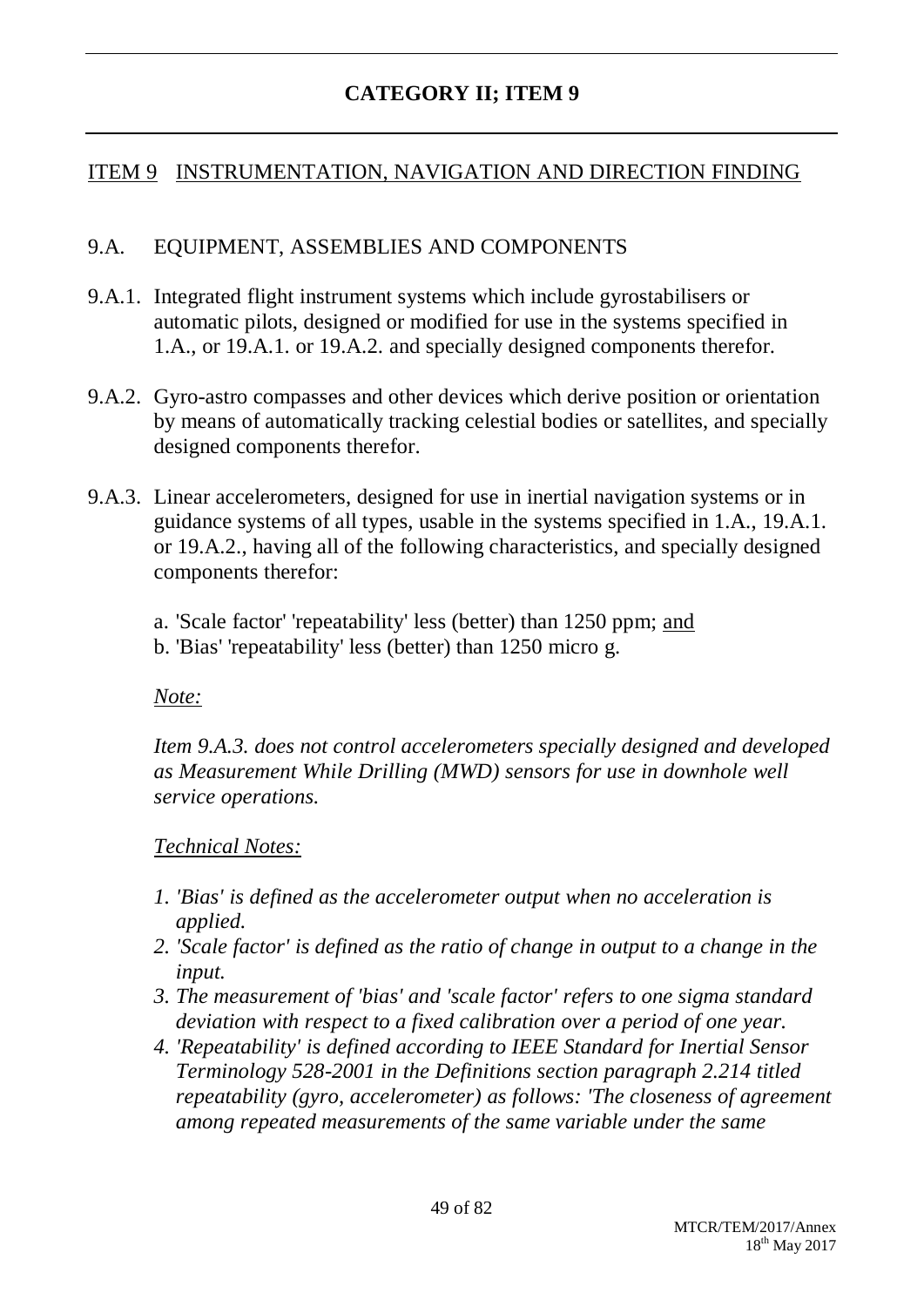### ITEM 9 INSTRUMENTATION, NAVIGATION AND DIRECTION FINDING

#### 9.A. EQUIPMENT, ASSEMBLIES AND COMPONENTS

- 9.A.1. Integrated flight instrument systems which include gyrostabilisers or automatic pilots, designed or modified for use in the systems specified in 1.A., or 19.A.1. or 19.A.2. and specially designed components therefor.
- 9.A.2. Gyro-astro compasses and other devices which derive position or orientation by means of automatically tracking celestial bodies or satellites, and specially designed components therefor.
- 9.A.3. Linear accelerometers, designed for use in inertial navigation systems or in guidance systems of all types, usable in the systems specified in 1.A., 19.A.1. or 19.A.2., having all of the following characteristics, and specially designed components therefor:
	- a. 'Scale factor' 'repeatability' less (better) than 1250 ppm; and
	- b. 'Bias' 'repeatability' less (better) than 1250 micro g.

#### *Note:*

*Item 9.A.3. does not control accelerometers specially designed and developed as Measurement While Drilling (MWD) sensors for use in downhole well service operations.*

#### *Technical Notes:*

- *1. 'Bias' is defined as the accelerometer output when no acceleration is applied.*
- *2. 'Scale factor' is defined as the ratio of change in output to a change in the input.*
- *3. The measurement of 'bias' and 'scale factor' refers to one sigma standard deviation with respect to a fixed calibration over a period of one year.*
- *4. 'Repeatability' is defined according to IEEE Standard for Inertial Sensor Terminology 528-2001 in the Definitions section paragraph 2.214 titled repeatability (gyro, accelerometer) as follows: 'The closeness of agreement among repeated measurements of the same variable under the same*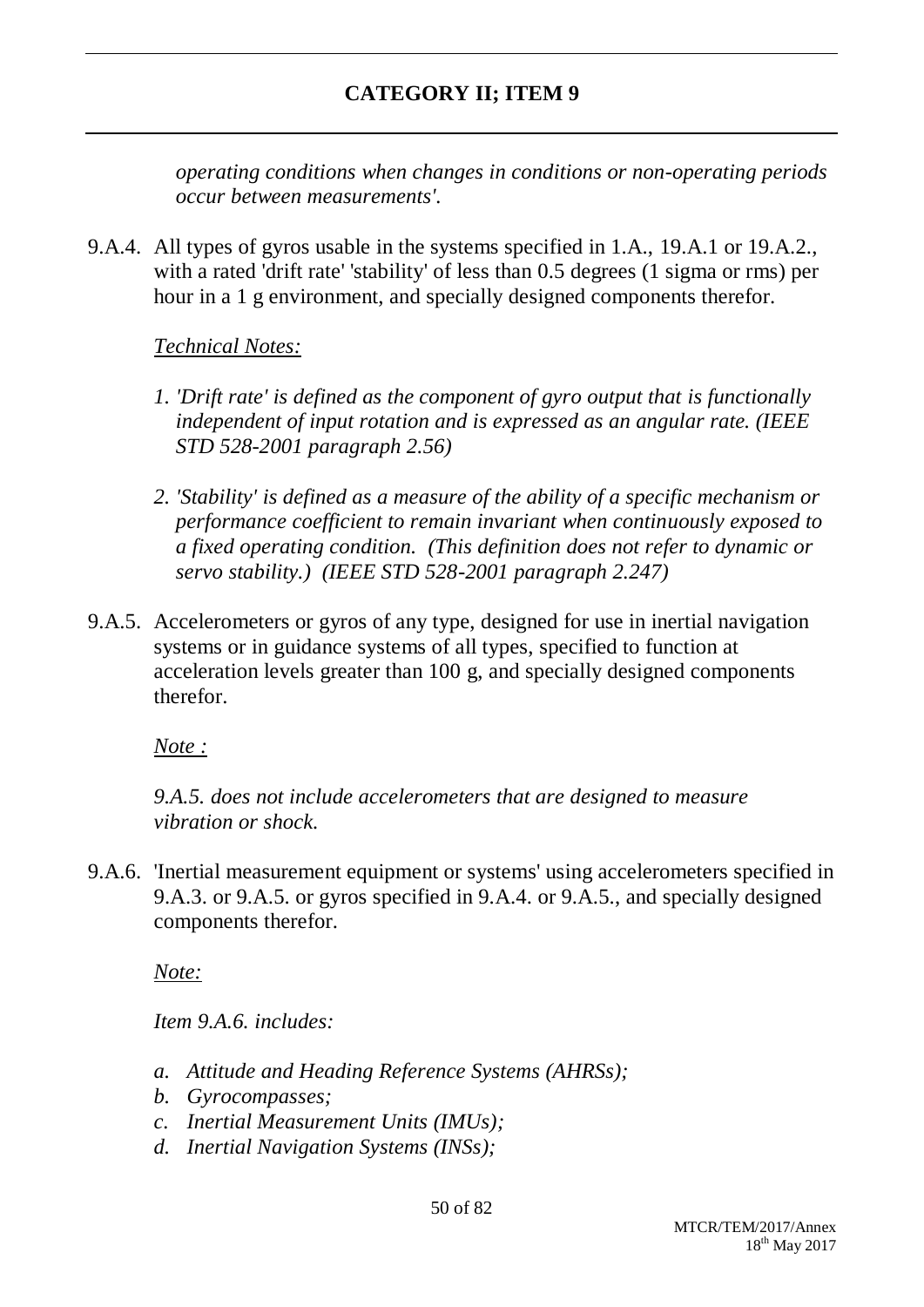*operating conditions when changes in conditions or non-operating periods occur between measurements'.*

9.A.4. All types of gyros usable in the systems specified in 1.A., 19.A.1 or 19.A.2., with a rated 'drift rate' 'stability' of less than 0.5 degrees (1 sigma or rms) per hour in a 1 g environment, and specially designed components therefor.

### *Technical Notes:*

- *1. 'Drift rate' is defined as the component of gyro output that is functionally independent of input rotation and is expressed as an angular rate. (IEEE STD 528-2001 paragraph 2.56)*
- *2. 'Stability' is defined as a measure of the ability of a specific mechanism or performance coefficient to remain invariant when continuously exposed to a fixed operating condition. (This definition does not refer to dynamic or servo stability.) (IEEE STD 528-2001 paragraph 2.247)*
- 9.A.5. Accelerometers or gyros of any type, designed for use in inertial navigation systems or in guidance systems of all types, specified to function at acceleration levels greater than 100 g, and specially designed components therefor.

*Note :*

*9.A.5. does not include accelerometers that are designed to measure vibration or shock.*

9.A.6. 'Inertial measurement equipment or systems' using accelerometers specified in 9.A.3. or 9.A.5. or gyros specified in 9.A.4. or 9.A.5., and specially designed components therefor.

*Note:*

*Item 9.A.6. includes:*

- *a. Attitude and Heading Reference Systems (AHRSs);*
- *b. Gyrocompasses;*
- *c. Inertial Measurement Units (IMUs);*
- *d. Inertial Navigation Systems (INSs);*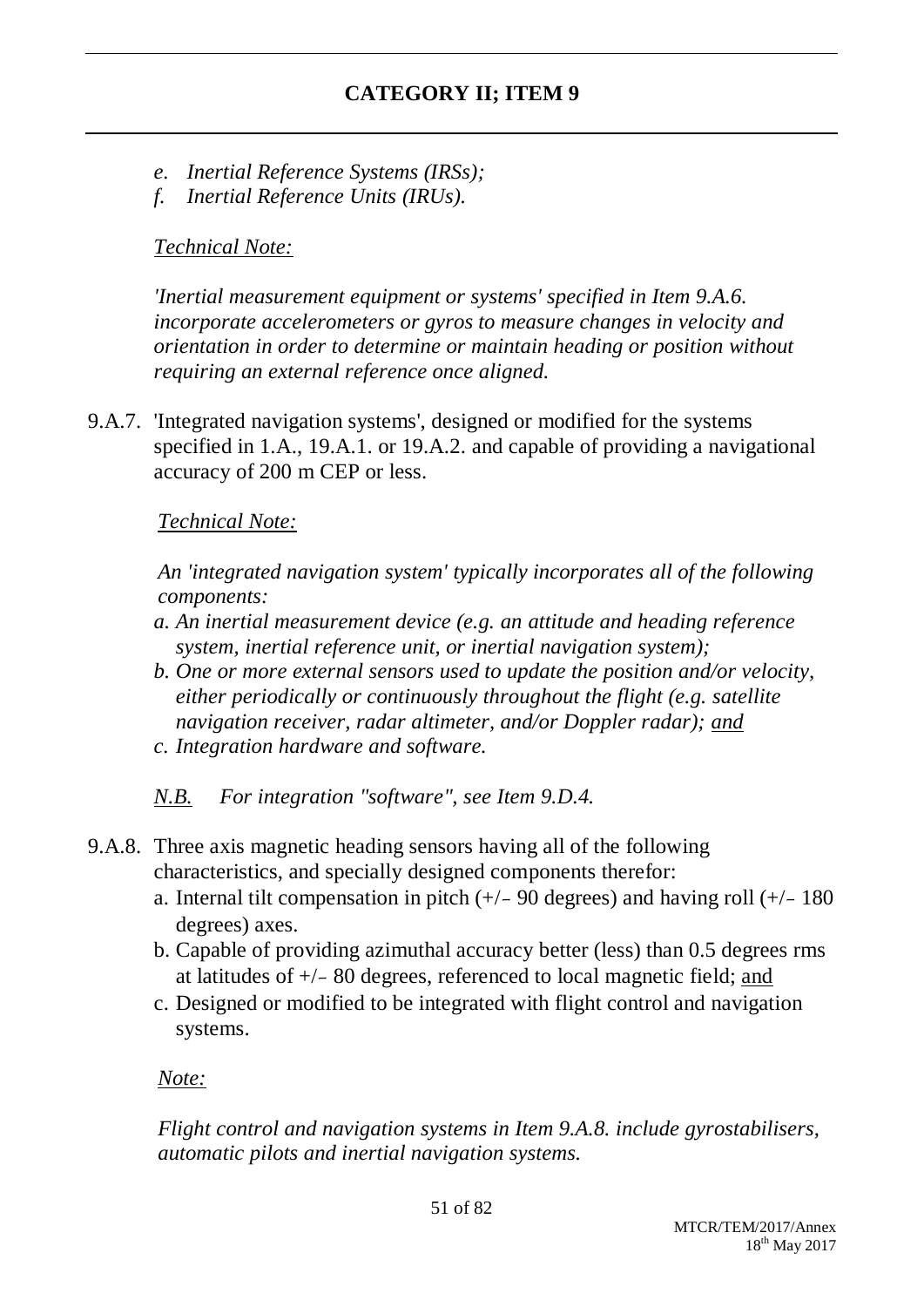- *e. Inertial Reference Systems (IRSs);*
- *f. Inertial Reference Units (IRUs).*

### *Technical Note:*

*'Inertial measurement equipment or systems' specified in Item 9.A.6. incorporate accelerometers or gyros to measure changes in velocity and orientation in order to determine or maintain heading or position without requiring an external reference once aligned.*

9.A.7. 'Integrated navigation systems', designed or modified for the systems specified in 1.A., 19.A.1. or 19.A.2. and capable of providing a navigational accuracy of 200 m CEP or less.

### *Technical Note:*

*An 'integrated navigation system' typically incorporates all of the following components:*

- *a. An inertial measurement device (e.g. an attitude and heading reference system, inertial reference unit, or inertial navigation system);*
- *b. One or more external sensors used to update the position and/or velocity, either periodically or continuously throughout the flight (e.g. satellite navigation receiver, radar altimeter, and/or Doppler radar); and c. Integration hardware and software.*

*N.B. For integration "software", see Item 9.D.4.*

- 9.A.8. Three axis magnetic heading sensors having all of the following characteristics, and specially designed components therefor:
	- a. Internal tilt compensation in pitch  $(+/- 90$  degrees) and having roll  $(+/- 180$ degrees) axes.
	- b. Capable of providing azimuthal accuracy better (less) than 0.5 degrees rms at latitudes of +/- 80 degrees, referenced to local magnetic field; and
	- c. Designed or modified to be integrated with flight control and navigation systems.

*Note:*

*Flight control and navigation systems in Item 9.A.8. include gyrostabilisers, automatic pilots and inertial navigation systems.*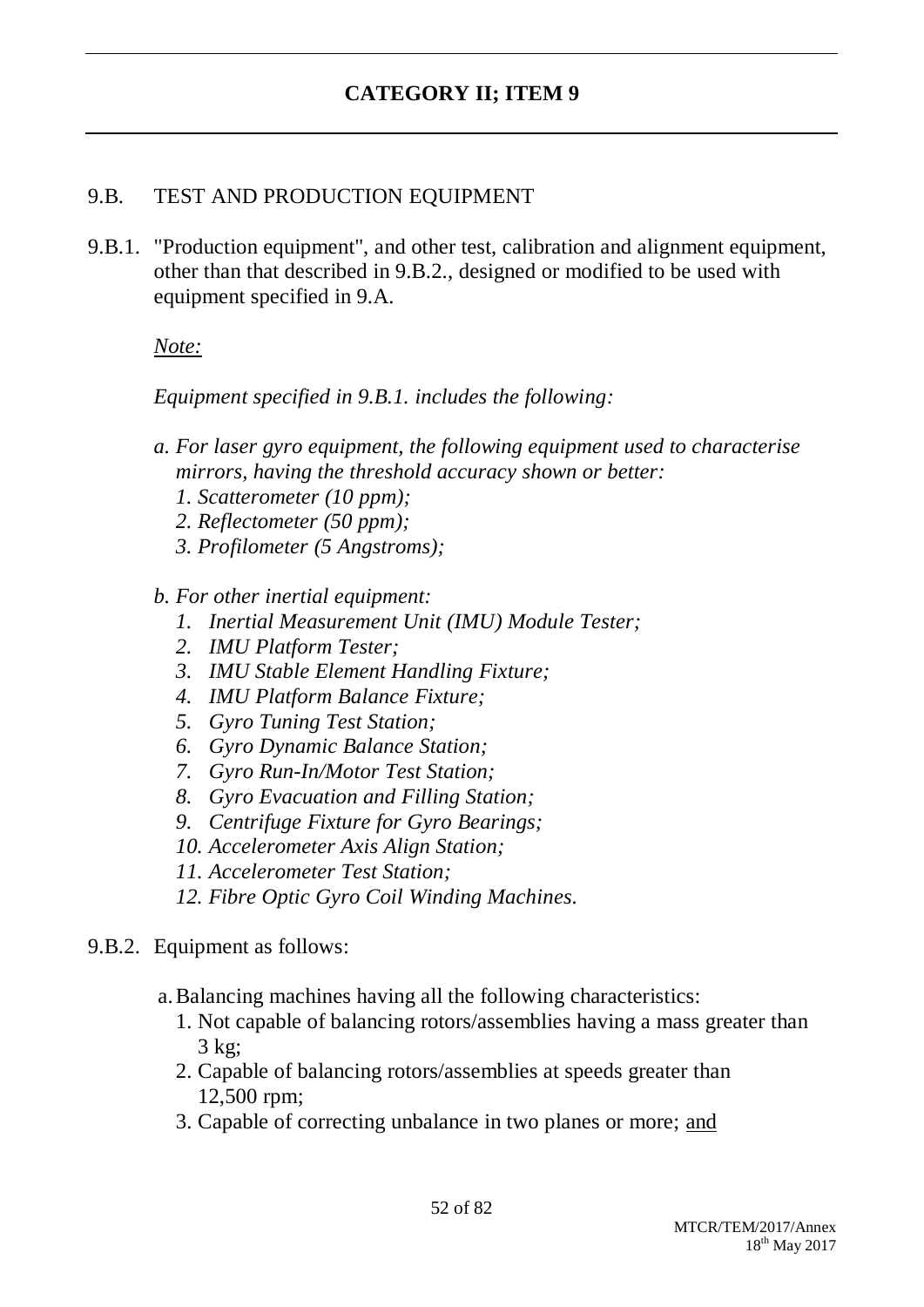### 9.B. TEST AND PRODUCTION EQUIPMENT

9.B.1. "Production equipment", and other test, calibration and alignment equipment, other than that described in 9.B.2., designed or modified to be used with equipment specified in 9.A.

#### *Note:*

*Equipment specified in 9.B.1. includes the following:*

- *a. For laser gyro equipment, the following equipment used to characterise mirrors, having the threshold accuracy shown or better:*
	- *1. Scatterometer (10 ppm);*
	- *2. Reflectometer (50 ppm);*
	- *3. Profilometer (5 Angstroms);*

#### *b. For other inertial equipment:*

- *1. Inertial Measurement Unit (IMU) Module Tester;*
- *2. IMU Platform Tester;*
- *3. IMU Stable Element Handling Fixture;*
- *4. IMU Platform Balance Fixture;*
- *5. Gyro Tuning Test Station;*
- *6. Gyro Dynamic Balance Station;*
- *7. Gyro Run-In/Motor Test Station;*
- *8. Gyro Evacuation and Filling Station;*
- *9. Centrifuge Fixture for Gyro Bearings;*
- *10. Accelerometer Axis Align Station;*
- *11. Accelerometer Test Station;*
- *12. Fibre Optic Gyro Coil Winding Machines.*

#### 9.B.2. Equipment as follows:

- a.Balancing machines having all the following characteristics:
	- 1. Not capable of balancing rotors/assemblies having a mass greater than 3 kg;
	- 2. Capable of balancing rotors/assemblies at speeds greater than 12,500 rpm;
	- 3. Capable of correcting unbalance in two planes or more; and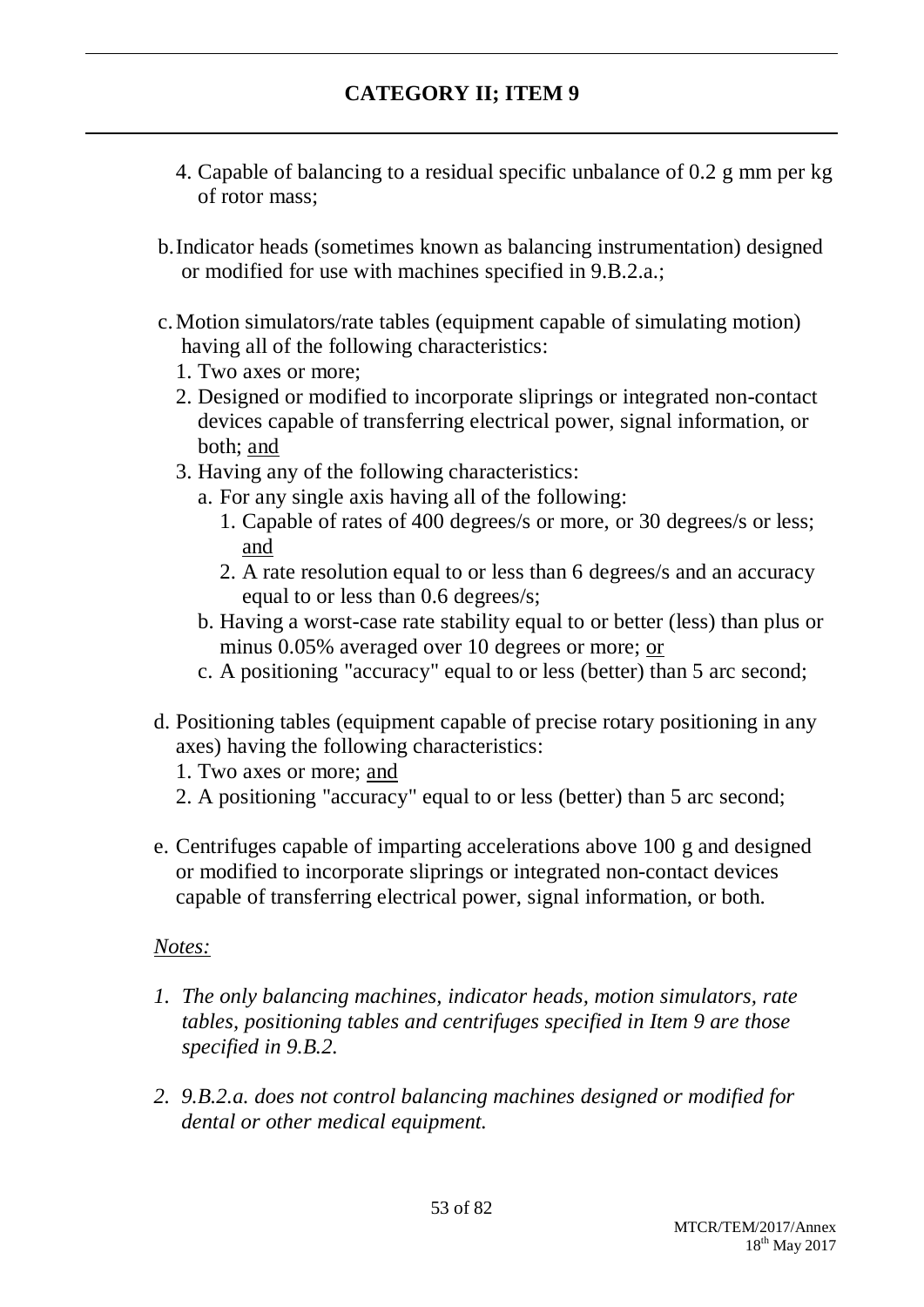- 4. Capable of balancing to a residual specific unbalance of 0.2 g mm per kg of rotor mass;
- b.Indicator heads (sometimes known as balancing instrumentation) designed or modified for use with machines specified in 9.B.2.a.;
- c.Motion simulators/rate tables (equipment capable of simulating motion) having all of the following characteristics:
	- 1. Two axes or more;
	- 2. Designed or modified to incorporate sliprings or integrated non-contact devices capable of transferring electrical power, signal information, or both; and
	- 3. Having any of the following characteristics:
		- a. For any single axis having all of the following:
			- 1. Capable of rates of 400 degrees/s or more, or 30 degrees/s or less; and
			- 2. A rate resolution equal to or less than 6 degrees/s and an accuracy equal to or less than 0.6 degrees/s;
		- b. Having a worst-case rate stability equal to or better (less) than plus or minus 0.05% averaged over 10 degrees or more; or
		- c. A positioning "accuracy" equal to or less (better) than 5 arc second;
- d. Positioning tables (equipment capable of precise rotary positioning in any axes) having the following characteristics:
	- 1. Two axes or more; and
	- 2. A positioning "accuracy" equal to or less (better) than 5 arc second;
- e. Centrifuges capable of imparting accelerations above 100 g and designed or modified to incorporate sliprings or integrated non-contact devices capable of transferring electrical power, signal information, or both.

#### *Notes:*

- *1. The only balancing machines, indicator heads, motion simulators, rate tables, positioning tables and centrifuges specified in Item 9 are those specified in 9.B.2.*
- *2. 9.B.2.a. does not control balancing machines designed or modified for dental or other medical equipment.*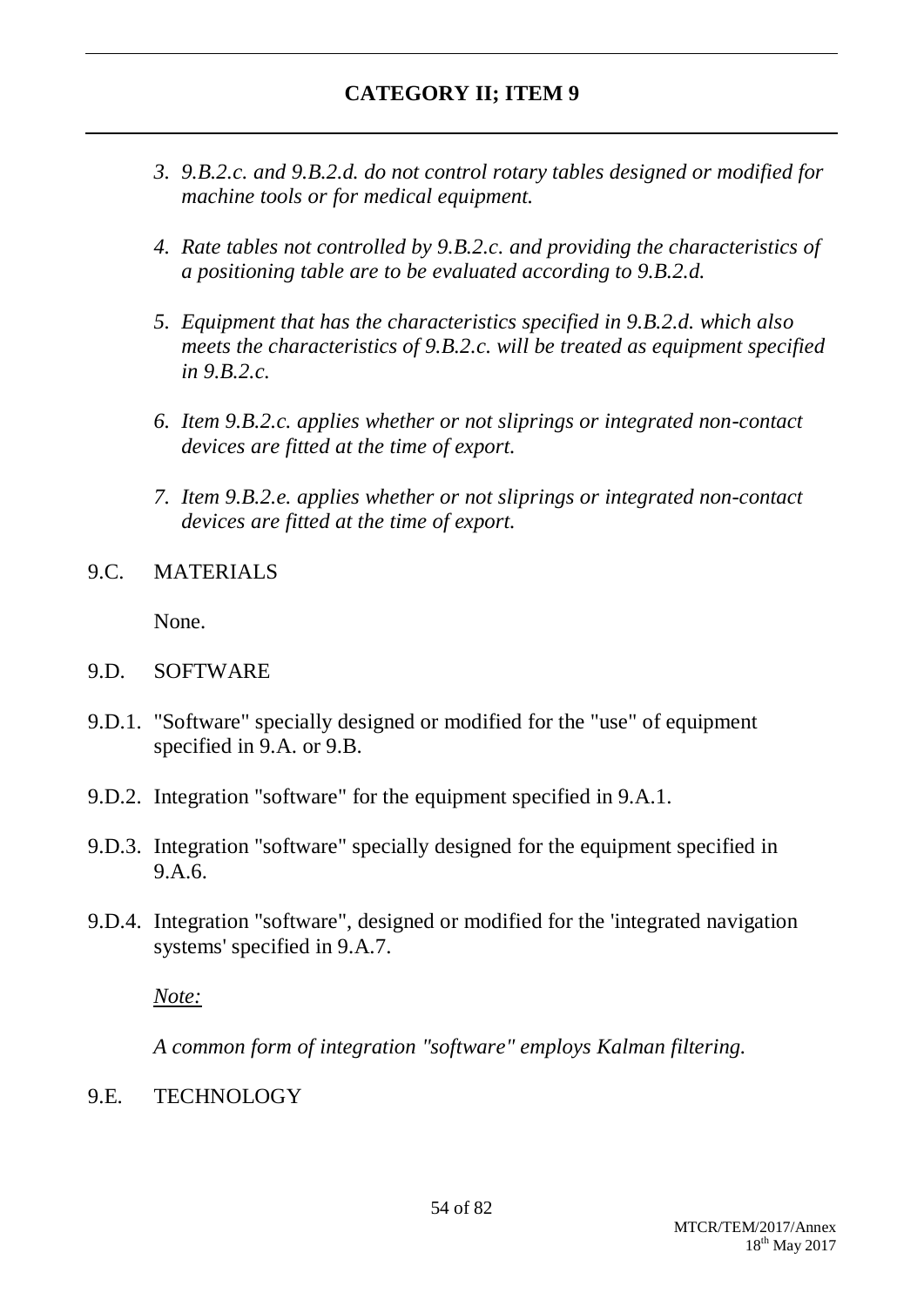- *3. 9.B.2.c. and 9.B.2.d. do not control rotary tables designed or modified for machine tools or for medical equipment.*
- *4. Rate tables not controlled by 9.B.2.c. and providing the characteristics of a positioning table are to be evaluated according to 9.B.2.d.*
- *5. Equipment that has the characteristics specified in 9.B.2.d. which also meets the characteristics of 9.B.2.c. will be treated as equipment specified in 9.B.2.c.*
- *6. Item 9.B.2.c. applies whether or not sliprings or integrated non-contact devices are fitted at the time of export.*
- *7. Item 9.B.2.e. applies whether or not sliprings or integrated non-contact devices are fitted at the time of export.*
- 9.C. MATERIALS

None.

- 9.D. SOFTWARE
- 9.D.1. "Software" specially designed or modified for the "use" of equipment specified in 9.A. or 9.B.
- 9.D.2. Integration "software" for the equipment specified in 9.A.1.
- 9.D.3. Integration "software" specially designed for the equipment specified in 9.A.6.
- 9.D.4. Integration "software", designed or modified for the 'integrated navigation systems' specified in 9.A.7.

*Note:*

*A common form of integration "software" employs Kalman filtering.*

9.E. TECHNOLOGY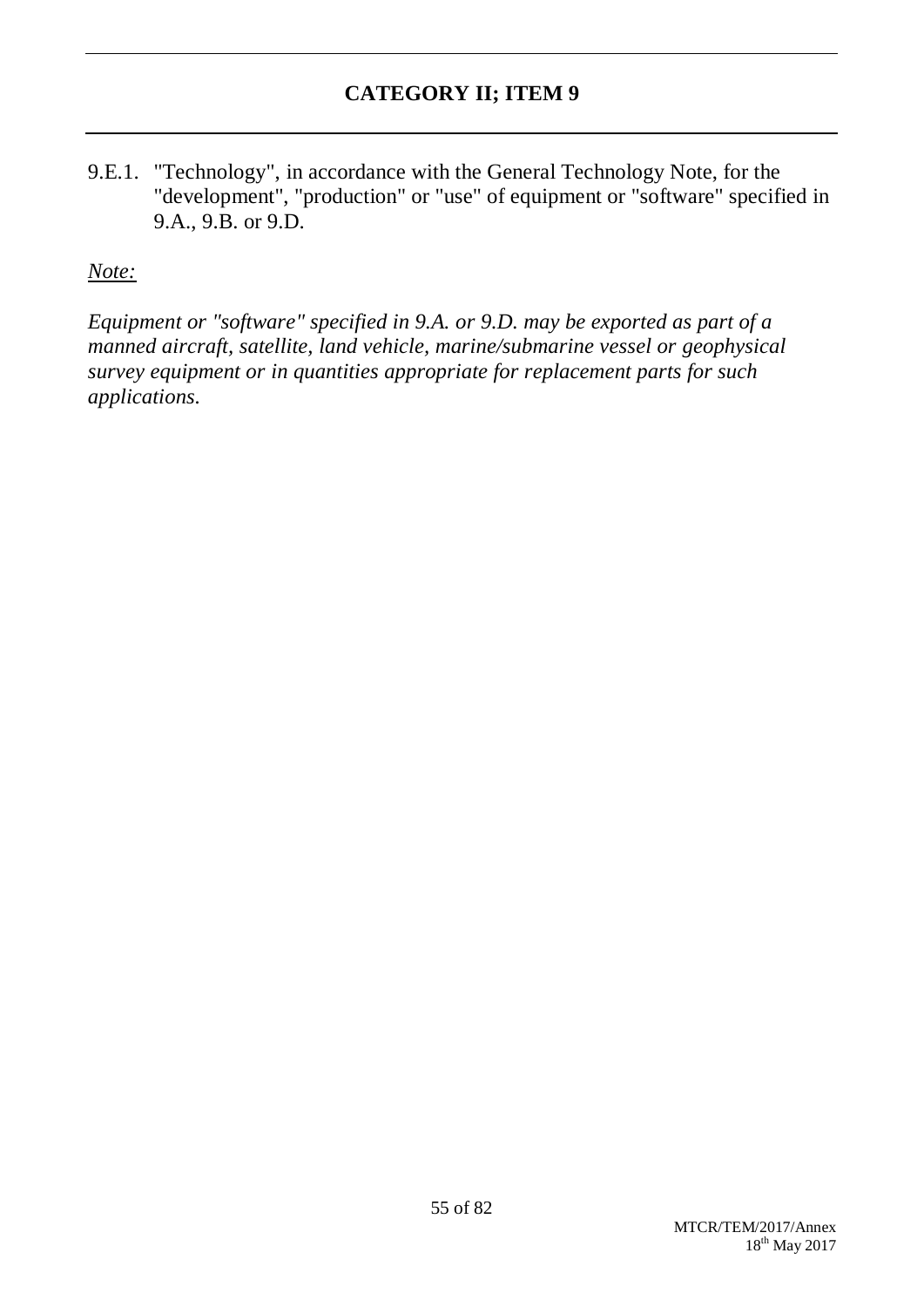9.E.1. "Technology", in accordance with the General Technology Note, for the "development", "production" or "use" of equipment or "software" specified in 9.A., 9.B. or 9.D.

#### *Note:*

*Equipment or "software" specified in 9.A. or 9.D. may be exported as part of a manned aircraft, satellite, land vehicle, marine/submarine vessel or geophysical survey equipment or in quantities appropriate for replacement parts for such applications.*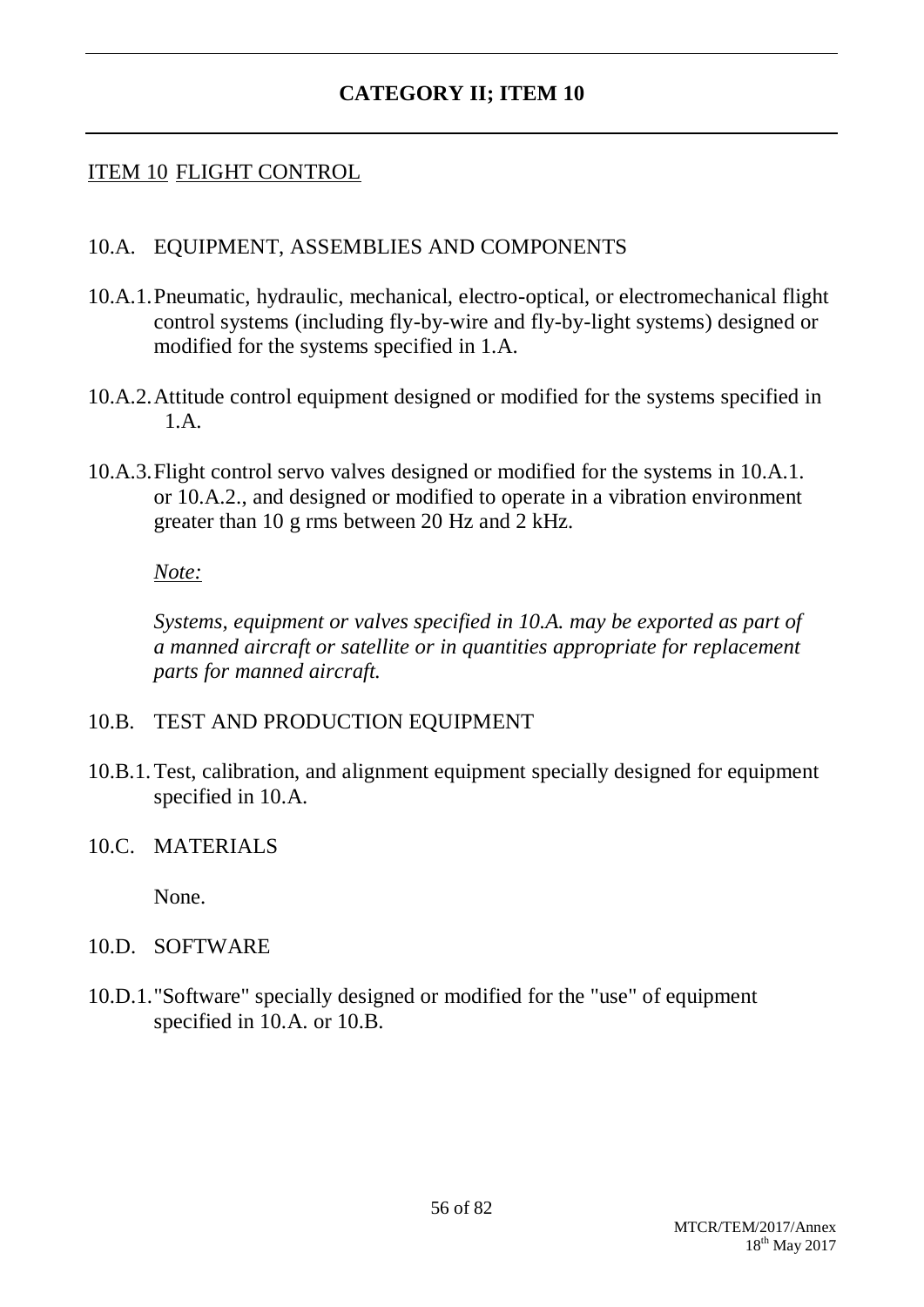### ITEM 10 FLIGHT CONTROL

#### 10.A. EQUIPMENT, ASSEMBLIES AND COMPONENTS

- 10.A.1.Pneumatic, hydraulic, mechanical, electro-optical, or electromechanical flight control systems (including fly-by-wire and fly-by-light systems) designed or modified for the systems specified in 1.A.
- 10.A.2.Attitude control equipment designed or modified for the systems specified in 1.A.
- 10.A.3.Flight control servo valves designed or modified for the systems in 10.A.1. or 10.A.2., and designed or modified to operate in a vibration environment greater than 10 g rms between 20 Hz and 2 kHz.

#### *Note:*

*Systems, equipment or valves specified in 10.A. may be exported as part of a manned aircraft or satellite or in quantities appropriate for replacement parts for manned aircraft.*

#### 10.B. TEST AND PRODUCTION EQUIPMENT

10.B.1.Test, calibration, and alignment equipment specially designed for equipment specified in 10.A.

#### 10.C. MATERIALS

None.

#### 10.D. SOFTWARE

10.D.1."Software" specially designed or modified for the "use" of equipment specified in 10.A. or 10.B.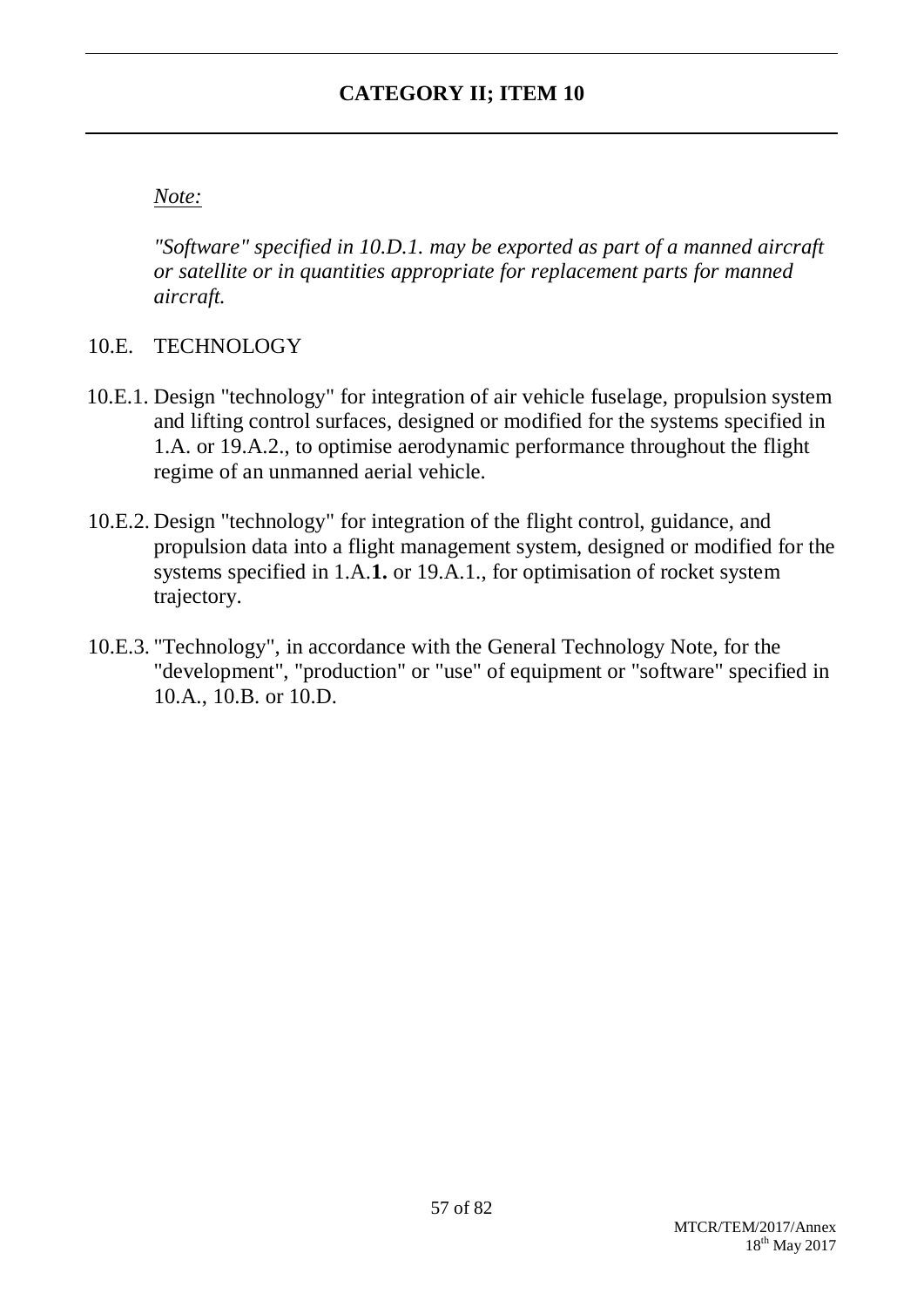## *Note:*

*"Software" specified in 10.D.1. may be exported as part of a manned aircraft or satellite or in quantities appropriate for replacement parts for manned aircraft.*

## 10.E. TECHNOLOGY

- 10.E.1. Design "technology" for integration of air vehicle fuselage, propulsion system and lifting control surfaces, designed or modified for the systems specified in 1.A. or 19.A.2., to optimise aerodynamic performance throughout the flight regime of an unmanned aerial vehicle.
- 10.E.2. Design "technology" for integration of the flight control, guidance, and propulsion data into a flight management system, designed or modified for the systems specified in 1.A.**1.** or 19.A.1., for optimisation of rocket system trajectory.
- 10.E.3. "Technology", in accordance with the General Technology Note, for the "development", "production" or "use" of equipment or "software" specified in 10.A., 10.B. or 10.D.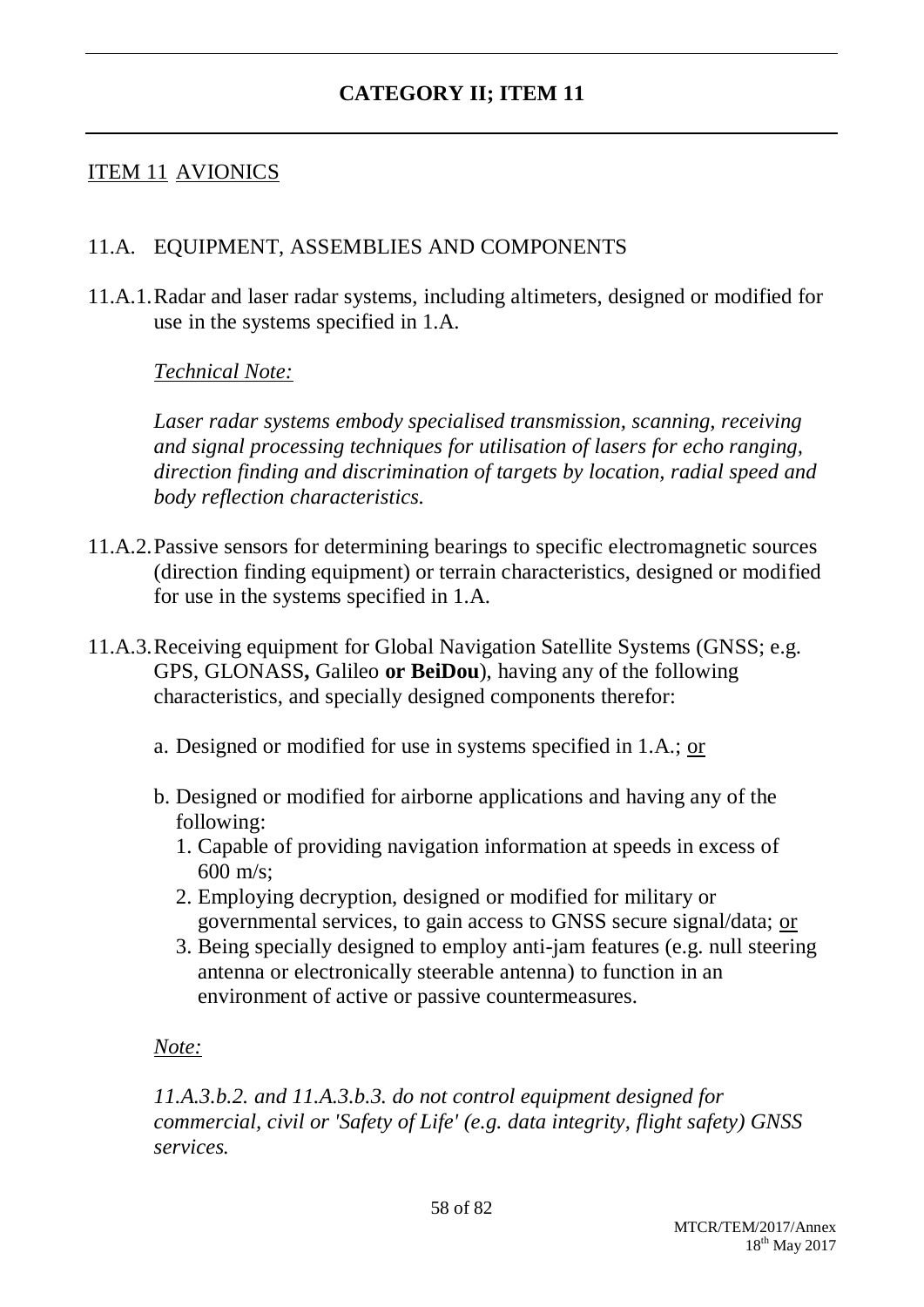## ITEM 11 AVIONICS

### 11.A. EQUIPMENT, ASSEMBLIES AND COMPONENTS

11.A.1.Radar and laser radar systems, including altimeters, designed or modified for use in the systems specified in 1.A.

*Technical Note:*

*Laser radar systems embody specialised transmission, scanning, receiving and signal processing techniques for utilisation of lasers for echo ranging, direction finding and discrimination of targets by location, radial speed and body reflection characteristics.*

- 11.A.2.Passive sensors for determining bearings to specific electromagnetic sources (direction finding equipment) or terrain characteristics, designed or modified for use in the systems specified in 1.A.
- 11.A.3.Receiving equipment for Global Navigation Satellite Systems (GNSS; e.g. GPS, GLONASS**,** Galileo **or BeiDou**), having any of the following characteristics, and specially designed components therefor:
	- a. Designed or modified for use in systems specified in 1.A.; or
	- b. Designed or modified for airborne applications and having any of the following:
		- 1. Capable of providing navigation information at speeds in excess of  $600 \text{ m/s}$ ;
		- 2. Employing decryption, designed or modified for military or governmental services, to gain access to GNSS secure signal/data; or
		- 3. Being specially designed to employ anti-jam features (e.g. null steering antenna or electronically steerable antenna) to function in an environment of active or passive countermeasures.

#### *Note:*

*11.A.3.b.2. and 11.A.3.b.3. do not control equipment designed for commercial, civil or 'Safety of Life' (e.g. data integrity, flight safety) GNSS services.*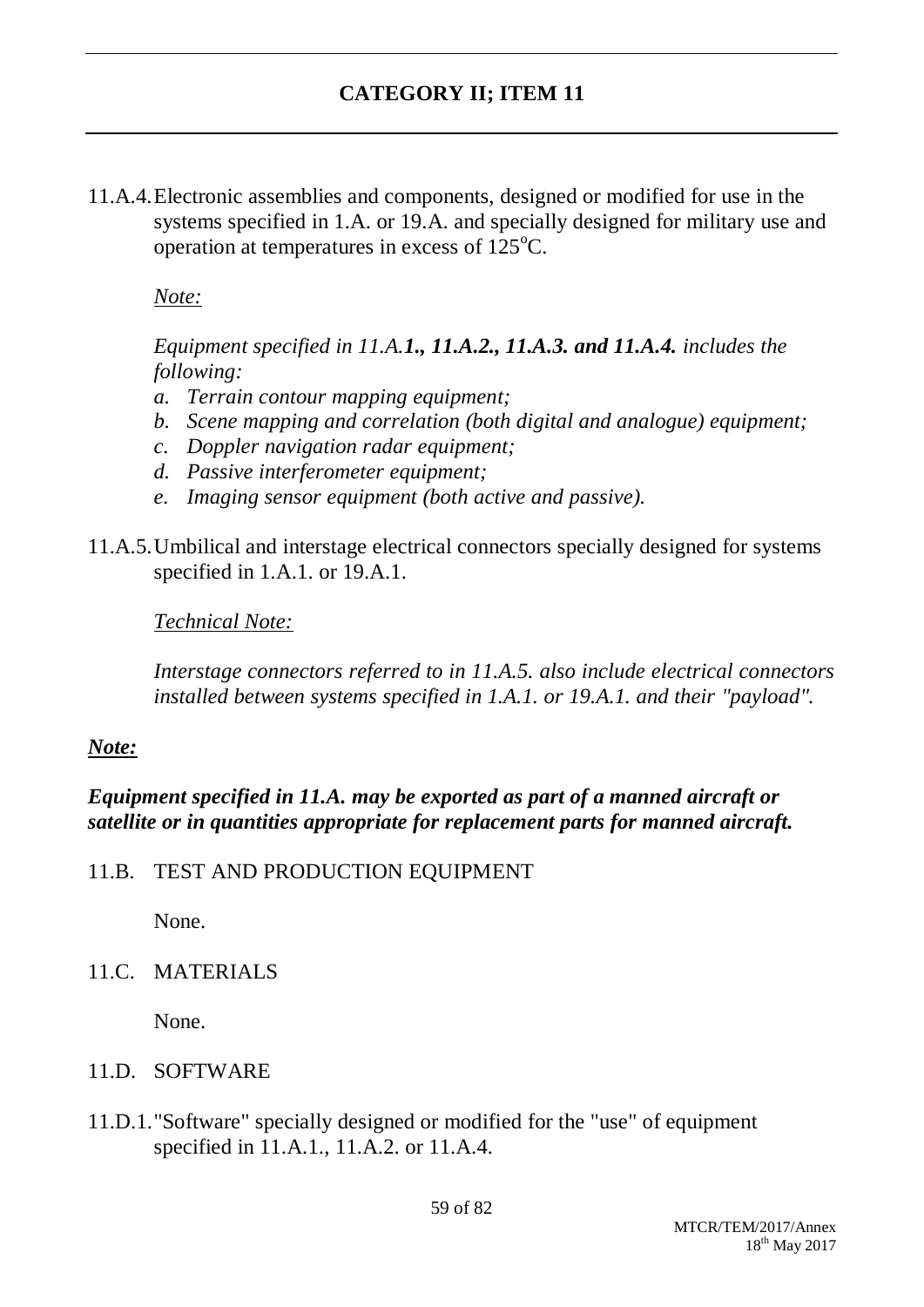11.A.4.Electronic assemblies and components, designed or modified for use in the systems specified in 1.A. or 19.A. and specially designed for military use and operation at temperatures in excess of  $125^{\circ}$ C.

*Note:*

*Equipment specified in 11.A.1., 11.A.2., 11.A.3. and 11.A.4. includes the following:*

- *a. Terrain contour mapping equipment;*
- *b. Scene mapping and correlation (both digital and analogue) equipment;*
- *c. Doppler navigation radar equipment;*
- *d. Passive interferometer equipment;*
- *e. Imaging sensor equipment (both active and passive).*
- 11.A.5.Umbilical and interstage electrical connectors specially designed for systems specified in 1.A.1. or 19.A.1.

*Technical Note:*

*Interstage connectors referred to in 11.A.5. also include electrical connectors installed between systems specified in 1.A.1. or 19.A.1. and their "payload".*

#### *Note:*

*Equipment specified in 11.A. may be exported as part of a manned aircraft or satellite or in quantities appropriate for replacement parts for manned aircraft.*

11.B. TEST AND PRODUCTION EQUIPMENT

None.

11.C. MATERIALS

None.

- 11.D. SOFTWARE
- 11.D.1."Software" specially designed or modified for the "use" of equipment specified in 11.A.1., 11.A.2. or 11.A.4.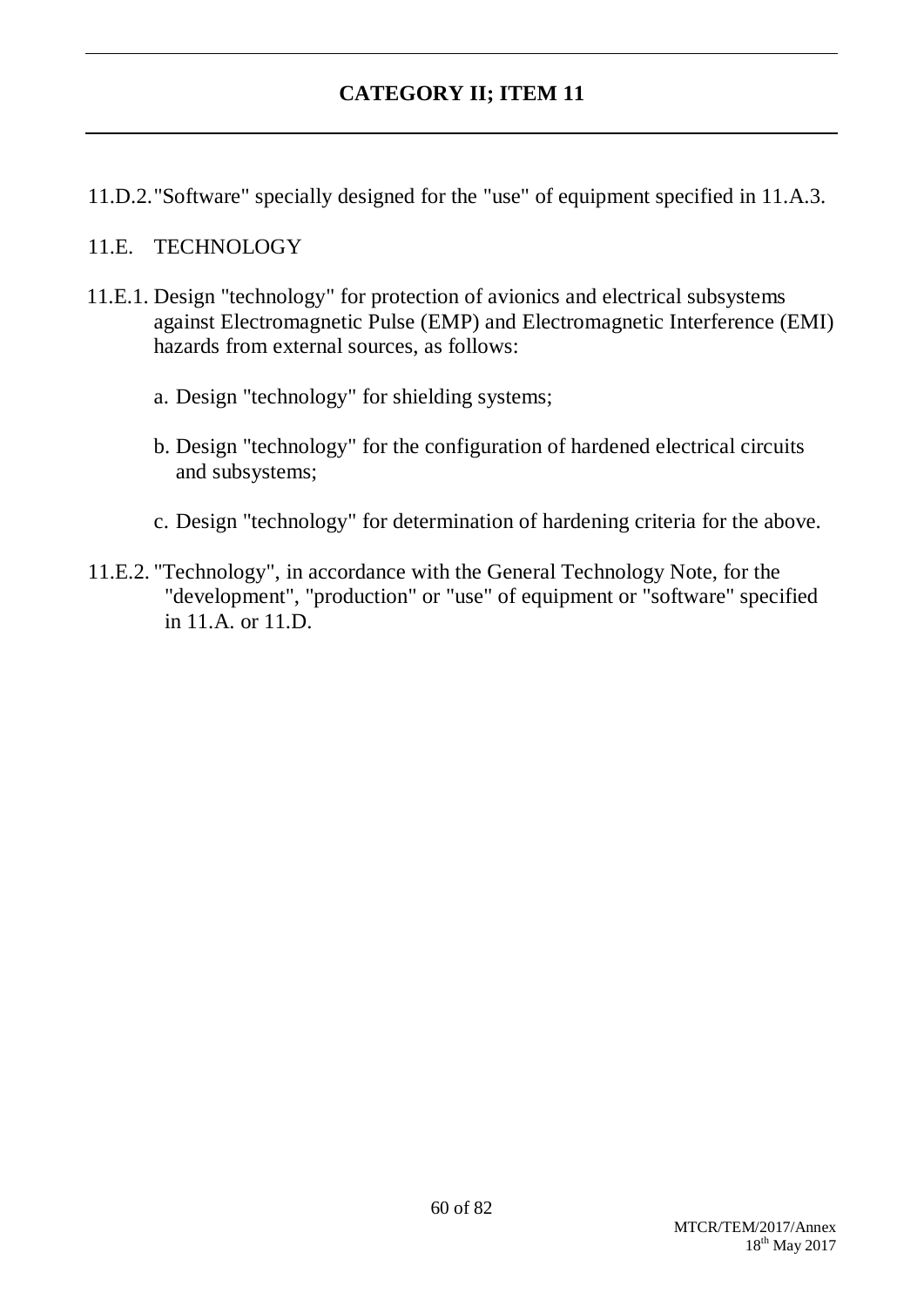11.D.2."Software" specially designed for the "use" of equipment specified in 11.A.3.

#### 11.E. TECHNOLOGY

- 11.E.1. Design "technology" for protection of avionics and electrical subsystems against Electromagnetic Pulse (EMP) and Electromagnetic Interference (EMI) hazards from external sources, as follows:
	- a. Design "technology" for shielding systems;
	- b. Design "technology" for the configuration of hardened electrical circuits and subsystems;
	- c. Design "technology" for determination of hardening criteria for the above.
- 11.E.2. "Technology", in accordance with the General Technology Note, for the "development", "production" or "use" of equipment or "software" specified in 11.A. or 11.D.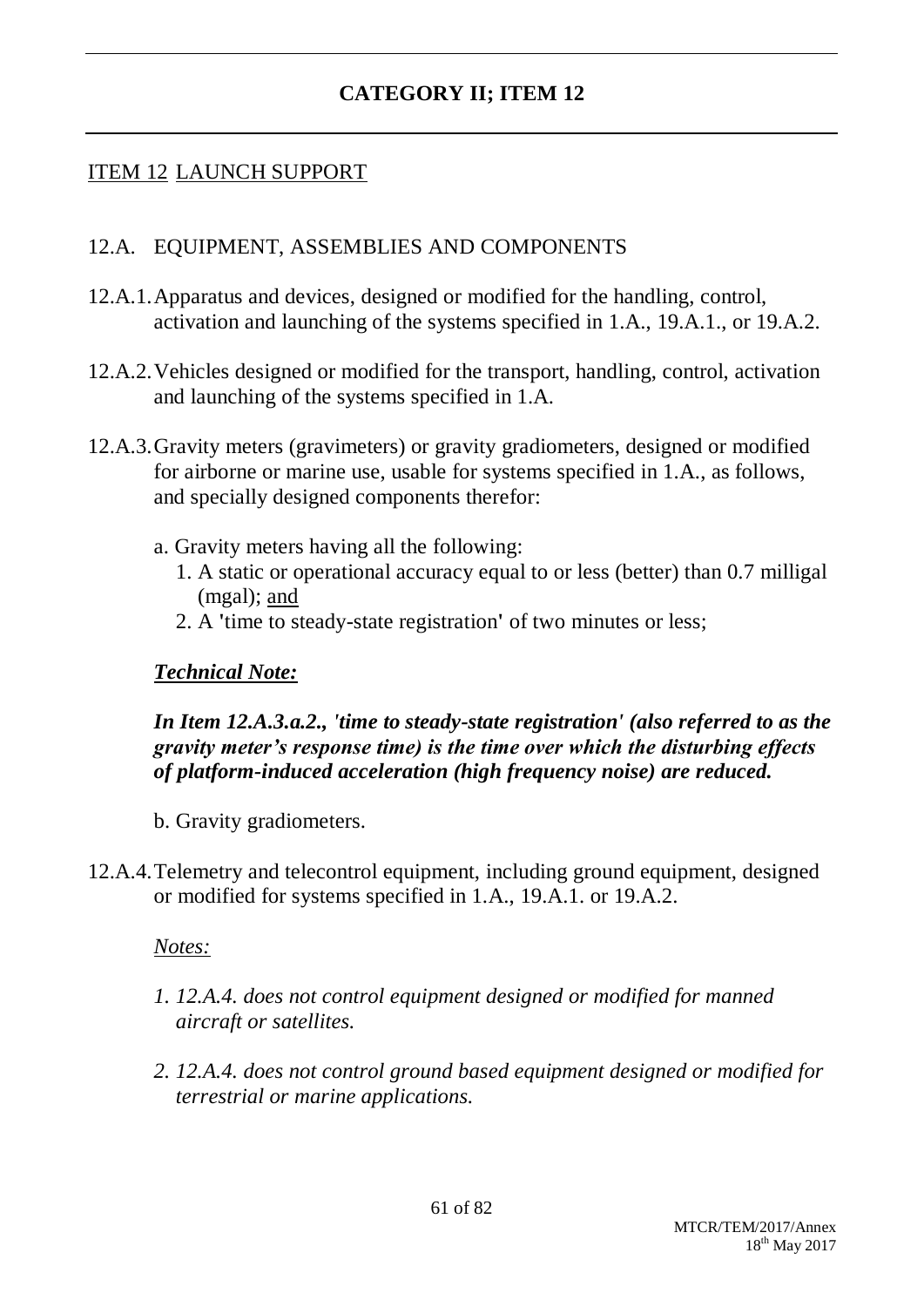## ITEM 12 LAUNCH SUPPORT

#### 12.A. EQUIPMENT, ASSEMBLIES AND COMPONENTS

- 12.A.1.Apparatus and devices, designed or modified for the handling, control, activation and launching of the systems specified in 1.A., 19.A.1., or 19.A.2.
- 12.A.2.Vehicles designed or modified for the transport, handling, control, activation and launching of the systems specified in 1.A.
- 12.A.3.Gravity meters (gravimeters) or gravity gradiometers, designed or modified for airborne or marine use, usable for systems specified in 1.A., as follows, and specially designed components therefor:
	- a. Gravity meters having all the following:
		- 1. A static or operational accuracy equal to or less (better) than 0.7 milligal (mgal); and
		- 2. A **'**time to steady-state registration**'** of two minutes or less;

#### *Technical Note:*

### *In Item 12.A.3.a.2., 'time to steady-state registration' (also referred to as the gravity meter's response time) is the time over which the disturbing effects of platform-induced acceleration (high frequency noise) are reduced.*

- b. Gravity gradiometers.
- 12.A.4.Telemetry and telecontrol equipment, including ground equipment, designed or modified for systems specified in 1.A., 19.A.1. or 19.A.2.

#### *Notes:*

- *1. 12.A.4. does not control equipment designed or modified for manned aircraft or satellites.*
- *2. 12.A.4. does not control ground based equipment designed or modified for terrestrial or marine applications.*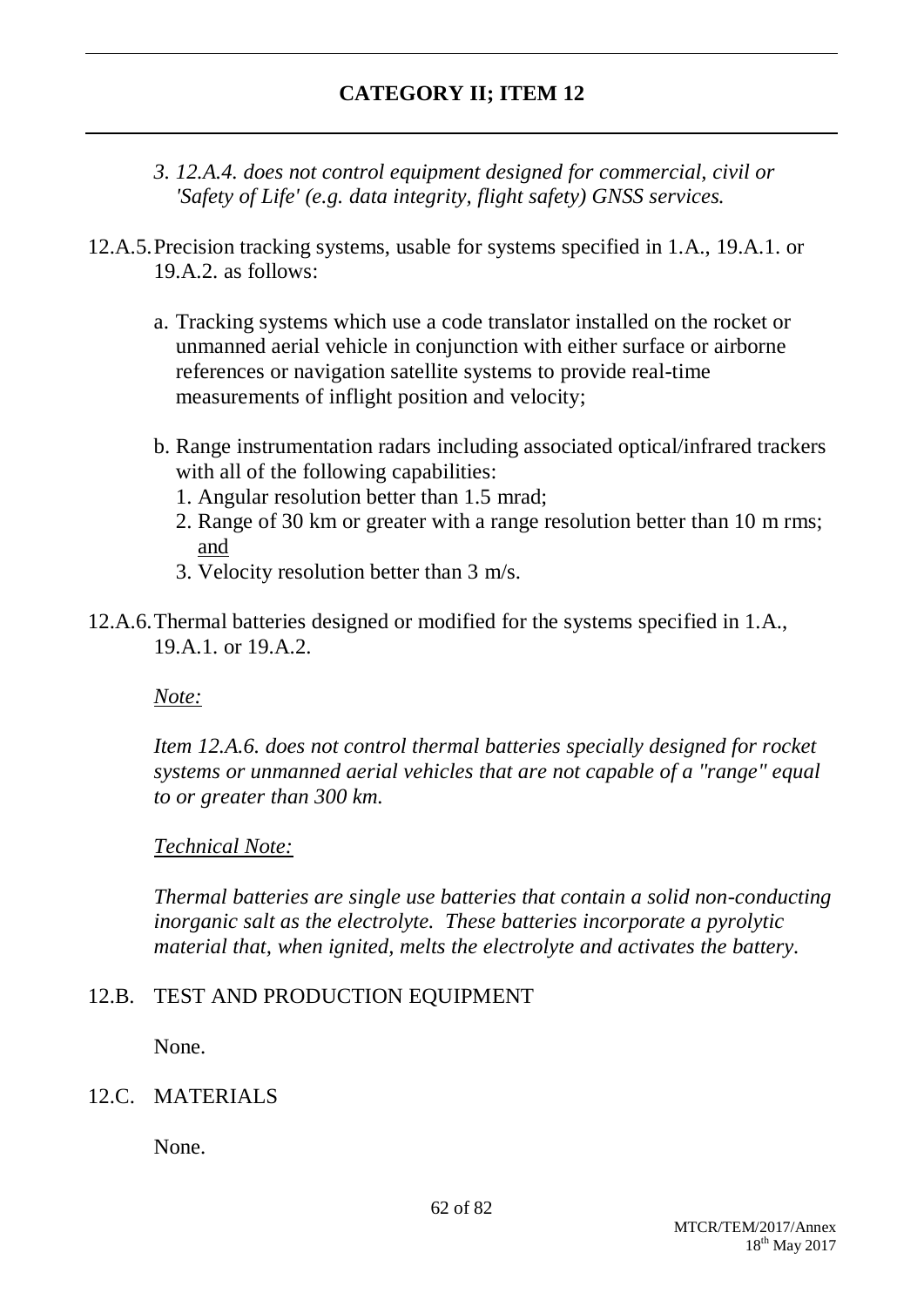- *3. 12.A.4. does not control equipment designed for commercial, civil or 'Safety of Life' (e.g. data integrity, flight safety) GNSS services.*
- 12.A.5.Precision tracking systems, usable for systems specified in 1.A., 19.A.1. or 19.A.2. as follows:
	- a. Tracking systems which use a code translator installed on the rocket or unmanned aerial vehicle in conjunction with either surface or airborne references or navigation satellite systems to provide real-time measurements of inflight position and velocity;
	- b. Range instrumentation radars including associated optical/infrared trackers with all of the following capabilities:
		- 1. Angular resolution better than 1.5 mrad;
		- 2. Range of 30 km or greater with a range resolution better than 10 m rms; and
		- 3. Velocity resolution better than 3 m/s.
- 12.A.6.Thermal batteries designed or modified for the systems specified in 1.A., 19.A.1. or 19.A.2.

#### *Note:*

*Item 12.A.6. does not control thermal batteries specially designed for rocket systems or unmanned aerial vehicles that are not capable of a "range" equal to or greater than 300 km.*

#### *Technical Note:*

*Thermal batteries are single use batteries that contain a solid non-conducting inorganic salt as the electrolyte. These batteries incorporate a pyrolytic material that, when ignited, melts the electrolyte and activates the battery.*

### 12.B. TEST AND PRODUCTION EQUIPMENT

None.

### 12.C. MATERIALS

None.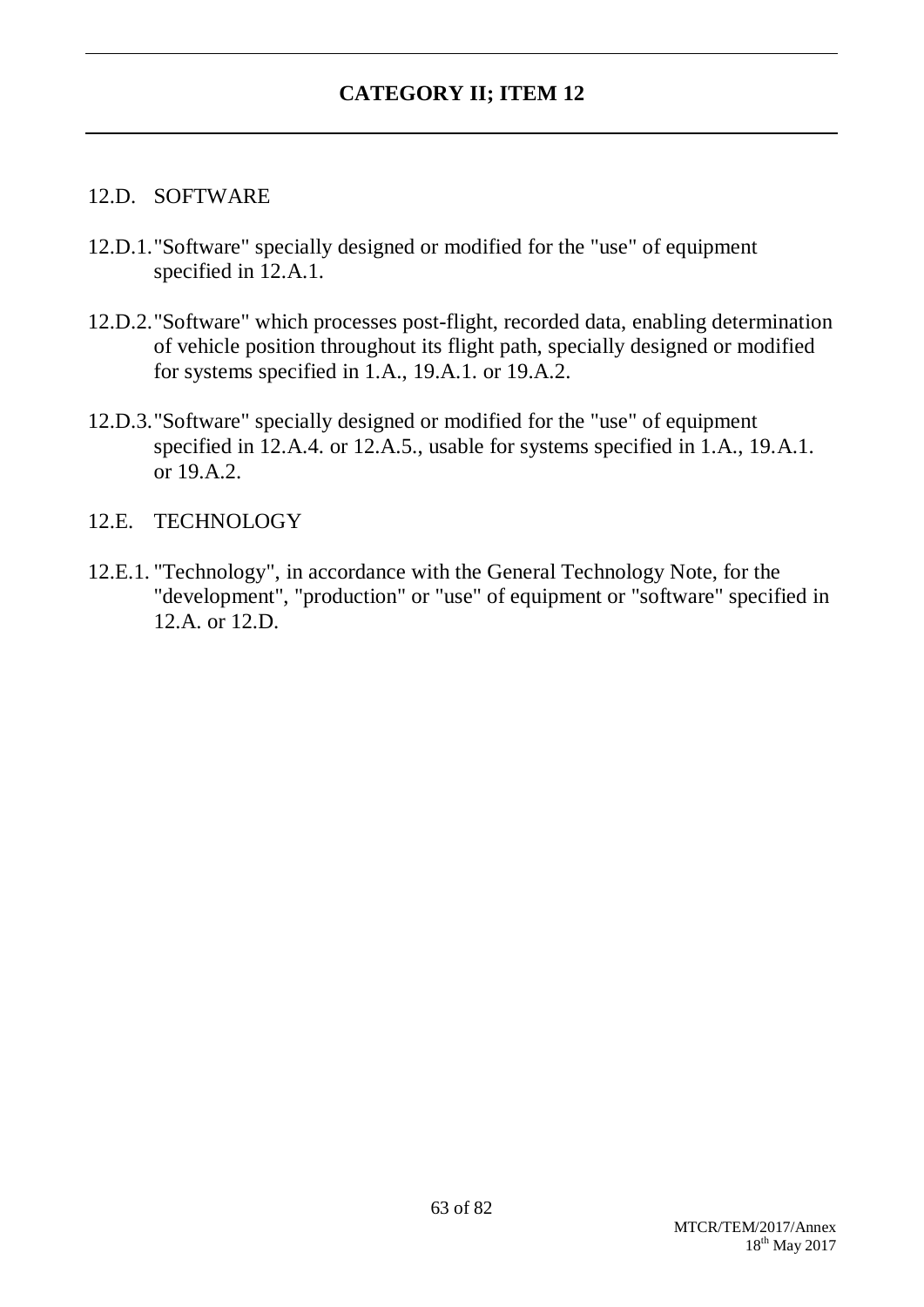#### 12.D. SOFTWARE

- 12.D.1."Software" specially designed or modified for the "use" of equipment specified in 12.A.1.
- 12.D.2."Software" which processes post-flight, recorded data, enabling determination of vehicle position throughout its flight path, specially designed or modified for systems specified in 1.A., 19.A.1. or 19.A.2.
- 12.D.3."Software" specially designed or modified for the "use" of equipment specified in 12.A.4. or 12.A.5., usable for systems specified in 1.A., 19.A.1. or 19.A.2.

### 12.E. TECHNOLOGY

12.E.1. "Technology", in accordance with the General Technology Note, for the "development", "production" or "use" of equipment or "software" specified in 12.A. or 12.D.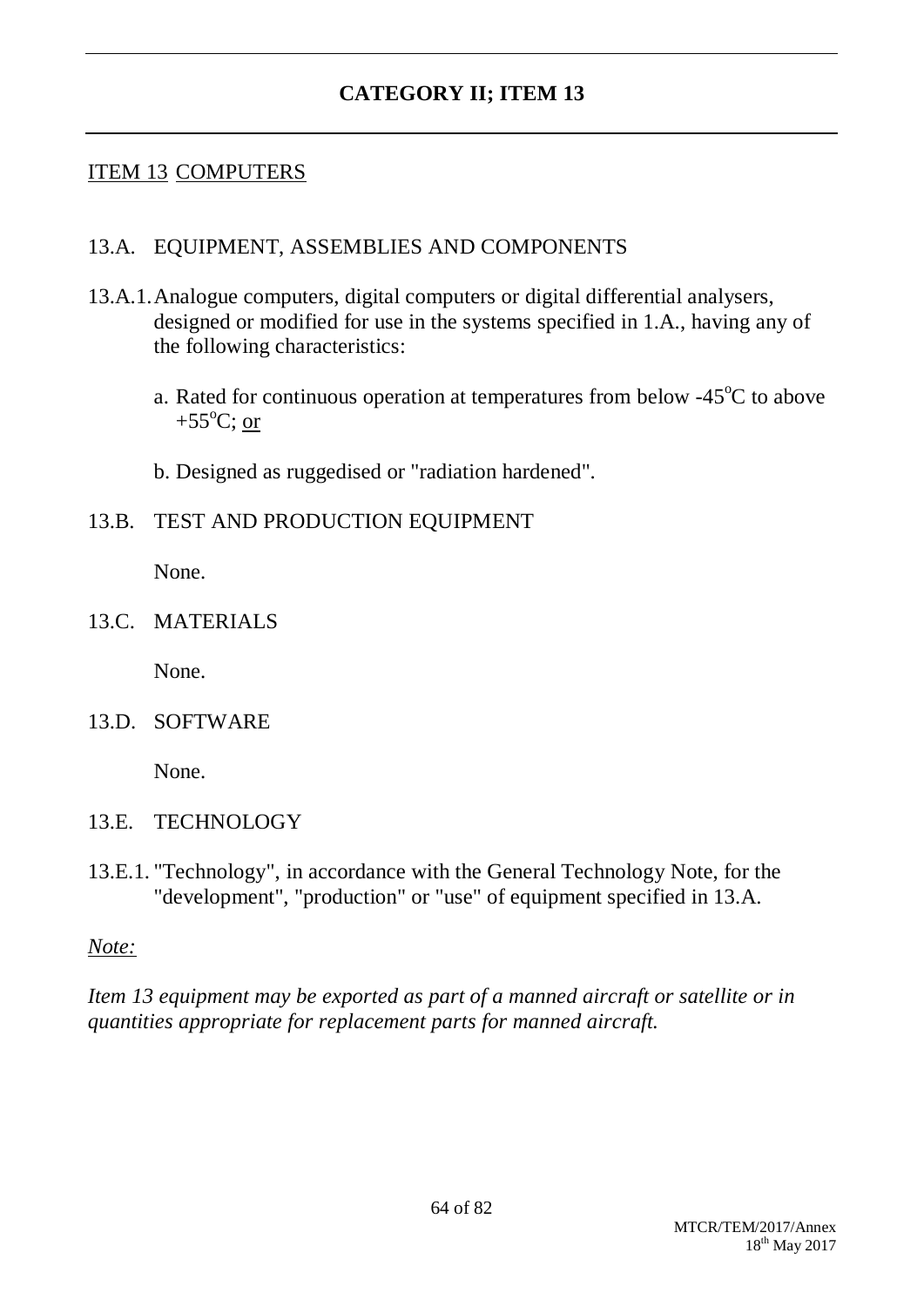### ITEM 13 COMPUTERS

#### 13.A. EQUIPMENT, ASSEMBLIES AND COMPONENTS

- 13.A.1.Analogue computers, digital computers or digital differential analysers, designed or modified for use in the systems specified in 1.A., having any of the following characteristics:
	- a. Rated for continuous operation at temperatures from below  $-45^{\circ}$ C to above +55 $^{\circ}$ C; or
	- b. Designed as ruggedised or "radiation hardened".
- 13.B. TEST AND PRODUCTION EQUIPMENT

None.

13.C. MATERIALS

None.

13.D. SOFTWARE

None.

- 13.E. TECHNOLOGY
- 13.E.1. "Technology", in accordance with the General Technology Note, for the "development", "production" or "use" of equipment specified in 13.A.

*Note:*

*Item 13 equipment may be exported as part of a manned aircraft or satellite or in quantities appropriate for replacement parts for manned aircraft.*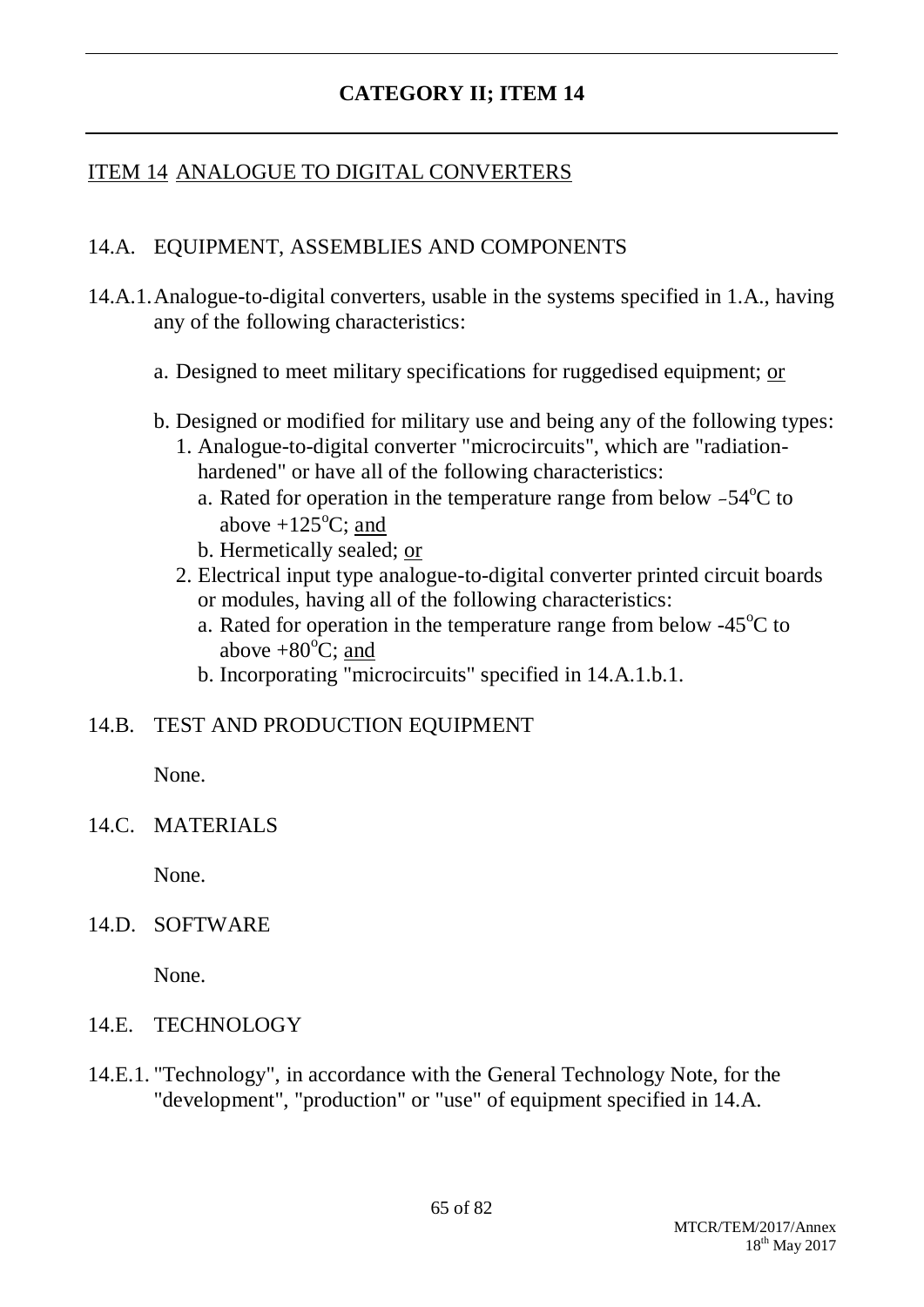## ITEM 14 ANALOGUE TO DIGITAL CONVERTERS

### 14.A. EQUIPMENT, ASSEMBLIES AND COMPONENTS

- 14.A.1.Analogue-to-digital converters, usable in the systems specified in 1.A., having any of the following characteristics:
	- a. Designed to meet military specifications for ruggedised equipment; or
	- b. Designed or modified for military use and being any of the following types:
		- 1. Analogue-to-digital converter "microcircuits", which are "radiationhardened" or have all of the following characteristics:
			- a. Rated for operation in the temperature range from below  $-54^{\circ}$ C to above  $+125^{\circ}$ C; and
			- b. Hermetically sealed; or
		- 2. Electrical input type analogue-to-digital converter printed circuit boards or modules, having all of the following characteristics:
			- a. Rated for operation in the temperature range from below  $-45^{\circ}$ C to above  $+80^{\circ}$ C; and
			- b. Incorporating "microcircuits" specified in 14.A.1.b.1.

#### 14.B. TEST AND PRODUCTION EQUIPMENT

None.

14.C. MATERIALS

None.

#### 14.D. SOFTWARE

None.

- 14.E. TECHNOLOGY
- 14.E.1. "Technology", in accordance with the General Technology Note, for the "development", "production" or "use" of equipment specified in 14.A.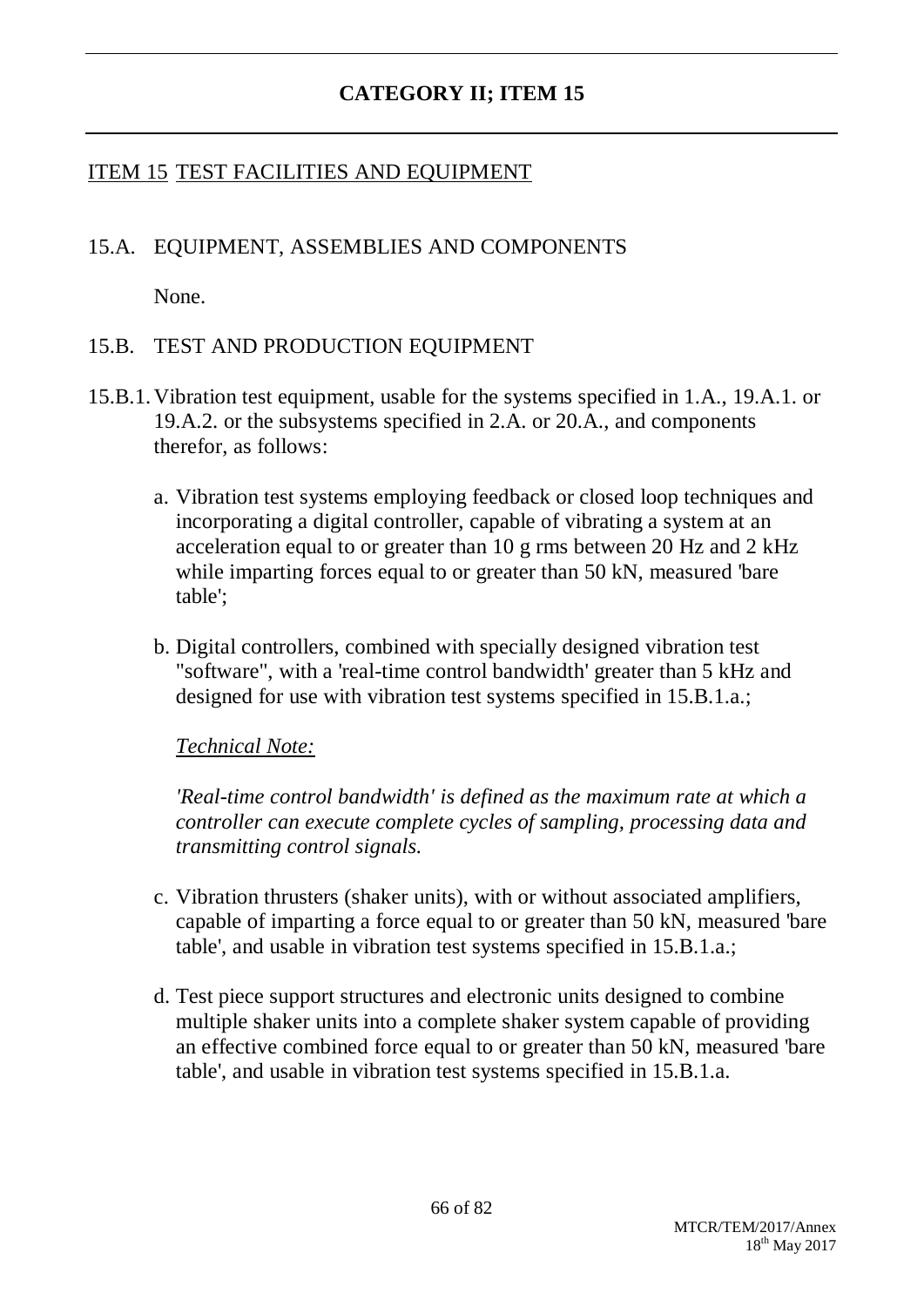### ITEM 15 TEST FACILITIES AND EQUIPMENT

### 15.A. EQUIPMENT, ASSEMBLIES AND COMPONENTS

None.

### 15.B. TEST AND PRODUCTION EQUIPMENT

- 15.B.1.Vibration test equipment, usable for the systems specified in 1.A., 19.A.1. or 19.A.2. or the subsystems specified in 2.A. or 20.A., and components therefor, as follows:
	- a. Vibration test systems employing feedback or closed loop techniques and incorporating a digital controller, capable of vibrating a system at an acceleration equal to or greater than 10 g rms between 20 Hz and 2 kHz while imparting forces equal to or greater than 50 kN, measured 'bare table';
	- b. Digital controllers, combined with specially designed vibration test "software", with a 'real-time control bandwidth' greater than 5 kHz and designed for use with vibration test systems specified in 15.B.1.a.;

*Technical Note:*

*'Real-time control bandwidth' is defined as the maximum rate at which a controller can execute complete cycles of sampling, processing data and transmitting control signals.*

- c. Vibration thrusters (shaker units), with or without associated amplifiers, capable of imparting a force equal to or greater than 50 kN, measured 'bare table', and usable in vibration test systems specified in 15.B.1.a.;
- d. Test piece support structures and electronic units designed to combine multiple shaker units into a complete shaker system capable of providing an effective combined force equal to or greater than 50 kN, measured 'bare table', and usable in vibration test systems specified in 15.B.1.a.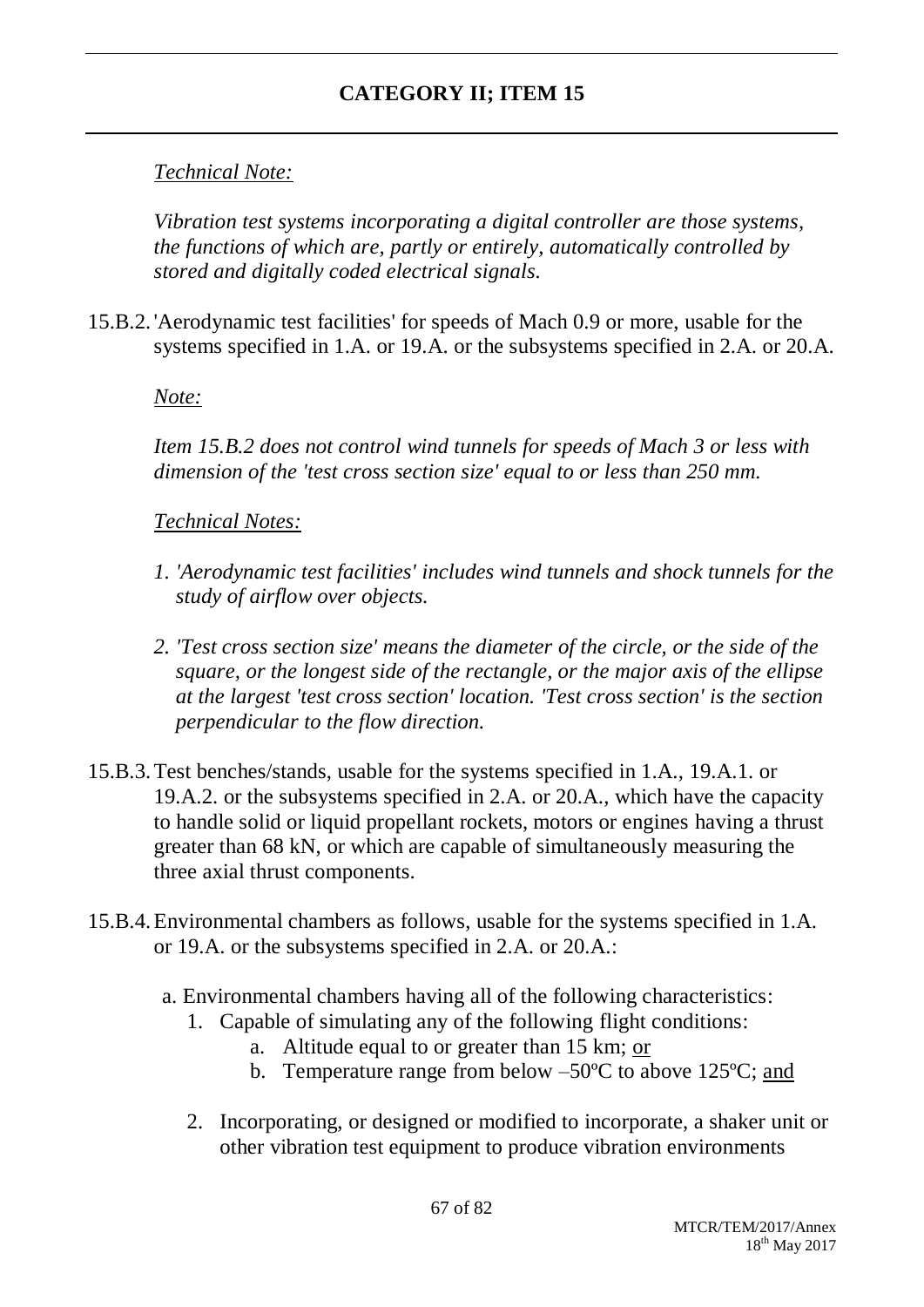## *Technical Note:*

*Vibration test systems incorporating a digital controller are those systems, the functions of which are, partly or entirely, automatically controlled by stored and digitally coded electrical signals.*

15.B.2. 'Aerodynamic test facilities' for speeds of Mach 0.9 or more, usable for the systems specified in 1.A. or 19.A. or the subsystems specified in 2.A. or 20.A.

*Note:*

*Item 15.B.2 does not control wind tunnels for speeds of Mach 3 or less with dimension of the 'test cross section size' equal to or less than 250 mm.*

*Technical Notes:*

- *1. 'Aerodynamic test facilities' includes wind tunnels and shock tunnels for the study of airflow over objects.*
- *2. 'Test cross section size' means the diameter of the circle, or the side of the square, or the longest side of the rectangle, or the major axis of the ellipse at the largest 'test cross section' location. 'Test cross section' is the section perpendicular to the flow direction.*
- 15.B.3.Test benches/stands, usable for the systems specified in 1.A., 19.A.1. or 19.A.2. or the subsystems specified in 2.A. or 20.A., which have the capacity to handle solid or liquid propellant rockets, motors or engines having a thrust greater than 68 kN, or which are capable of simultaneously measuring the three axial thrust components.
- 15.B.4.Environmental chambers as follows, usable for the systems specified in 1.A. or 19.A. or the subsystems specified in 2.A. or 20.A.:
	- a. Environmental chambers having all of the following characteristics:
		- 1. Capable of simulating any of the following flight conditions:
			- a. Altitude equal to or greater than 15 km; or
			- b. Temperature range from below –50ºC to above 125ºC; and
		- 2. Incorporating, or designed or modified to incorporate, a shaker unit or other vibration test equipment to produce vibration environments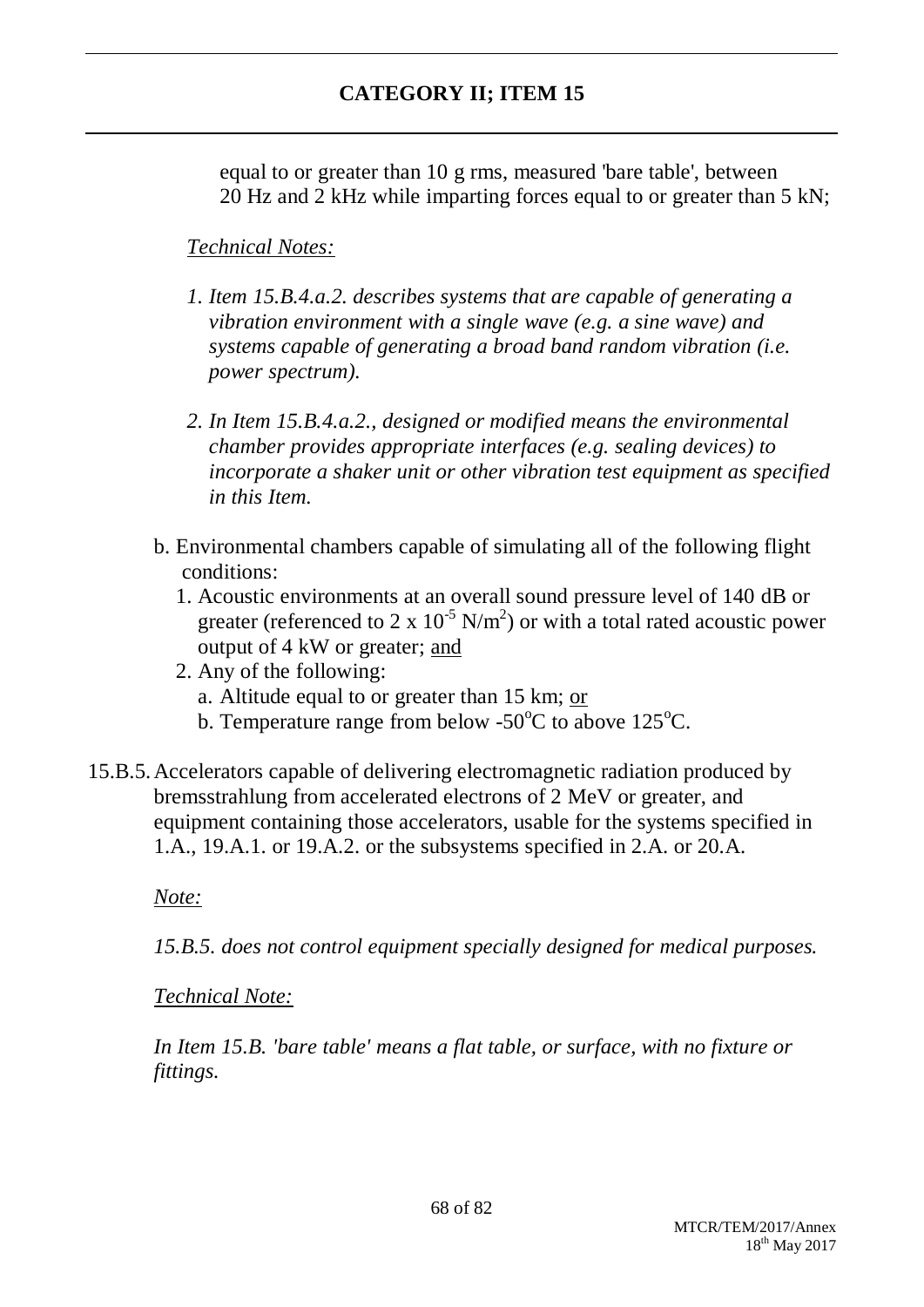equal to or greater than 10 g rms, measured 'bare table', between 20 Hz and 2 kHz while imparting forces equal to or greater than 5 kN;

### *Technical Notes:*

- *1. Item 15.B.4.a.2. describes systems that are capable of generating a vibration environment with a single wave (e.g. a sine wave) and systems capable of generating a broad band random vibration (i.e. power spectrum).*
- *2. In Item 15.B.4.a.2., designed or modified means the environmental chamber provides appropriate interfaces (e.g. sealing devices) to incorporate a shaker unit or other vibration test equipment as specified in this Item.*
- b. Environmental chambers capable of simulating all of the following flight conditions:
	- 1. Acoustic environments at an overall sound pressure level of 140 dB or greater (referenced to 2 x  $10^{-5}$  N/m<sup>2</sup>) or with a total rated acoustic power output of 4 kW or greater; and
	- 2. Any of the following:
		- a. Altitude equal to or greater than 15 km; or
		- b. Temperature range from below -50 $\degree$ C to above 125 $\degree$ C.
- 15.B.5.Accelerators capable of delivering electromagnetic radiation produced by bremsstrahlung from accelerated electrons of 2 MeV or greater, and equipment containing those accelerators, usable for the systems specified in 1.A., 19.A.1. or 19.A.2. or the subsystems specified in 2.A. or 20.A.

#### *Note:*

*15.B.5. does not control equipment specially designed for medical purposes.*

#### *Technical Note:*

*In Item 15.B. 'bare table' means a flat table, or surface, with no fixture or fittings.*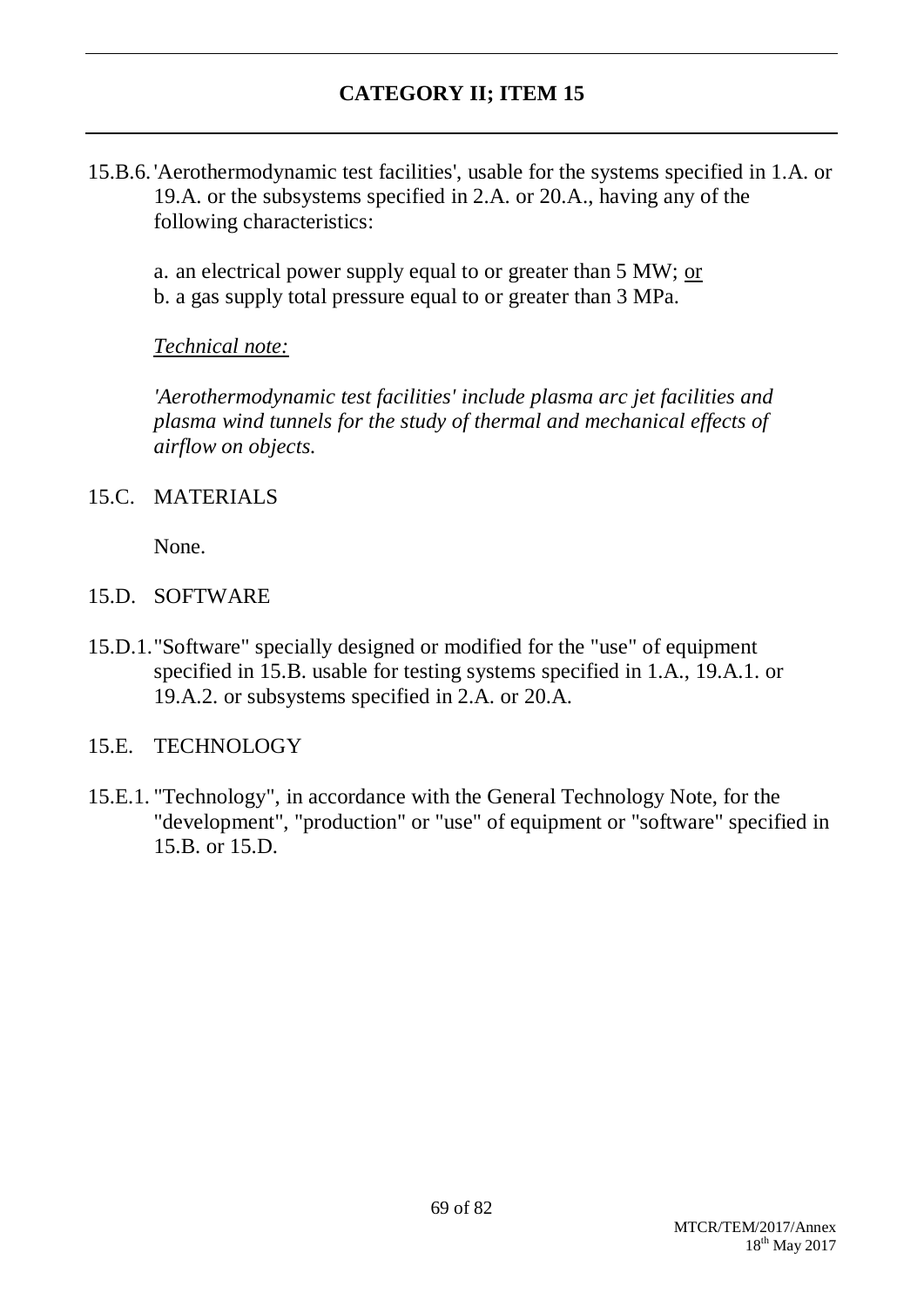15.B.6. 'Aerothermodynamic test facilities', usable for the systems specified in 1.A. or 19.A. or the subsystems specified in 2.A. or 20.A., having any of the following characteristics:

a. an electrical power supply equal to or greater than 5 MW; or b. a gas supply total pressure equal to or greater than 3 MPa.

### *Technical note:*

*'Aerothermodynamic test facilities' include plasma arc jet facilities and plasma wind tunnels for the study of thermal and mechanical effects of airflow on objects.*

### 15.C. MATERIALS

None.

### 15.D. SOFTWARE

15.D.1."Software" specially designed or modified for the "use" of equipment specified in 15.B. usable for testing systems specified in 1.A., 19.A.1. or 19.A.2. or subsystems specified in 2.A. or 20.A.

### 15.E. TECHNOLOGY

15.E.1. "Technology", in accordance with the General Technology Note, for the "development", "production" or "use" of equipment or "software" specified in 15.B. or 15.D.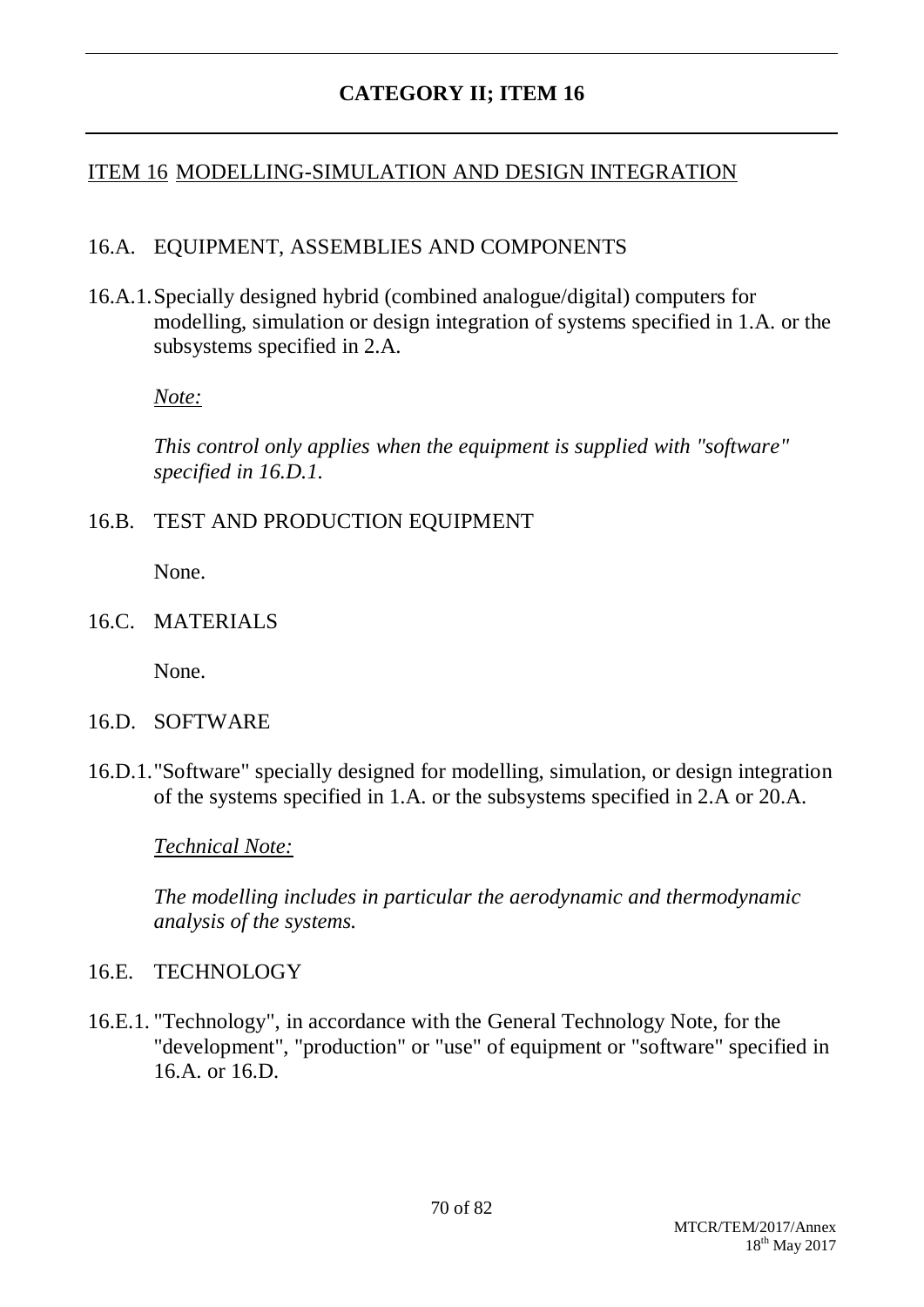### ITEM 16 MODELLING-SIMULATION AND DESIGN INTEGRATION

#### 16.A. EQUIPMENT, ASSEMBLIES AND COMPONENTS

16.A.1.Specially designed hybrid (combined analogue/digital) computers for modelling, simulation or design integration of systems specified in 1.A. or the subsystems specified in 2.A.

*Note:*

*This control only applies when the equipment is supplied with "software" specified in 16.D.1.*

#### 16.B. TEST AND PRODUCTION EQUIPMENT

None.

16.C. MATERIALS

None.

- 16.D. SOFTWARE
- 16.D.1."Software" specially designed for modelling, simulation, or design integration of the systems specified in 1.A. or the subsystems specified in 2.A or 20.A.

*Technical Note:*

*The modelling includes in particular the aerodynamic and thermodynamic analysis of the systems.*

#### 16.E. TECHNOLOGY

16.E.1. "Technology", in accordance with the General Technology Note, for the "development", "production" or "use" of equipment or "software" specified in 16.A. or 16.D.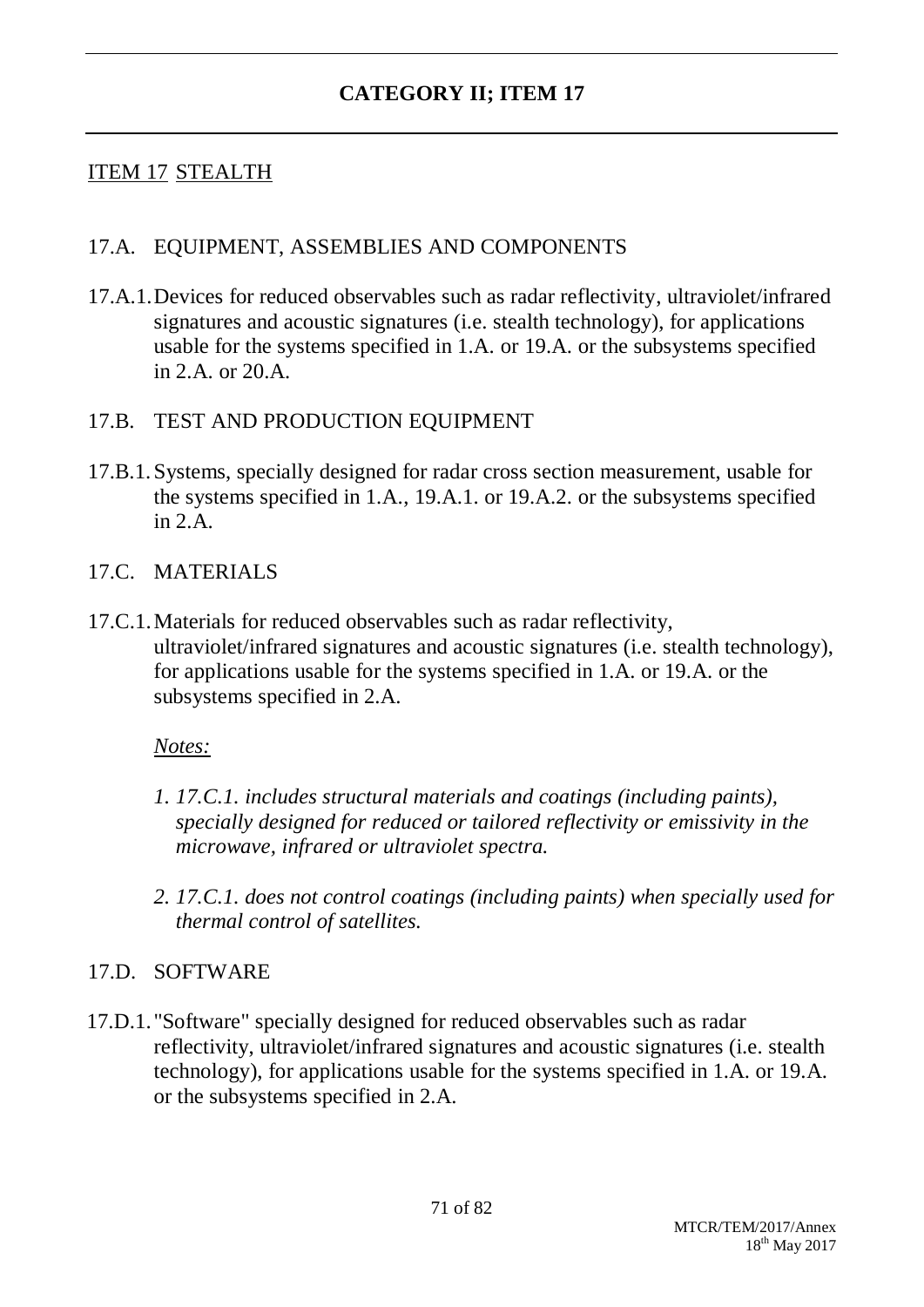## ITEM 17 STEALTH

#### 17.A. EQUIPMENT, ASSEMBLIES AND COMPONENTS

17.A.1.Devices for reduced observables such as radar reflectivity, ultraviolet/infrared signatures and acoustic signatures (i.e. stealth technology), for applications usable for the systems specified in 1.A. or 19.A. or the subsystems specified in 2. A. or  $20 \text{ A}$ .

#### 17.B. TEST AND PRODUCTION EQUIPMENT

17.B.1.Systems, specially designed for radar cross section measurement, usable for the systems specified in 1.A., 19.A.1. or 19.A.2. or the subsystems specified in  $2 \text{ A}$ 

#### 17.C. MATERIALS

17.C.1.Materials for reduced observables such as radar reflectivity, ultraviolet/infrared signatures and acoustic signatures (i.e. stealth technology), for applications usable for the systems specified in 1.A. or 19.A. or the subsystems specified in 2.A.

#### *Notes:*

- *1. 17.C.1. includes structural materials and coatings (including paints), specially designed for reduced or tailored reflectivity or emissivity in the microwave, infrared or ultraviolet spectra.*
- *2. 17.C.1. does not control coatings (including paints) when specially used for thermal control of satellites.*

#### 17.D. SOFTWARE

17.D.1. "Software" specially designed for reduced observables such as radar reflectivity, ultraviolet/infrared signatures and acoustic signatures (i.e. stealth technology), for applications usable for the systems specified in 1.A. or 19.A. or the subsystems specified in 2.A.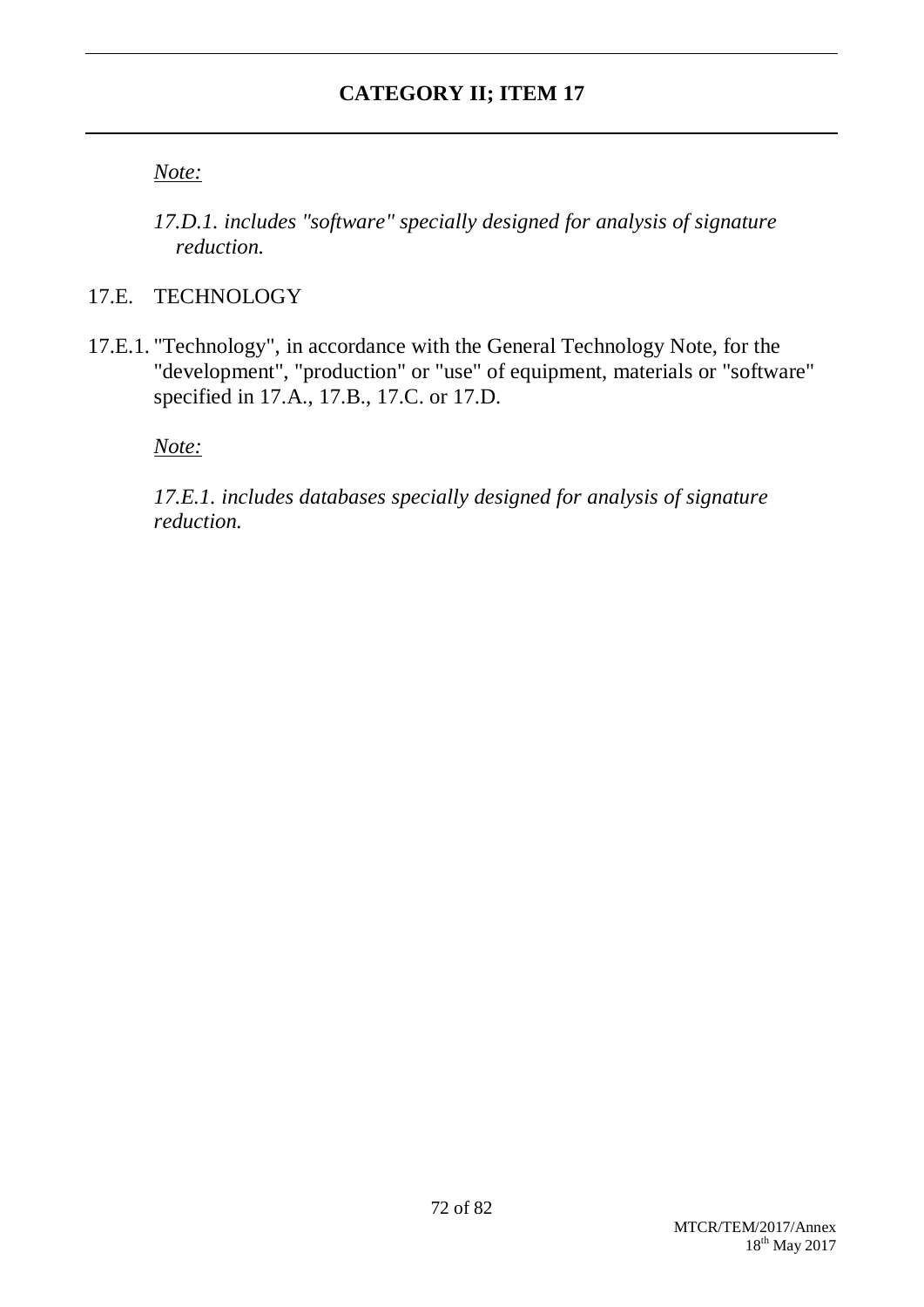*Note:*

*17.D.1. includes "software" specially designed for analysis of signature reduction.*

## 17.E. TECHNOLOGY

17.E.1. "Technology", in accordance with the General Technology Note, for the "development", "production" or "use" of equipment, materials or "software" specified in 17.A., 17.B., 17.C. or 17.D.

*Note:*

*17.E.1. includes databases specially designed for analysis of signature reduction.*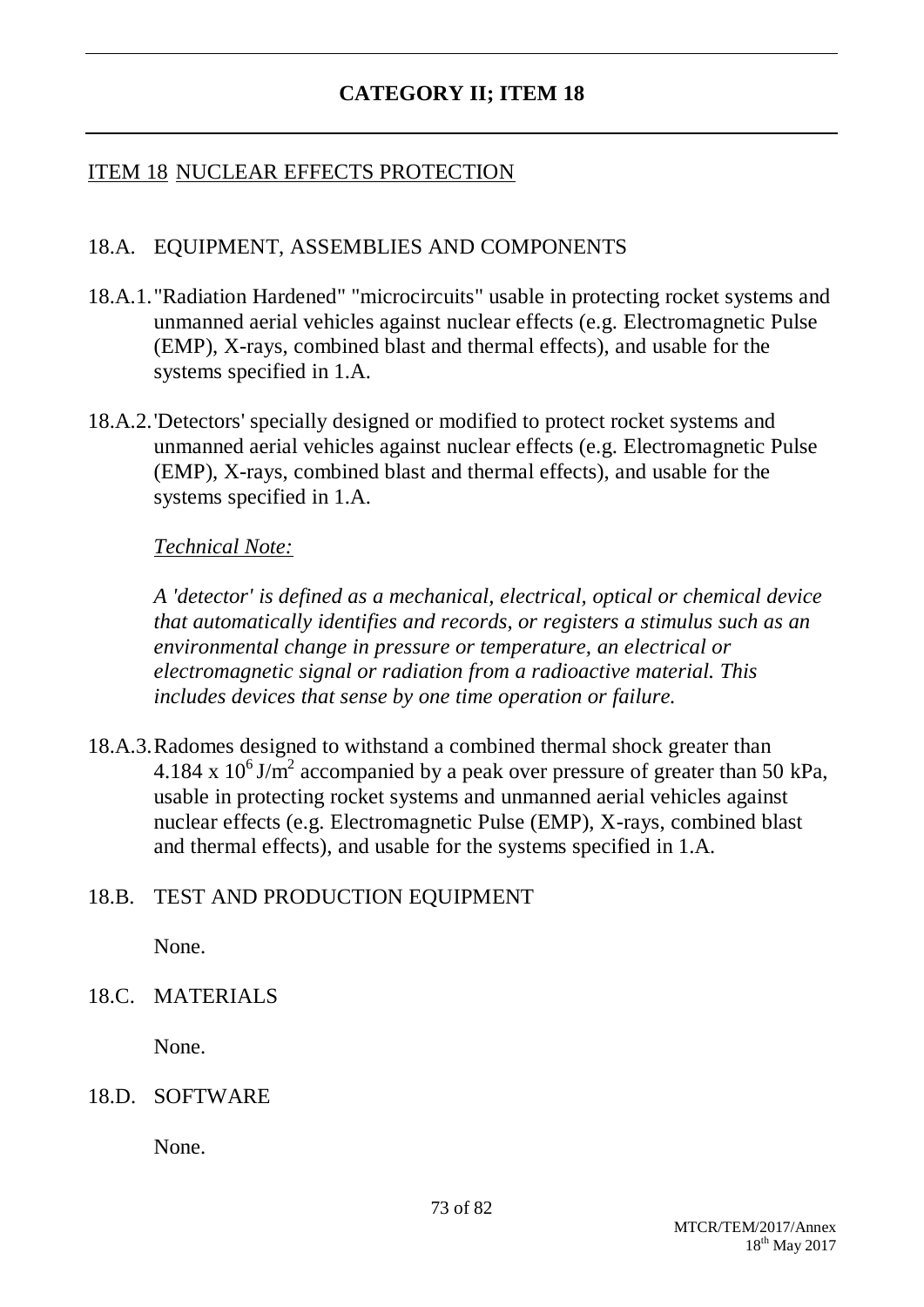## ITEM 18 NUCLEAR EFFECTS PROTECTION

### 18.A. EQUIPMENT, ASSEMBLIES AND COMPONENTS

- 18.A.1."Radiation Hardened" "microcircuits" usable in protecting rocket systems and unmanned aerial vehicles against nuclear effects (e.g. Electromagnetic Pulse (EMP), X-rays, combined blast and thermal effects), and usable for the systems specified in 1.A.
- 18.A.2.'Detectors' specially designed or modified to protect rocket systems and unmanned aerial vehicles against nuclear effects (e.g. Electromagnetic Pulse (EMP), X-rays, combined blast and thermal effects), and usable for the systems specified in 1.A.

#### *Technical Note:*

*A 'detector' is defined as a mechanical, electrical, optical or chemical device that automatically identifies and records, or registers a stimulus such as an environmental change in pressure or temperature, an electrical or electromagnetic signal or radiation from a radioactive material. This includes devices that sense by one time operation or failure.*

18.A.3.Radomes designed to withstand a combined thermal shock greater than 4.184 x  $10^6$  J/m<sup>2</sup> accompanied by a peak over pressure of greater than 50 kPa, usable in protecting rocket systems and unmanned aerial vehicles against nuclear effects (e.g. Electromagnetic Pulse (EMP), X-rays, combined blast and thermal effects), and usable for the systems specified in 1.A.

#### 18.B. TEST AND PRODUCTION EQUIPMENT

None.

### 18.C. MATERIALS

None.

#### 18.D. SOFTWARE

None.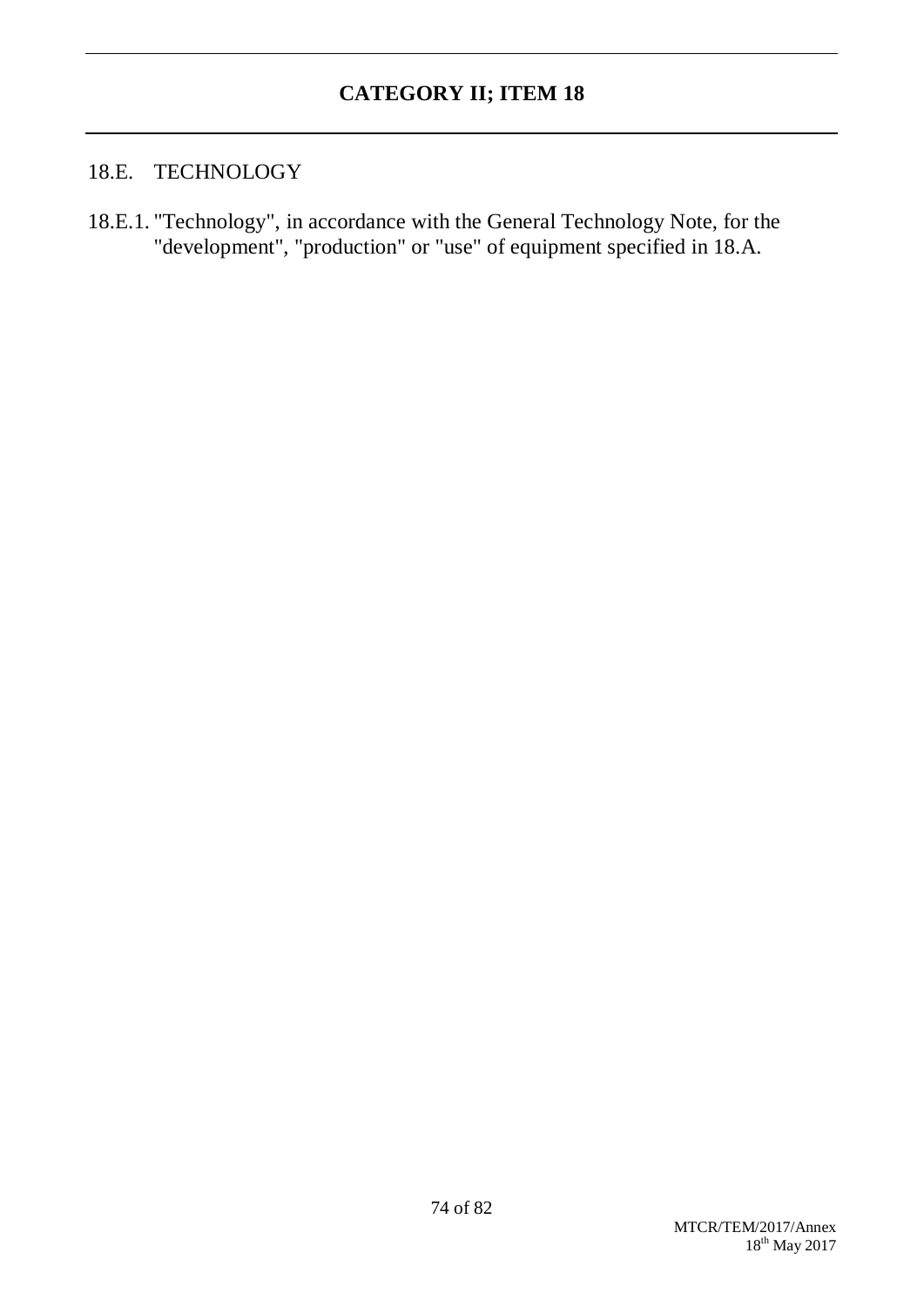### 18.E. TECHNOLOGY

18.E.1. "Technology", in accordance with the General Technology Note, for the "development", "production" or "use" of equipment specified in 18.A.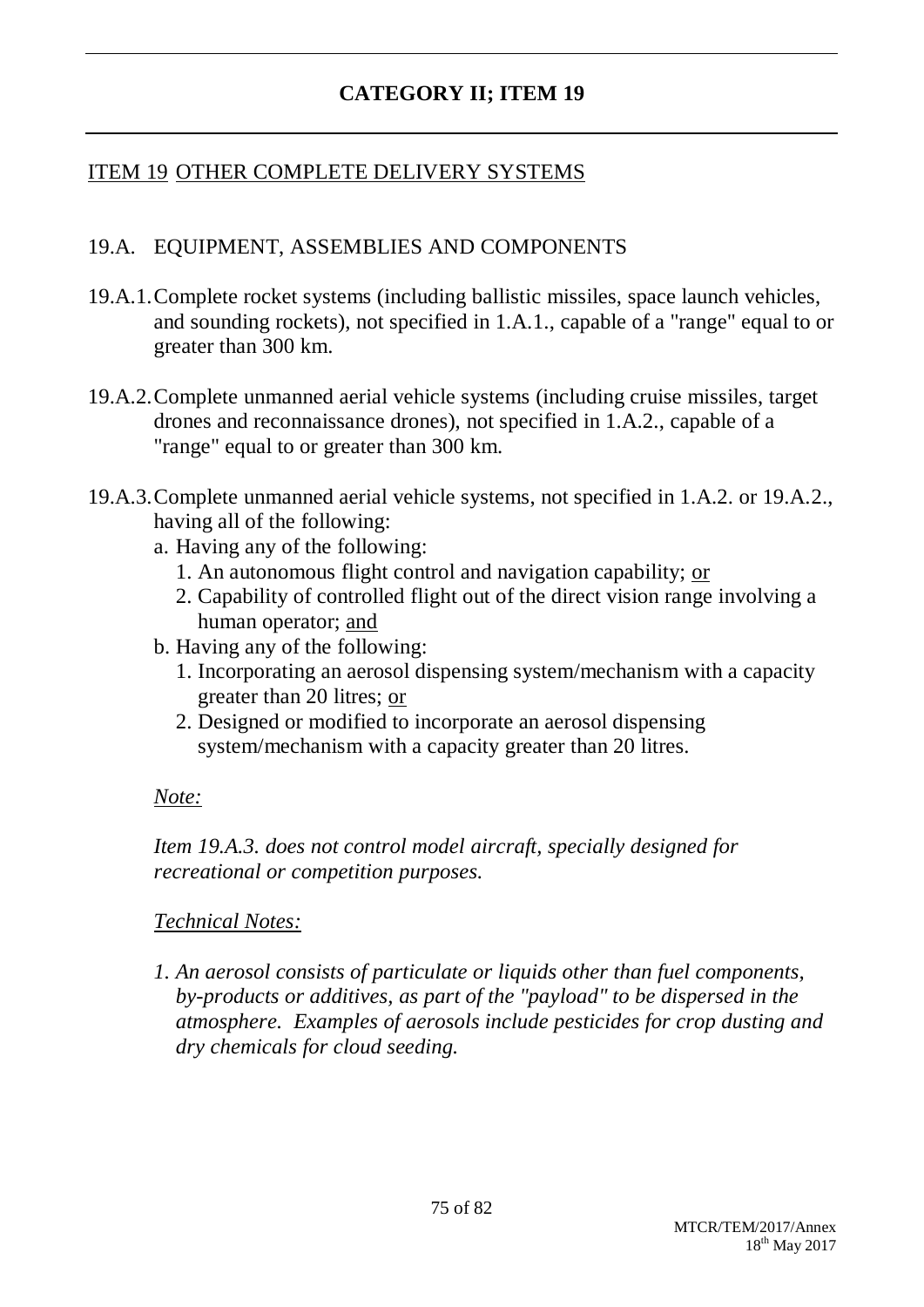## ITEM 19 OTHER COMPLETE DELIVERY SYSTEMS

### 19.A. EQUIPMENT, ASSEMBLIES AND COMPONENTS

- 19.A.1.Complete rocket systems (including ballistic missiles, space launch vehicles, and sounding rockets), not specified in 1.A.1., capable of a "range" equal to or greater than 300 km.
- 19.A.2.Complete unmanned aerial vehicle systems (including cruise missiles, target drones and reconnaissance drones), not specified in 1.A.2., capable of a "range" equal to or greater than 300 km.
- 19.A.3.Complete unmanned aerial vehicle systems, not specified in 1.A.2. or 19.A.2., having all of the following:
	- a. Having any of the following:
		- 1. An autonomous flight control and navigation capability; or
		- 2. Capability of controlled flight out of the direct vision range involving a human operator; and
	- b. Having any of the following:
		- 1. Incorporating an aerosol dispensing system/mechanism with a capacity greater than 20 litres; or
		- 2. Designed or modified to incorporate an aerosol dispensing system/mechanism with a capacity greater than 20 litres.

#### *Note:*

*Item 19.A.3. does not control model aircraft, specially designed for recreational or competition purposes.*

### *Technical Notes:*

*1. An aerosol consists of particulate or liquids other than fuel components, by-products or additives, as part of the "payload" to be dispersed in the atmosphere. Examples of aerosols include pesticides for crop dusting and dry chemicals for cloud seeding.*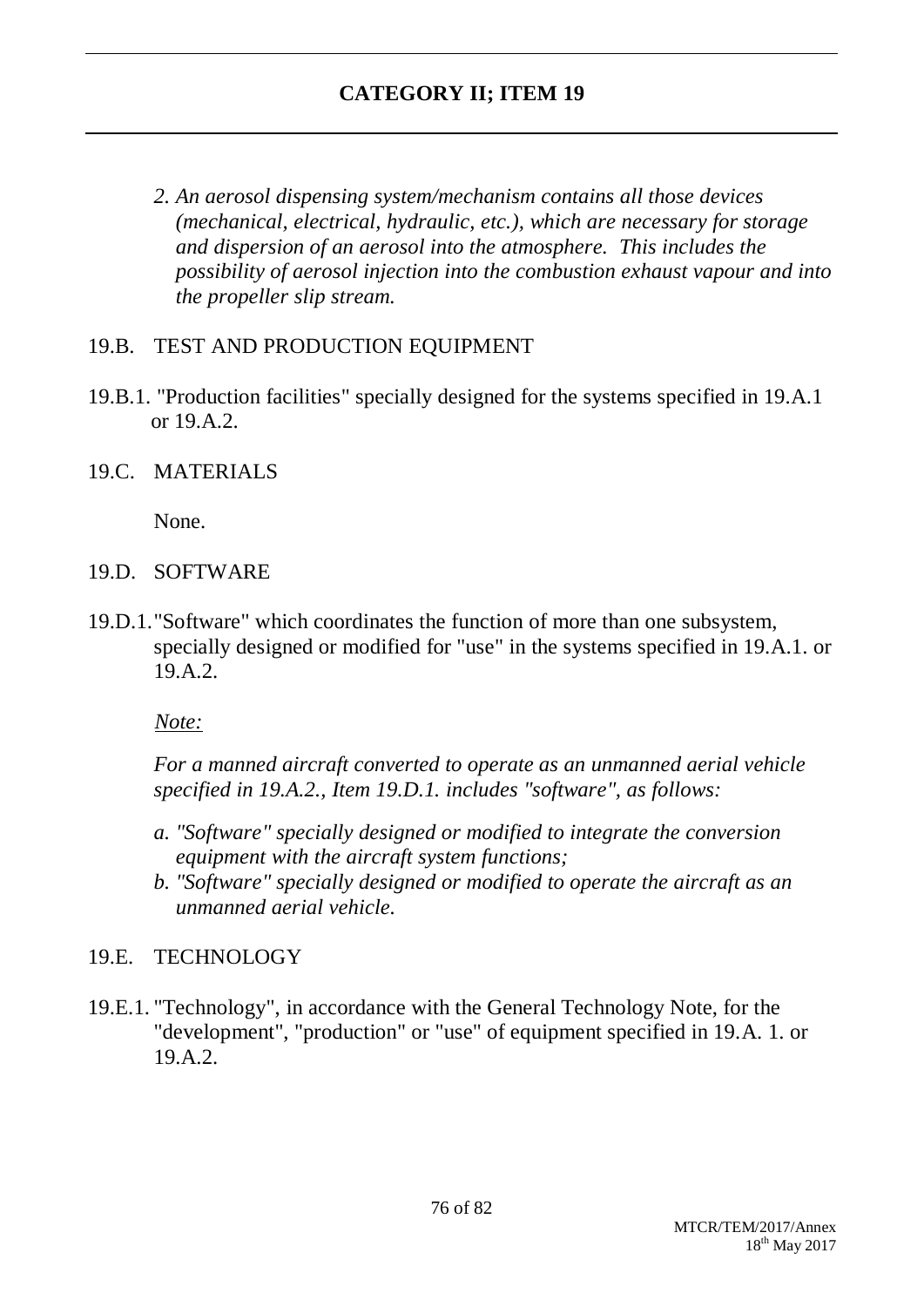*2. An aerosol dispensing system/mechanism contains all those devices (mechanical, electrical, hydraulic, etc.), which are necessary for storage and dispersion of an aerosol into the atmosphere. This includes the possibility of aerosol injection into the combustion exhaust vapour and into the propeller slip stream.*

### 19.B. TEST AND PRODUCTION EQUIPMENT

- 19.B.1. "Production facilities" specially designed for the systems specified in 19.A.1 or 19.A.2.
- 19.C. MATERIALS

None.

- 19.D. SOFTWARE
- 19.D.1."Software" which coordinates the function of more than one subsystem, specially designed or modified for "use" in the systems specified in 19.A.1. or 19.A.2.

*Note:*

*For a manned aircraft converted to operate as an unmanned aerial vehicle specified in 19.A.2., Item 19.D.1. includes "software", as follows:*

- *a. "Software" specially designed or modified to integrate the conversion equipment with the aircraft system functions;*
- *b. "Software" specially designed or modified to operate the aircraft as an unmanned aerial vehicle.*

### 19.E. TECHNOLOGY

19.E.1. "Technology", in accordance with the General Technology Note, for the "development", "production" or "use" of equipment specified in 19.A. 1. or 19.A.2.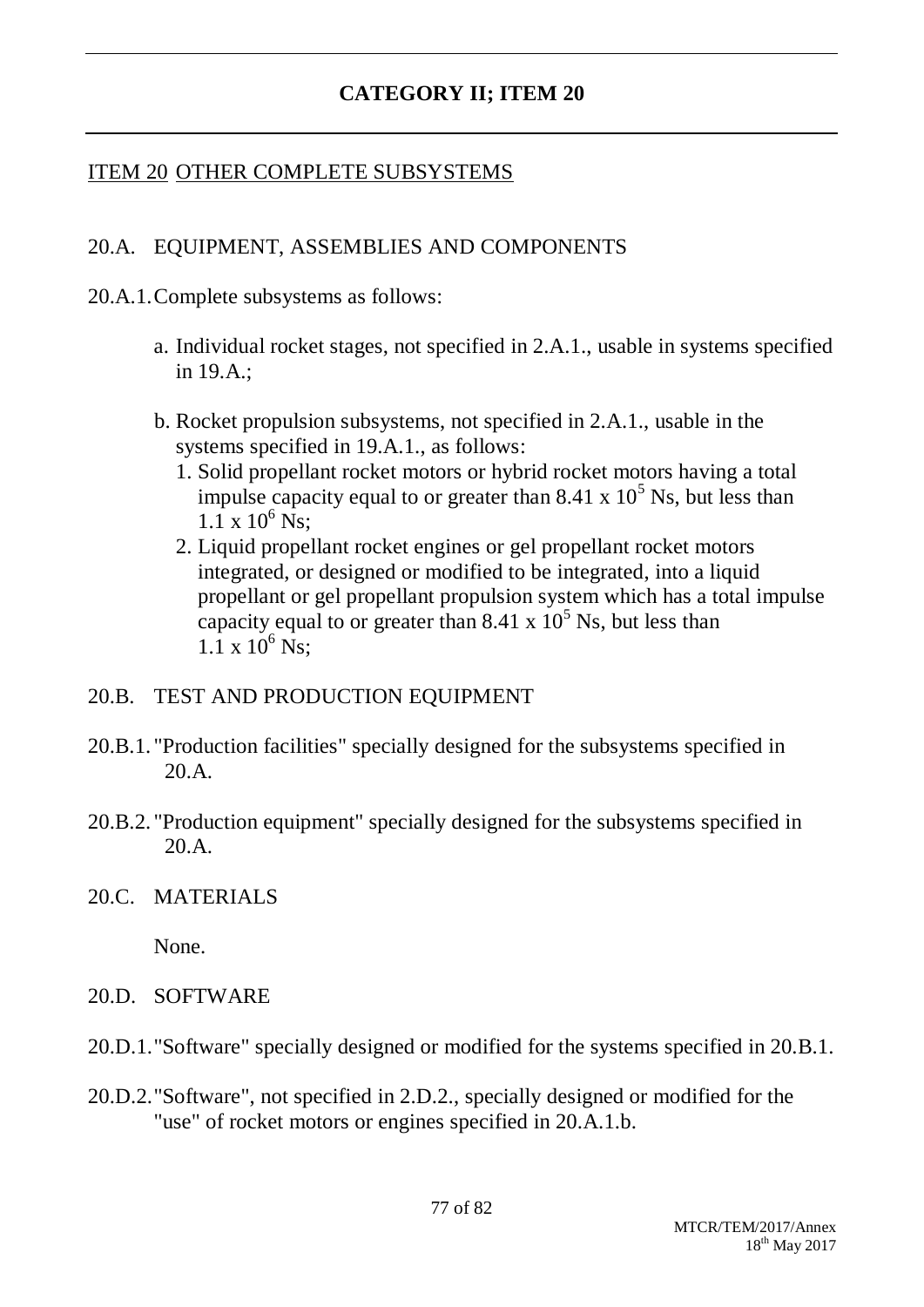## ITEM 20 OTHER COMPLETE SUBSYSTEMS

## 20.A. EQUIPMENT, ASSEMBLIES AND COMPONENTS

- 20.A.1.Complete subsystems as follows:
	- a. Individual rocket stages, not specified in 2.A.1., usable in systems specified in 19.A.;
	- b. Rocket propulsion subsystems, not specified in 2.A.1., usable in the systems specified in 19.A.1., as follows:
		- 1. Solid propellant rocket motors or hybrid rocket motors having a total impulse capacity equal to or greater than  $8.41 \times 10^5$  Ns, but less than  $1.1 \times 10^6$  Ns:
		- 2. Liquid propellant rocket engines or gel propellant rocket motors integrated, or designed or modified to be integrated, into a liquid propellant or gel propellant propulsion system which has a total impulse capacity equal to or greater than  $8.41 \times 10^5$  Ns, but less than  $1.1 \times 10^6$  Ns:

### 20.B. TEST AND PRODUCTION EQUIPMENT

- 20.B.1. "Production facilities" specially designed for the subsystems specified in 20.A.
- 20.B.2. "Production equipment" specially designed for the subsystems specified in 20.A.
- 20.C. MATERIALS

None.

- 20.D. SOFTWARE
- 20.D.1."Software" specially designed or modified for the systems specified in 20.B.1.
- 20.D.2."Software", not specified in 2.D.2., specially designed or modified for the "use" of rocket motors or engines specified in 20.A.1.b.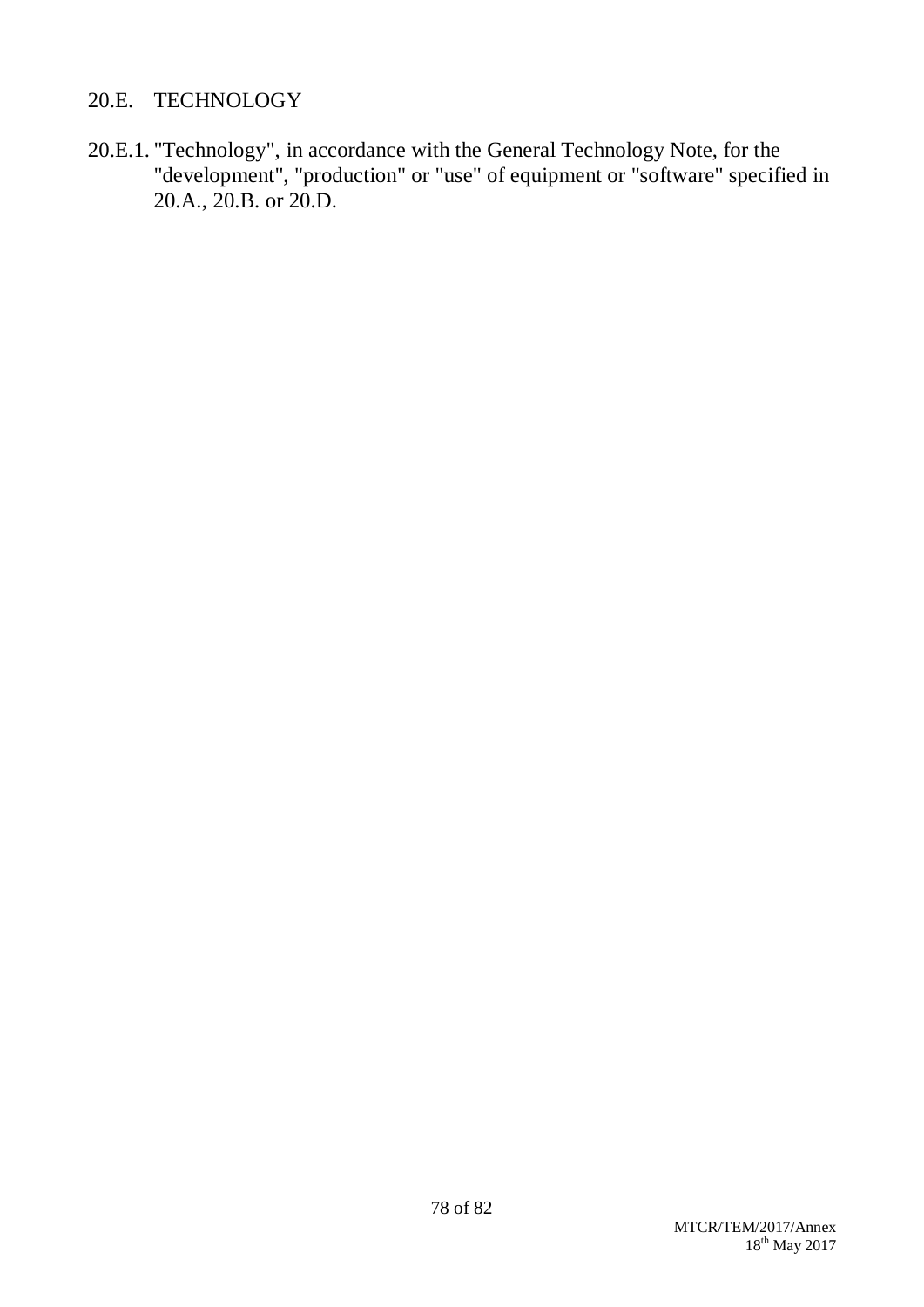## 20.E. TECHNOLOGY

20.E.1. "Technology", in accordance with the General Technology Note, for the "development", "production" or "use" of equipment or "software" specified in 20.A., 20.B. or 20.D.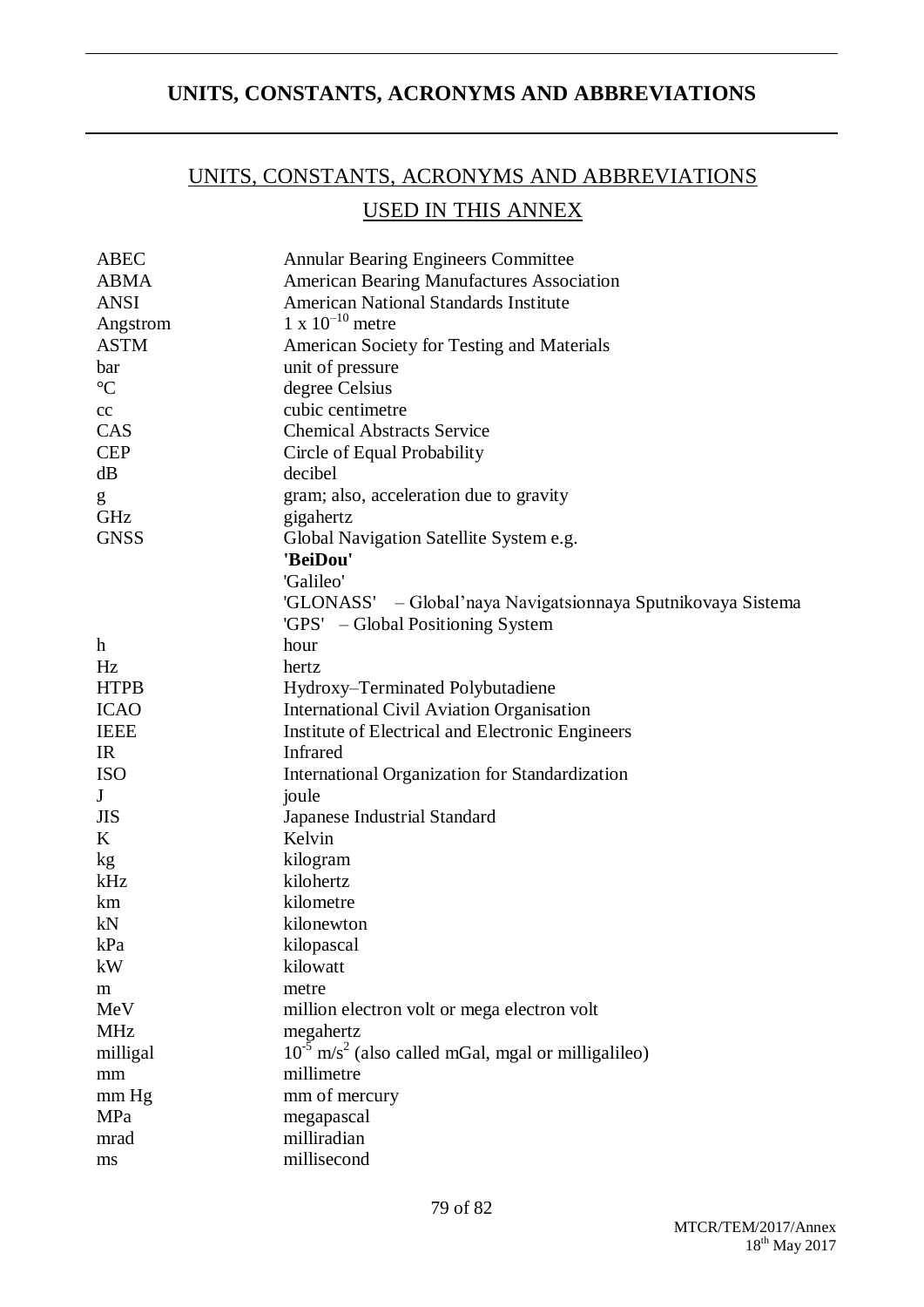## **UNITS, CONSTANTS, ACRONYMS AND ABBREVIATIONS**

# UNITS, CONSTANTS, ACRONYMS AND ABBREVIATIONS USED IN THIS ANNEX

| <b>ABEC</b>     | <b>Annular Bearing Engineers Committee</b>                          |  |  |
|-----------------|---------------------------------------------------------------------|--|--|
| <b>ABMA</b>     | <b>American Bearing Manufactures Association</b>                    |  |  |
| <b>ANSI</b>     | <b>American National Standards Institute</b>                        |  |  |
| Angstrom        | $1 \times 10^{-10}$ metre                                           |  |  |
| <b>ASTM</b>     | American Society for Testing and Materials                          |  |  |
| bar             | unit of pressure                                                    |  |  |
| $\rm ^{\circ}C$ | degree Celsius                                                      |  |  |
| cc              | cubic centimetre                                                    |  |  |
| CAS             | <b>Chemical Abstracts Service</b>                                   |  |  |
| <b>CEP</b>      | Circle of Equal Probability                                         |  |  |
| dB              | decibel                                                             |  |  |
| g               | gram; also, acceleration due to gravity                             |  |  |
| GHz             | gigahertz                                                           |  |  |
| <b>GNSS</b>     | Global Navigation Satellite System e.g.                             |  |  |
|                 | 'BeiDou'                                                            |  |  |
|                 | 'Galileo'                                                           |  |  |
|                 | 'GLONASS' - Global'naya Navigatsionnaya Sputnikovaya Sistema        |  |  |
|                 | 'GPS' – Global Positioning System                                   |  |  |
| h               | hour                                                                |  |  |
| Hz              | hertz                                                               |  |  |
| <b>HTPB</b>     | Hydroxy–Terminated Polybutadiene                                    |  |  |
| <b>ICAO</b>     | <b>International Civil Aviation Organisation</b>                    |  |  |
| <b>IEEE</b>     | Institute of Electrical and Electronic Engineers                    |  |  |
| IR              | <b>Infrared</b>                                                     |  |  |
| <b>ISO</b>      | International Organization for Standardization                      |  |  |
| J               | joule                                                               |  |  |
| <b>JIS</b>      | <b>Japanese Industrial Standard</b>                                 |  |  |
| K               | Kelvin                                                              |  |  |
| kg              | kilogram                                                            |  |  |
| kHz             | kilohertz                                                           |  |  |
| km              | kilometre                                                           |  |  |
| kN              | kilonewton                                                          |  |  |
| kPa             | kilopascal                                                          |  |  |
| kW              | kilowatt                                                            |  |  |
| m               | metre                                                               |  |  |
| MeV             | million electron volt or mega electron volt                         |  |  |
| <b>MHz</b>      | megahertz                                                           |  |  |
| milligal        | $10^{-5}$ m/s <sup>2</sup> (also called mGal, mgal or milligalileo) |  |  |
| mm              | millimetre                                                          |  |  |
| mm Hg           | mm of mercury                                                       |  |  |
| MPa             | megapascal                                                          |  |  |
| mrad            | milliradian                                                         |  |  |
| ms              | millisecond                                                         |  |  |

79 of 82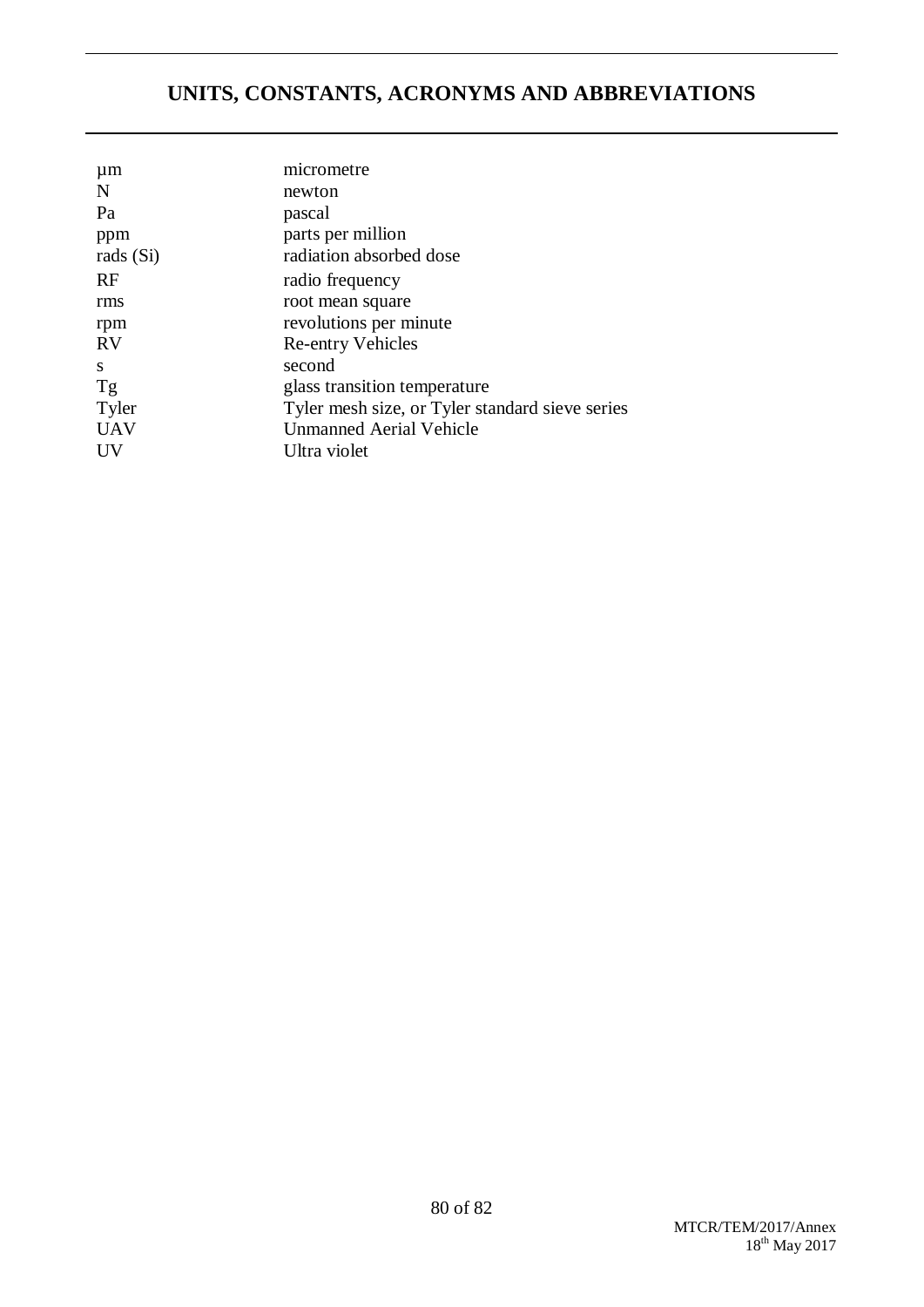# **UNITS, CONSTANTS, ACRONYMS AND ABBREVIATIONS**

| $\mu$ m    | micrometre                                      |  |  |
|------------|-------------------------------------------------|--|--|
| N          | newton                                          |  |  |
| Pa         | pascal                                          |  |  |
| ppm        | parts per million                               |  |  |
| rads (Si)  | radiation absorbed dose                         |  |  |
| <b>RF</b>  | radio frequency                                 |  |  |
| rms        | root mean square                                |  |  |
| rpm        | revolutions per minute                          |  |  |
| <b>RV</b>  | <b>Re-entry Vehicles</b>                        |  |  |
| S          | second                                          |  |  |
| Tg         | glass transition temperature                    |  |  |
| Tyler      | Tyler mesh size, or Tyler standard sieve series |  |  |
| <b>UAV</b> | <b>Unmanned Aerial Vehicle</b>                  |  |  |
| UV         | Ultra violet                                    |  |  |
|            |                                                 |  |  |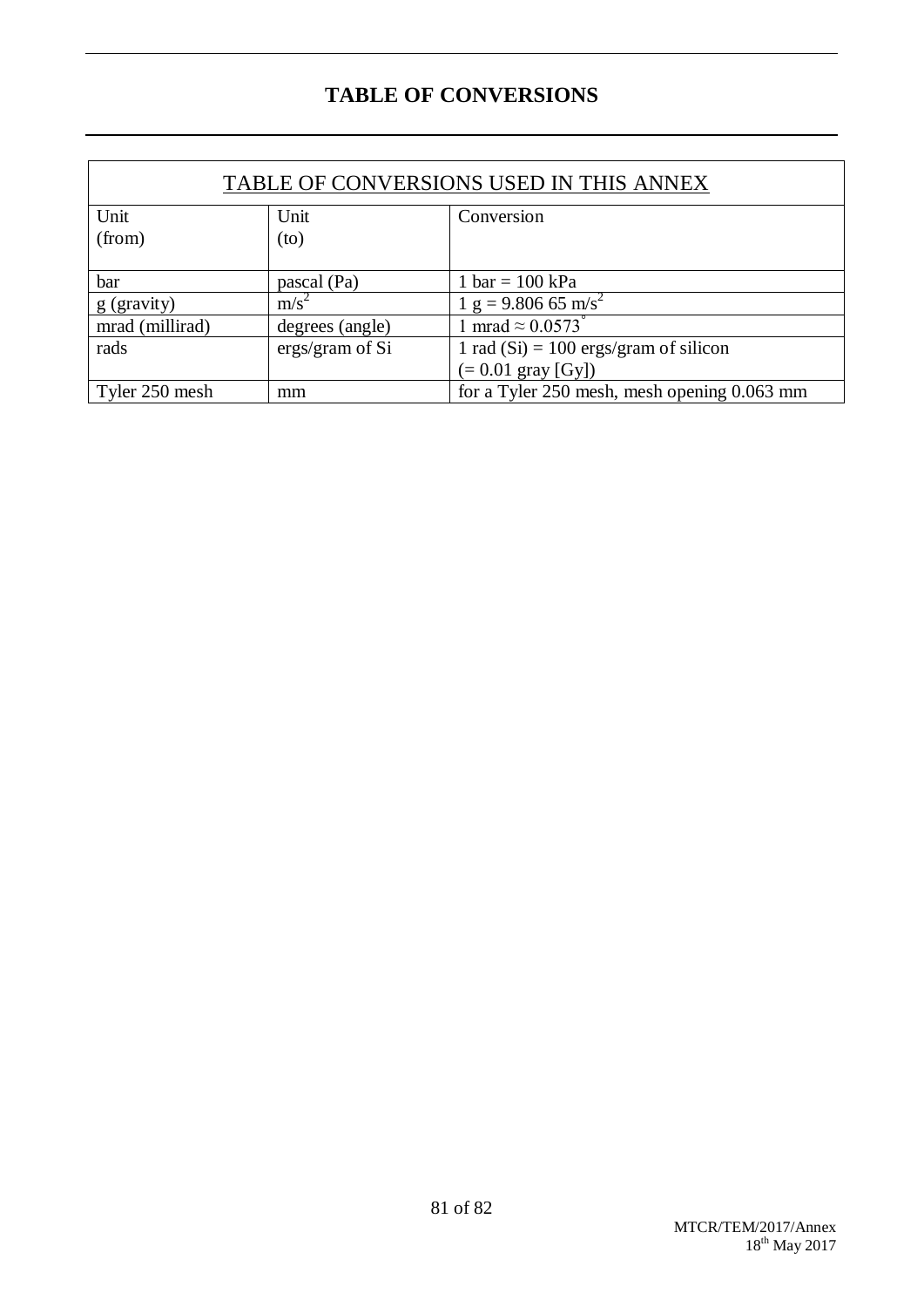## **TABLE OF CONVERSIONS**

| TABLE OF CONVERSIONS USED IN THIS ANNEX |                 |                                             |  |  |
|-----------------------------------------|-----------------|---------------------------------------------|--|--|
| Unit                                    | Unit            | Conversion                                  |  |  |
| (from)                                  | (to)            |                                             |  |  |
|                                         |                 |                                             |  |  |
| bar                                     | pascal (Pa)     | 1 bar = $100 \text{ kPa}$                   |  |  |
| g (gravity)                             | $m/s^2$         | $1 g = 9.806 65 m/s^2$                      |  |  |
| mrad (millirad)                         | degrees (angle) | 1 mrad $\approx 0.0573$ °                   |  |  |
| rads                                    | ergs/gram of Si | 1 rad $(Si) = 100$ ergs/gram of silicon     |  |  |
|                                         |                 | $(= 0.01 \text{ gray} [Gy])$                |  |  |
| Tyler 250 mesh                          | mm              | for a Tyler 250 mesh, mesh opening 0.063 mm |  |  |